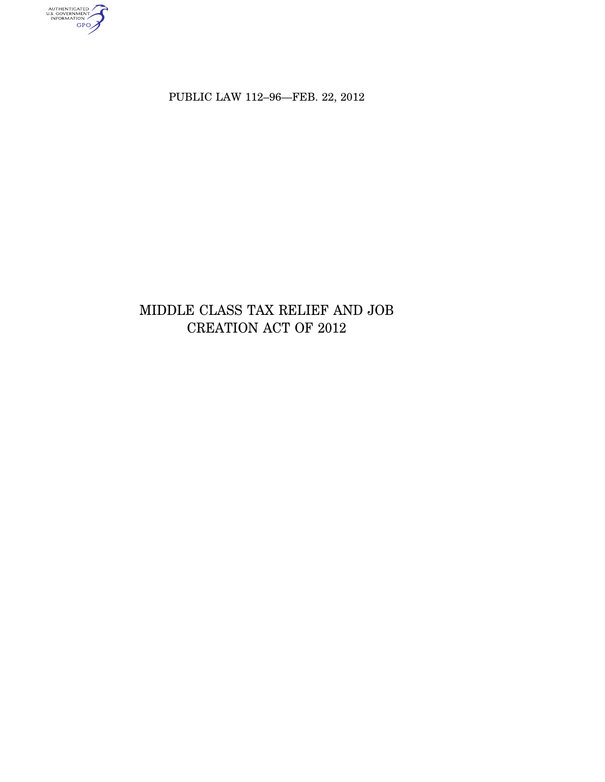authenticated<br>u.s. government<br>information<br>GPO

PUBLIC LAW 112–96—FEB. 22, 2012

# MIDDLE CLASS TAX RELIEF AND JOB CREATION ACT OF 2012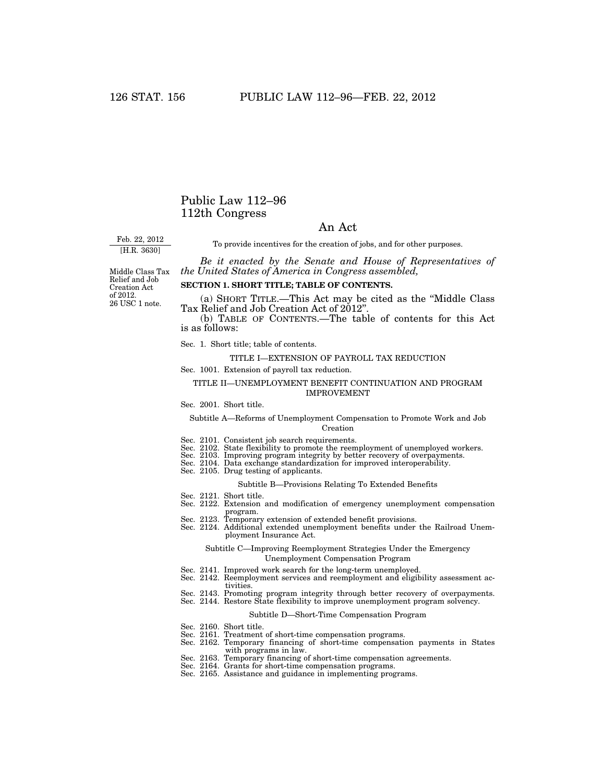## Public Law 112–96 112th Congress

## An Act

Feb. 22, 2012 [H.R. 3630]

To provide incentives for the creation of jobs, and for other purposes.

*Be it enacted by the Senate and House of Representatives of the United States of America in Congress assembled,* 

Middle Class Tax Relief and Job Creation Act of 2012. 26 USC 1 note.

### **SECTION 1. SHORT TITLE; TABLE OF CONTENTS.**

(a) SHORT TITLE.—This Act may be cited as the ''Middle Class Tax Relief and Job Creation Act of 2012".

(b) TABLE OF CONTENTS.—The table of contents for this Act is as follows:

Sec. 1. Short title; table of contents.

## TITLE I—EXTENSION OF PAYROLL TAX REDUCTION

Sec. 1001. Extension of payroll tax reduction.

#### TITLE II—UNEMPLOYMENT BENEFIT CONTINUATION AND PROGRAM IMPROVEMENT

#### Sec. 2001. Short title.

#### Subtitle A—Reforms of Unemployment Compensation to Promote Work and Job Creation

- 
- Sec. 2101. Consistent job search requirements. Sec. 2102. State flexibility to promote the reemployment of unemployed workers.
- Sec. 2103. Improving program integrity by better recovery of overpayments. Sec. 2104. Data exchange standardization for improved interoperability. Sec. 2105. Drug testing of applicants.
- 
- 

#### Subtitle B—Provisions Relating To Extended Benefits

- 
- Sec. 2121. Short title. Sec. 2122. Extension and modification of emergency unemployment compensation
- program. Sec. 2123. Temporary extension of extended benefit provisions.
- 
- Sec. 2124. Additional extended unemployment benefits under the Railroad Unemployment Insurance Act.

#### Subtitle C—Improving Reemployment Strategies Under the Emergency Unemployment Compensation Program

- Sec. 2141. Improved work search for the long-term unemployed.
- Sec. 2142. Reemployment services and reemployment and eligibility assessment activities.
- Sec. 2143. Promoting program integrity through better recovery of overpayments.
- Sec. 2144. Restore State flexibility to improve unemployment program solvency.

#### Subtitle D—Short-Time Compensation Program

- 
- 
- Sec. 2160. Short title. Sec. 2161. Treatment of short-time compensation programs. Sec. 2162. Temporary financing of short-time compensation payments in States with programs in law. with programs in law.<br>Sec. 2163. Temporary financing of short-time compensation agreements.
- 
- Sec. 2164. Grants for short-time compensation programs. Sec. 2165. Assistance and guidance in implementing programs.
-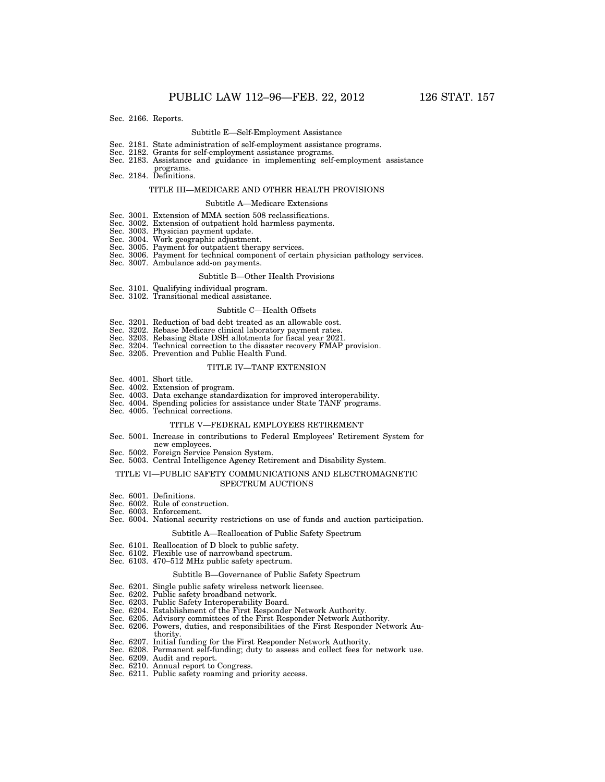Sec. 2166. Reports.

#### Subtitle E—Self-Employment Assistance

- Sec. 2181. State administration of self-employment assistance programs.
- Sec. 2182. Grants for self-employment assistance programs.
- Sec. 2183. Assistance and guidance in implementing self-employment assistance
- programs. Sec. 2184. Definitions.

#### TITLE III—MEDICARE AND OTHER HEALTH PROVISIONS

#### Subtitle A—Medicare Extensions

- Sec. 3001. Extension of MMA section 508 reclassifications.
- Sec. 3002. Extension of outpatient hold harmless payments.
- Sec. 3003. Physician payment update.
- Sec. 3004. Work geographic adjustment.
- Sec. 3005. Payment for outpatient therapy services.
- Sec. 3006. Payment for technical component of certain physician pathology services.
- Sec. 3007. Ambulance add-on payments.

#### Subtitle B—Other Health Provisions

- Sec. 3101. Qualifying individual program.
- Sec. 3102. Transitional medical assistance.

#### Subtitle C—Health Offsets

- Sec. 3201. Reduction of bad debt treated as an allowable cost.
- Sec. 3202. Rebase Medicare clinical laboratory payment rates.
- Sec. 3203. Rebasing State DSH allotments for fiscal year 2021.
- Sec. 3204. Technical correction to the disaster recovery FMAP provision.
- Sec. 3205. Prevention and Public Health Fund.

#### TITLE IV—TANF EXTENSION

- Sec. 4001. Short title.
- Sec. 4002. Extension of program.
- Sec. 4003. Data exchange standardization for improved interoperability.
- Sec. 4004. Spending policies for assistance under State TANF programs.
- Sec. 4005. Technical corrections.

#### TITLE V—FEDERAL EMPLOYEES RETIREMENT

- Sec. 5001. Increase in contributions to Federal Employees' Retirement System for new employees.
- Sec. 5002. Foreign Service Pension System.
- Sec. 5003. Central Intelligence Agency Retirement and Disability System.

#### TITLE VI—PUBLIC SAFETY COMMUNICATIONS AND ELECTROMAGNETIC SPECTRUM AUCTIONS

- Sec. 6001. Definitions.
- Sec. 6002. Rule of construction.
- Sec. 6003. Enforcement.
- Sec. 6004. National security restrictions on use of funds and auction participation.

#### Subtitle A—Reallocation of Public Safety Spectrum

- Sec. 6101. Reallocation of D block to public safety.
- Sec. 6102. Flexible use of narrowband spectrum.
- Sec. 6103. 470–512 MHz public safety spectrum.

#### Subtitle B—Governance of Public Safety Spectrum

- Sec. 6201. Single public safety wireless network licensee.
- Sec. 6202. Public safety broadband network.
- Sec. 6203. Public Safety Interoperability Board.
- Sec. 6204. Establishment of the First Responder Network Authority.
- Sec. 6205. Advisory committees of the First Responder Network Authority.
- Sec. 6206. Powers, duties, and responsibilities of the First Responder Network Authority.
- Sec. 6207. Initial funding for the First Responder Network Authority.
- Sec. 6208. Permanent self-funding; duty to assess and collect fees for network use.
- Sec. 6209. Audit and report.
- Sec. 6210. Annual report to Congress.
- Sec. 6211. Public safety roaming and priority access.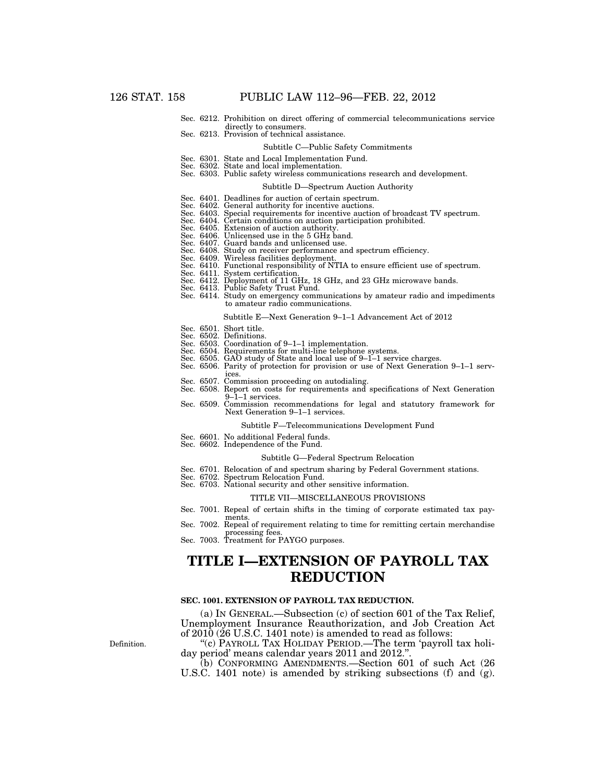- Sec. 6212. Prohibition on direct offering of commercial telecommunications service
- Sec. 6213. Provision of technical assistance.

#### Subtitle C—Public Safety Commitments

- Sec. 6301. State and Local Implementation Fund.
- Sec. 6302. State and local implementation.
- Sec. 6303. Public safety wireless communications research and development.

#### Subtitle D—Spectrum Auction Authority

- Sec. 6401. Deadlines for auction of certain spectrum.
- Sec. 6402. General authority for incentive auctions. Sec. 6403. Special requirements for incentive auction of broadcast TV spectrum.
- Sec. 6404. Certain conditions on auction participation prohibited.
- 
- 
- Sec. 6405. Extension of auction authority. Sec. 6406. Unlicensed use in the 5 GHz band. Sec. 6407. Guard bands and unlicensed use.
- Sec. 6408. Study on receiver performance and spectrum efficiency. Sec. 6409. Wireless facilities deployment.
- 
- Sec. 6410. Functional responsibility of NTIA to ensure efficient use of spectrum.
- Sec. 6411. System certification.
- Sec. 6412. Deployment of 11 GHz, 18 GHz, and 23 GHz microwave bands.
- Sec. 6413. Public Safety Trust Fund.
- Sec. 6414. Study on emergency communications by amateur radio and impediments to amateur radio communications.

#### Subtitle E—Next Generation 9–1–1 Advancement Act of 2012

- Sec. 6501. Short title.
- Sec. 6502. Definitions.
- Sec. 6503. Coordination of 9–1–1 implementation.
- Sec. 6504. Requirements for multi-line telephone systems.
- Sec. 6505. GAO study of State and local use of 9–1–1 service charges.
- Sec. 6506. Parity of protection for provision or use of Next Generation 9–1–1 services.
- 
- Sec. 6507. Commission proceeding on autodialing. Sec. 6508. Report on costs for requirements and specifications of Next Generation 9–1–1 services.
- Sec. 6509. Commission recommendations for legal and statutory framework for Next Generation 9–1–1 services.

### Subtitle F—Telecommunications Development Fund

- Sec. 6601. No additional Federal funds.
- Sec. 6602. Independence of the Fund.

#### Subtitle G—Federal Spectrum Relocation

- Sec. 6701. Relocation of and spectrum sharing by Federal Government stations.
	- Sec. 6702. Spectrum Relocation Fund.
- Sec. 6703. National security and other sensitive information.

#### TITLE VII—MISCELLANEOUS PROVISIONS

- Sec. 7001. Repeal of certain shifts in the timing of corporate estimated tax payments.
- Sec. 7002. Repeal of requirement relating to time for remitting certain merchandise processing fees. Sec. 7003. Treatment for PAYGO purposes.
- 

## **TITLE I—EXTENSION OF PAYROLL TAX REDUCTION**

#### **SEC. 1001. EXTENSION OF PAYROLL TAX REDUCTION.**

(a) IN GENERAL.—Subsection (c) of section 601 of the Tax Relief, Unemployment Insurance Reauthorization, and Job Creation Act of 2010 (26 U.S.C. 1401 note) is amended to read as follows:

''(c) PAYROLL TAX HOLIDAY PERIOD.—The term 'payroll tax holiday period' means calendar years 2011 and 2012."

(b) CONFORMING AMENDMENTS.—Section 601 of such Act (26 U.S.C. 1401 note) is amended by striking subsections (f) and (g).

Definition.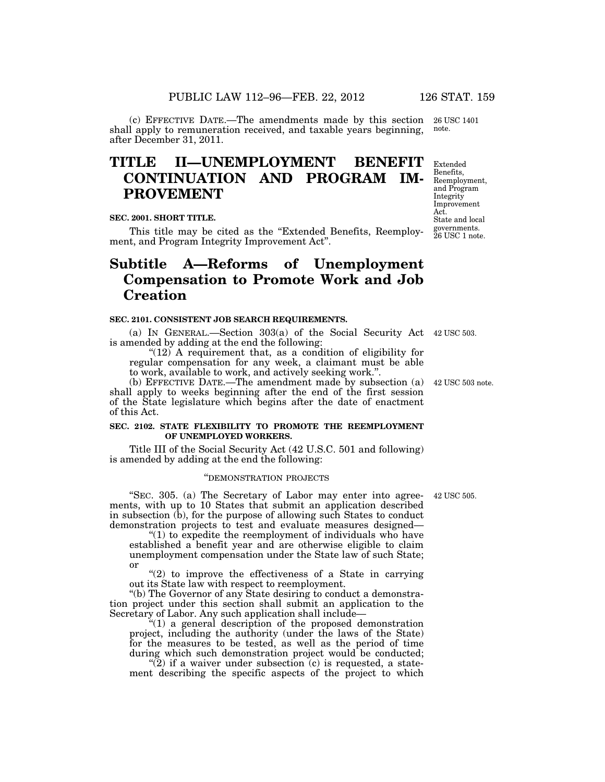(c) EFFECTIVE DATE.—The amendments made by this section 26 USC 1401 shall apply to remuneration received, and taxable years beginning, note.

## after December 31, 2011.

# **TITLE II—UNEMPLOYMENT BENEFIT CONTINUATION AND PROGRAM IM-PROVEMENT**

## **SEC. 2001. SHORT TITLE.**

This title may be cited as the "Extended Benefits, Reemployment, and Program Integrity Improvement Act''.

# **Subtitle A—Reforms of Unemployment Compensation to Promote Work and Job Creation**

#### **SEC. 2101. CONSISTENT JOB SEARCH REQUIREMENTS.**

(a) IN GENERAL.—Section 303(a) of the Social Security Act 42 USC 503. is amended by adding at the end the following:

"(12) A requirement that, as a condition of eligibility for regular compensation for any week, a claimant must be able to work, available to work, and actively seeking work.''.

(b) EFFECTIVE DATE.—The amendment made by subsection (a) 42 USC 503 note. shall apply to weeks beginning after the end of the first session of the State legislature which begins after the date of enactment of this Act.

### **SEC. 2102. STATE FLEXIBILITY TO PROMOTE THE REEMPLOYMENT OF UNEMPLOYED WORKERS.**

Title III of the Social Security Act (42 U.S.C. 501 and following) is amended by adding at the end the following:

## ''DEMONSTRATION PROJECTS

"SEC. 305. (a) The Secretary of Labor may enter into agree- 42 USC 505. ments, with up to 10 States that submit an application described in subsection (b), for the purpose of allowing such States to conduct demonstration projects to test and evaluate measures designed—

" $(1)$  to expedite the reemployment of individuals who have established a benefit year and are otherwise eligible to claim unemployment compensation under the State law of such State; or

" $(2)$  to improve the effectiveness of a State in carrying out its State law with respect to reemployment.

''(b) The Governor of any State desiring to conduct a demonstration project under this section shall submit an application to the Secretary of Labor. Any such application shall include—

 $f''(1)$  a general description of the proposed demonstration project, including the authority (under the laws of the State) for the measures to be tested, as well as the period of time during which such demonstration project would be conducted;

 $\tilde{P}(2)$  if a waiver under subsection (c) is requested, a statement describing the specific aspects of the project to which

Extended Benefits, Reemployment, and Program Integrity Improvement Act.

State and local governments. 26 USC 1 note.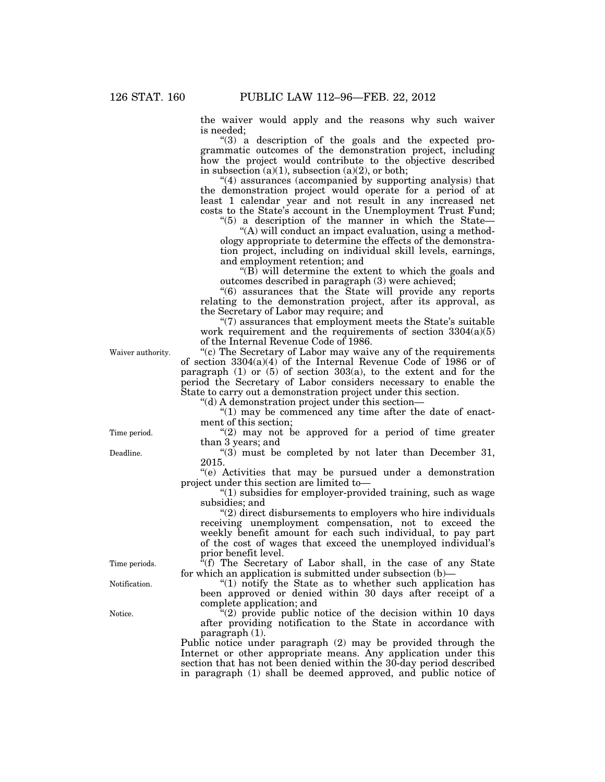the waiver would apply and the reasons why such waiver is needed;

"(3) a description of the goals and the expected programmatic outcomes of the demonstration project, including how the project would contribute to the objective described in subsection  $(a)(1)$ , subsection  $(a)(2)$ , or both;

''(4) assurances (accompanied by supporting analysis) that the demonstration project would operate for a period of at least 1 calendar year and not result in any increased net costs to the State's account in the Unemployment Trust Fund;

" $(5)$  a description of the manner in which the State—

"(A) will conduct an impact evaluation, using a methodology appropriate to determine the effects of the demonstration project, including on individual skill levels, earnings, and employment retention; and

''(B) will determine the extent to which the goals and outcomes described in paragraph (3) were achieved;

''(6) assurances that the State will provide any reports relating to the demonstration project, after its approval, as the Secretary of Labor may require; and

''(7) assurances that employment meets the State's suitable work requirement and the requirements of section  $3304(a)(5)$ of the Internal Revenue Code of 1986.

Waiver authority.

''(c) The Secretary of Labor may waive any of the requirements of section 3304(a)(4) of the Internal Revenue Code of 1986 or of paragraph  $(1)$  or  $(5)$  of section  $303(a)$ , to the extent and for the period the Secretary of Labor considers necessary to enable the State to carry out a demonstration project under this section.

''(d) A demonstration project under this section—

" $(1)$  may be commenced any time after the date of enactment of this section;

" $(2)$  may not be approved for a period of time greater than 3 years; and

" $(3)$  must be completed by not later than December 31, 2015.

''(e) Activities that may be pursued under a demonstration project under this section are limited to—

''(1) subsidies for employer-provided training, such as wage subsidies; and

''(2) direct disbursements to employers who hire individuals receiving unemployment compensation, not to exceed the weekly benefit amount for each such individual, to pay part of the cost of wages that exceed the unemployed individual's prior benefit level.

 $\ddot{f}$ (f) The Secretary of Labor shall, in the case of any State for which an application is submitted under subsection (b)—

" $(1)$  notify the State as to whether such application has been approved or denied within 30 days after receipt of a complete application; and

 $(2)$  provide public notice of the decision within 10 days after providing notification to the State in accordance with paragraph (1).

Public notice under paragraph (2) may be provided through the Internet or other appropriate means. Any application under this section that has not been denied within the 30-day period described in paragraph (1) shall be deemed approved, and public notice of

Time period.

Deadline.

Time periods.

Notification.

Notice.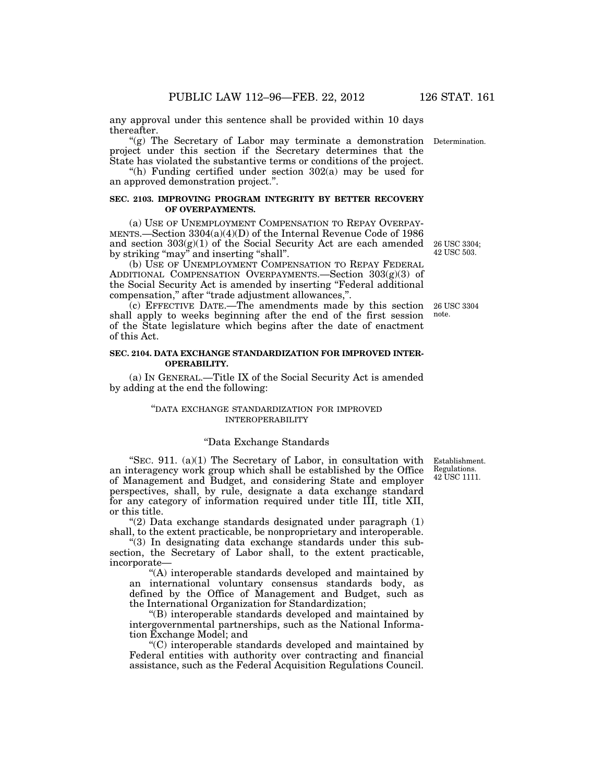any approval under this sentence shall be provided within 10 days thereafter.

(g) The Secretary of Labor may terminate a demonstration project under this section if the Secretary determines that the State has violated the substantive terms or conditions of the project.

"(h) Funding certified under section  $302(a)$  may be used for an approved demonstration project.''.

## **SEC. 2103. IMPROVING PROGRAM INTEGRITY BY BETTER RECOVERY OF OVERPAYMENTS.**

(a) USE OF UNEMPLOYMENT COMPENSATION TO REPAY OVERPAY-MENTS.—Section 3304(a)(4)(D) of the Internal Revenue Code of 1986 and section 303(g)(1) of the Social Security Act are each amended by striking "may" and inserting "shall".

(b) USE OF UNEMPLOYMENT COMPENSATION TO REPAY FEDERAL ADDITIONAL COMPENSATION OVERPAYMENTS.—Section 303(g)(3) of the Social Security Act is amended by inserting ''Federal additional compensation," after "trade adjustment allowances,".

(c) EFFECTIVE DATE.—The amendments made by this section shall apply to weeks beginning after the end of the first session of the State legislature which begins after the date of enactment of this Act. 26 USC 3304 note.

### **SEC. 2104. DATA EXCHANGE STANDARDIZATION FOR IMPROVED INTER-OPERABILITY.**

(a) IN GENERAL.—Title IX of the Social Security Act is amended by adding at the end the following:

### ''DATA EXCHANGE STANDARDIZATION FOR IMPROVED INTEROPERABILITY

## ''Data Exchange Standards

"SEC.  $911. (a)(1)$  The Secretary of Labor, in consultation with an interagency work group which shall be established by the Office of Management and Budget, and considering State and employer perspectives, shall, by rule, designate a data exchange standard for any category of information required under title III, title XII, or this title.

" $(2)$  Data exchange standards designated under paragraph  $(1)$ shall, to the extent practicable, be nonproprietary and interoperable.

''(3) In designating data exchange standards under this subsection, the Secretary of Labor shall, to the extent practicable, incorporate—

''(A) interoperable standards developed and maintained by an international voluntary consensus standards body, as defined by the Office of Management and Budget, such as the International Organization for Standardization;

''(B) interoperable standards developed and maintained by intergovernmental partnerships, such as the National Information Exchange Model; and

''(C) interoperable standards developed and maintained by Federal entities with authority over contracting and financial assistance, such as the Federal Acquisition Regulations Council.

Establishment. Regulations. 42 USC 1111.

26 USC 3304; 42 USC 503.

Determination.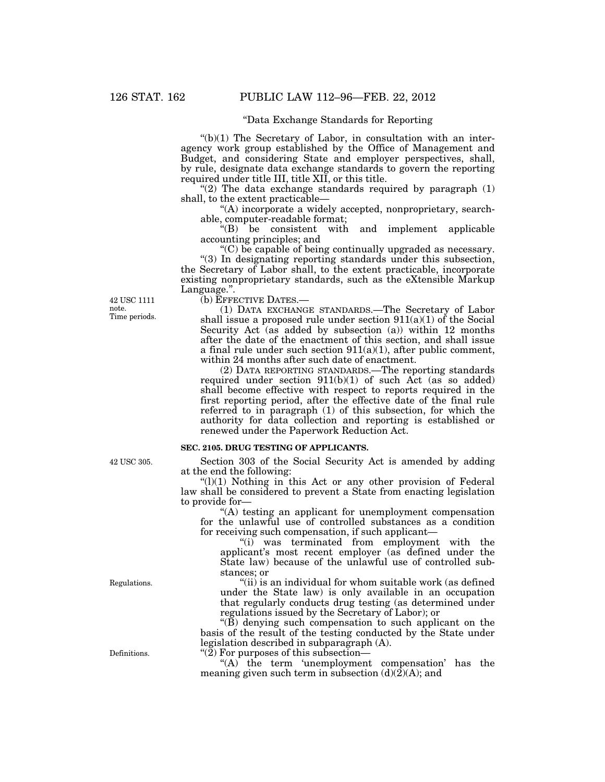## ''Data Exchange Standards for Reporting

 $'(b)(1)$  The Secretary of Labor, in consultation with an interagency work group established by the Office of Management and Budget, and considering State and employer perspectives, shall, by rule, designate data exchange standards to govern the reporting required under title III, title XII, or this title.

"(2) The data exchange standards required by paragraph  $(1)$ shall, to the extent practicable—

''(A) incorporate a widely accepted, nonproprietary, searchable, computer-readable format;

 $H(B)$  be consistent with and implement applicable accounting principles; and

''(C) be capable of being continually upgraded as necessary. ''(3) In designating reporting standards under this subsection, the Secretary of Labor shall, to the extent practicable, incorporate existing nonproprietary standards, such as the eXtensible Markup Language.".

(b) EFFECTIVE DATES.—

(1) DATA EXCHANGE STANDARDS.—The Secretary of Labor shall issue a proposed rule under section  $911(a)(1)$  of the Social Security Act (as added by subsection (a)) within 12 months after the date of the enactment of this section, and shall issue a final rule under such section  $911(a)(1)$ , after public comment, within 24 months after such date of enactment.

(2) DATA REPORTING STANDARDS.—The reporting standards required under section 911(b)(1) of such Act (as so added) shall become effective with respect to reports required in the first reporting period, after the effective date of the final rule referred to in paragraph (1) of this subsection, for which the authority for data collection and reporting is established or renewed under the Paperwork Reduction Act.

#### **SEC. 2105. DRUG TESTING OF APPLICANTS.**

Section 303 of the Social Security Act is amended by adding at the end the following:

 $''(l)(1)$  Nothing in this Act or any other provision of Federal law shall be considered to prevent a State from enacting legislation to provide for—

"(A) testing an applicant for unemployment compensation for the unlawful use of controlled substances as a condition for receiving such compensation, if such applicant—

''(i) was terminated from employment with the applicant's most recent employer (as defined under the State law) because of the unlawful use of controlled substances; or

''(ii) is an individual for whom suitable work (as defined under the State law) is only available in an occupation that regularly conducts drug testing (as determined under regulations issued by the Secretary of Labor); or

 $\mathcal{L}(\bar{B})$  denying such compensation to such applicant on the basis of the result of the testing conducted by the State under legislation described in subparagraph (A).

" $(2)$  For purposes of this subsection—

"(A) the term 'unemployment compensation' has the meaning given such term in subsection  $(d)(2)(A)$ ; and

42 USC 305.

42 USC 1111 note. Time periods.

Regulations.

Definitions.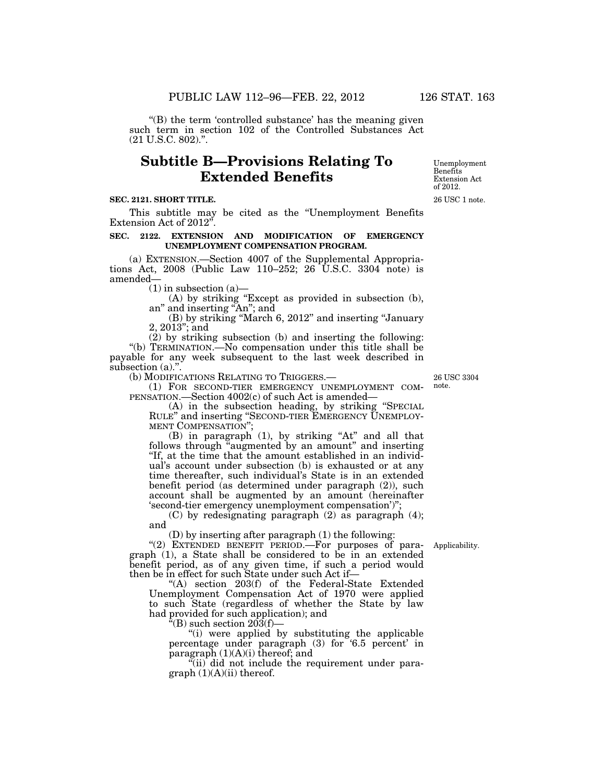$\mathrm{``(B)}$  the term 'controlled substance' has the meaning given such term in section 102 of the Controlled Substances Act (21 U.S.C. 802).''.

## **Subtitle B—Provisions Relating To Extended Benefits**

### **SEC. 2121. SHORT TITLE.**

This subtitle may be cited as the ''Unemployment Benefits Extension Act of 2012"

#### **SEC. 2122. EXTENSION AND MODIFICATION OF EMERGENCY UNEMPLOYMENT COMPENSATION PROGRAM.**

(a) EXTENSION.—Section 4007 of the Supplemental Appropriations Act, 2008 (Public Law 110–252; 26  $\hat{U}$ .S.C. 3304 note) is amended—

 $(1)$  in subsection  $(a)$ —

(A) by striking ''Except as provided in subsection (b), an'' and inserting ''An''; and

(B) by striking ''March 6, 2012'' and inserting ''January 2, 2013''; and

(2) by striking subsection (b) and inserting the following: ''(b) TERMINATION.—No compensation under this title shall be payable for any week subsequent to the last week described in subsection (a).".

(b) MODIFICATIONS RELATING TO TRIGGERS.—

(1) FOR SECOND-TIER EMERGENCY UNEMPLOYMENT COM-PENSATION.—Section 4002(c) of such Act is amended—

(A) in the subsection heading, by striking ''SPECIAL RULE'' and inserting ''SECOND-TIER EMERGENCY UNEMPLOY-MENT COMPENSATION'';

 $(B)$  in paragraph  $(1)$ , by striking "At" and all that follows through "augmented by an amount" and inserting "If, at the time that the amount established in an individual's account under subsection (b) is exhausted or at any time thereafter, such individual's State is in an extended benefit period (as determined under paragraph (2)), such account shall be augmented by an amount (hereinafter 'second-tier emergency unemployment compensation')'';

(C) by redesignating paragraph (2) as paragraph (4); and

(D) by inserting after paragraph (1) the following:

" $(2)$  EXTENDED BENEFIT PERIOD.—For purposes of paragraph (1), a State shall be considered to be in an extended benefit period, as of any given time, if such a period would then be in effect for such State under such Act if—

''(A) section 203(f) of the Federal-State Extended Unemployment Compensation Act of 1970 were applied to such State (regardless of whether the State by law had provided for such application); and

 $\alpha$ (B) such section 203(f)–

"(i) were applied by substituting the applicable percentage under paragraph (3) for '6.5 percent' in paragraph (1)(A)(i) thereof; and

 $\tilde{f}$ (ii) did not include the requirement under para $graph (1)(A)(ii)$  thereof.

26 USC 3304 note.

Applicability.

26 USC 1 note. Extension Act of 2012.

Unemployment Benefits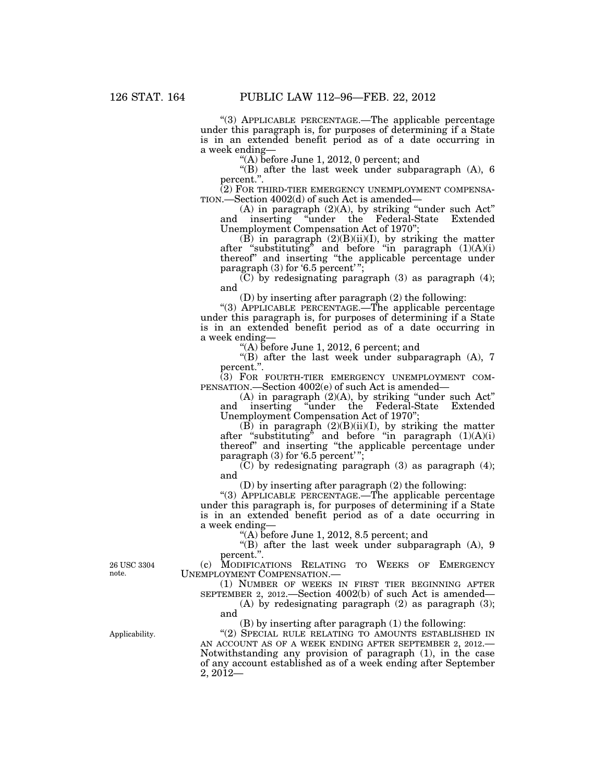''(3) APPLICABLE PERCENTAGE.—The applicable percentage under this paragraph is, for purposes of determining if a State is in an extended benefit period as of a date occurring in a week ending—

''(A) before June 1, 2012, 0 percent; and

''(B) after the last week under subparagraph (A), 6 percent.''.

(2) FOR THIRD-TIER EMERGENCY UNEMPLOYMENT COMPENSATION.—Section  $4002(d)$  of such Act is amended—

(A) in paragraph (2)(A), by striking ''under such Act'' and inserting ''under the Federal-State Extended Unemployment Compensation Act of 1970'';

(B) in paragraph  $(2)(B)(ii)(I)$ , by striking the matter after "substituting" and before "in paragraph  $(1)(A)(i)$ thereof'' and inserting ''the applicable percentage under paragraph (3) for '6.5 percent'";

 $(C)$  by redesignating paragraph  $(3)$  as paragraph  $(4)$ ; and

(D) by inserting after paragraph (2) the following:

''(3) APPLICABLE PERCENTAGE.—The applicable percentage under this paragraph is, for purposes of determining if a State is in an extended benefit period as of a date occurring in a week ending—

''(A) before June 1, 2012, 6 percent; and

''(B) after the last week under subparagraph (A), 7 percent.''.

(3) FOR FOURTH-TIER EMERGENCY UNEMPLOYMENT COM-PENSATION.—Section 4002(e) of such Act is amended—

(A) in paragraph (2)(A), by striking ''under such Act'' and inserting ''under the Federal-State Extended Unemployment Compensation Act of 1970'

(B) in paragraph  $(2)(B)(ii)(I)$ , by striking the matter after "substituting" and before "in paragraph  $(1)(A)(i)$ thereof'' and inserting ''the applicable percentage under paragraph  $(3)$  for '6.5 percent'";

 $(C)$  by redesignating paragraph  $(3)$  as paragraph  $(4)$ ; and

(D) by inserting after paragraph (2) the following:

"(3) APPLICABLE PERCENTAGE.—The applicable percentage under this paragraph is, for purposes of determining if a State is in an extended benefit period as of a date occurring in a week ending—

''(A) before June 1, 2012, 8.5 percent; and

''(B) after the last week under subparagraph (A), 9 percent.''.

(c) MODIFICATIONS RELATING TO WEEKS OF EMERGENCY UNEMPLOYMENT COMPENSATION.—

(1) NUMBER OF WEEKS IN FIRST TIER BEGINNING AFTER SEPTEMBER 2, 2012.—Section 4002(b) of such Act is amended—

(A) by redesignating paragraph (2) as paragraph (3); and

(B) by inserting after paragraph (1) the following:

"(2) SPECIAL RULE RELATING TO AMOUNTS ESTABLISHED IN AN ACCOUNT AS OF A WEEK ENDING AFTER SEPTEMBER 2, 2012.— Notwithstanding any provision of paragraph (1), in the case of any account established as of a week ending after September 2, 2012—

26 USC 3304 note.

Applicability.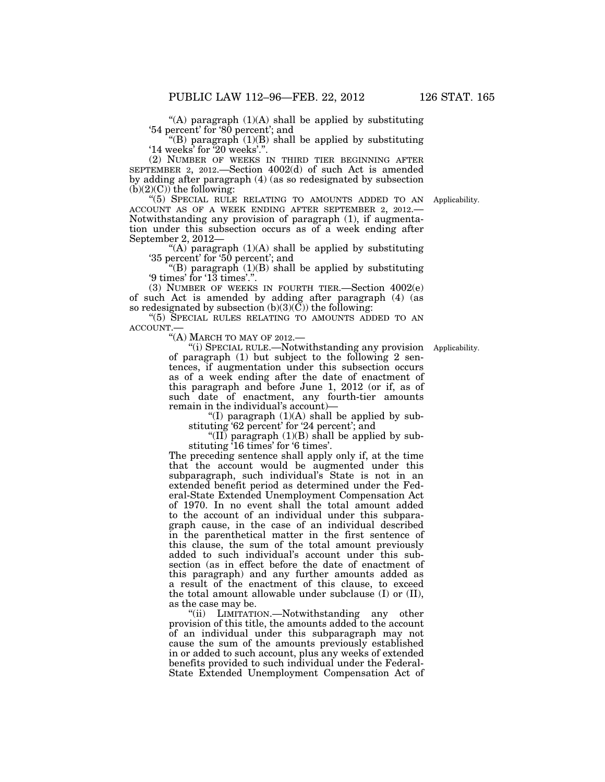"(A) paragraph  $(1)(A)$  shall be applied by substituting '54 percent' for '80 percent'; and

"(B) paragraph  $(1)(B)$  shall be applied by substituting '14 weeks' for '20 weeks'.''.

(2) NUMBER OF WEEKS IN THIRD TIER BEGINNING AFTER SEPTEMBER 2, 2012.—Section 4002(d) of such Act is amended by adding after paragraph (4) (as so redesignated by subsection  $(b)(2)(C)$  the following:

''(5) SPECIAL RULE RELATING TO AMOUNTS ADDED TO AN Applicability. ACCOUNT AS OF A WEEK ENDING AFTER SEPTEMBER 2, 2012.— Notwithstanding any provision of paragraph (1), if augmentation under this subsection occurs as of a week ending after September 2, 2012—

"(A) paragraph  $(1)(A)$  shall be applied by substituting '35 percent' for '50 percent'; and

"(B) paragraph  $(1)(B)$  shall be applied by substituting '9 times' for '13 times'.''.

(3) NUMBER OF WEEKS IN FOURTH TIER.—Section 4002(e) of such Act is amended by adding after paragraph (4) (as so redesignated by subsection (b)(3)(C)) the following:

''(5) SPECIAL RULES RELATING TO AMOUNTS ADDED TO AN ACCOUNT.—

"(A) MARCH TO MAY OF 2012.-

''(i) SPECIAL RULE.—Notwithstanding any provision Applicability. of paragraph (1) but subject to the following 2 sentences, if augmentation under this subsection occurs as of a week ending after the date of enactment of this paragraph and before June 1, 2012 (or if, as of such date of enactment, any fourth-tier amounts remain in the individual's account)—

"(I) paragraph  $(1)(A)$  shall be applied by substituting '62 percent' for '24 percent'; and

"(II) paragraph  $(1)(B)$  shall be applied by substituting '16 times' for '6 times'.

The preceding sentence shall apply only if, at the time that the account would be augmented under this subparagraph, such individual's State is not in an extended benefit period as determined under the Federal-State Extended Unemployment Compensation Act of 1970. In no event shall the total amount added to the account of an individual under this subparagraph cause, in the case of an individual described in the parenthetical matter in the first sentence of this clause, the sum of the total amount previously added to such individual's account under this subsection (as in effect before the date of enactment of this paragraph) and any further amounts added as a result of the enactment of this clause, to exceed the total amount allowable under subclause (I) or (II), as the case may be.

''(ii) LIMITATION.—Notwithstanding any other provision of this title, the amounts added to the account of an individual under this subparagraph may not cause the sum of the amounts previously established in or added to such account, plus any weeks of extended benefits provided to such individual under the Federal-State Extended Unemployment Compensation Act of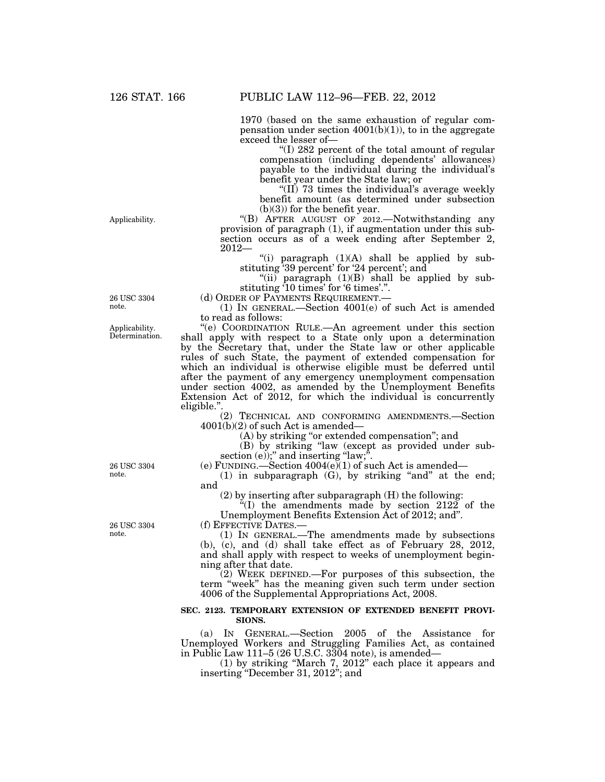1970 (based on the same exhaustion of regular compensation under section  $4001(b)(1)$ , to in the aggregate exceed the lesser of—

''(I) 282 percent of the total amount of regular compensation (including dependents' allowances) payable to the individual during the individual's benefit year under the State law; or

"(II) 73 times the individual's average weekly benefit amount (as determined under subsection  $(b)(3)$  for the benefit year.

''(B) AFTER AUGUST OF 2012.—Notwithstanding any provision of paragraph (1), if augmentation under this subsection occurs as of a week ending after September 2, 2012—

"(i) paragraph  $(1)(A)$  shall be applied by substituting '39 percent' for '24 percent'; and

"(ii) paragraph (1)(B) shall be applied by substituting '10 times' for '6 times'.''.

(d) ORDER OF PAYMENTS REQUIREMENT.—

(1) IN GENERAL.—Section 4001(e) of such Act is amended to read as follows:

''(e) COORDINATION RULE.—An agreement under this section shall apply with respect to a State only upon a determination by the Secretary that, under the State law or other applicable rules of such State, the payment of extended compensation for which an individual is otherwise eligible must be deferred until after the payment of any emergency unemployment compensation under section 4002, as amended by the Unemployment Benefits Extension Act of 2012, for which the individual is concurrently eligible.''.

(2) TECHNICAL AND CONFORMING AMENDMENTS.—Section 4001(b)(2) of such Act is amended—

(A) by striking "or extended compensation"; and

(B) by striking ''law (except as provided under subsection  $(e)$ ;" and inserting "law;".

(e) FUNDING.—Section 4004(e)(1) of such Act is amended—

 $(1)$  in subparagraph  $(G)$ , by striking "and" at the end; and

(2) by inserting after subparagraph (H) the following:

 $*(I)$  the amendments made by section 2122 of the Unemployment Benefits Extension Act of 2012; and''.

(f) EFFECTIVE DATES.—

(1) IN GENERAL.—The amendments made by subsections (b), (c), and (d) shall take effect as of February 28, 2012, and shall apply with respect to weeks of unemployment beginning after that date.

(2) WEEK DEFINED.—For purposes of this subsection, the term ''week'' has the meaning given such term under section 4006 of the Supplemental Appropriations Act, 2008.

#### **SEC. 2123. TEMPORARY EXTENSION OF EXTENDED BENEFIT PROVI-SIONS.**

(a) IN GENERAL.—Section 2005 of the Assistance for Unemployed Workers and Struggling Families Act, as contained in Public Law 111–5 (26 U.S.C. 3304 note), is amended—

(1) by striking ''March 7, 2012'' each place it appears and inserting ''December 31, 2012''; and

26 USC 3304 note.

Applicability.

Applicability. Determination.

26 USC 3304 note.

26 USC 3304 note.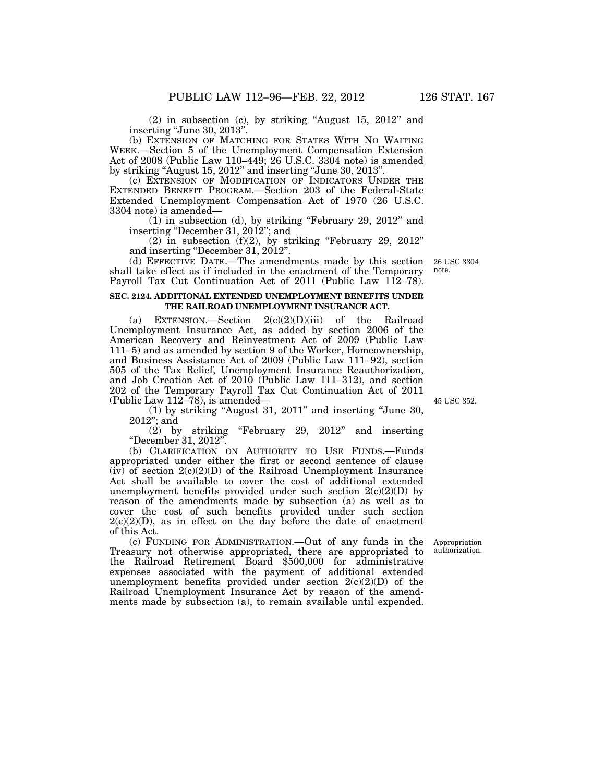(2) in subsection (c), by striking ''August 15, 2012'' and inserting "June 30, 2013".

(b) EXTENSION OF MATCHING FOR STATES WITH NO WAITING WEEK.—Section 5 of the Unemployment Compensation Extension Act of 2008 (Public Law 110–449; 26 U.S.C. 3304 note) is amended by striking ''August 15, 2012'' and inserting ''June 30, 2013''.

(c) EXTENSION OF MODIFICATION OF INDICATORS UNDER THE EXTENDED BENEFIT PROGRAM.—Section 203 of the Federal-State Extended Unemployment Compensation Act of 1970 (26 U.S.C. 3304 note) is amended—

(1) in subsection (d), by striking ''February 29, 2012'' and inserting "December 31, 2012"; and

 $(2)$  in subsection  $(f)(2)$ , by striking "February 29, 2012" and inserting ''December 31, 2012''.

(d) EFFECTIVE DATE.—The amendments made by this section shall take effect as if included in the enactment of the Temporary Payroll Tax Cut Continuation Act of 2011 (Public Law 112–78).

## **SEC. 2124. ADDITIONAL EXTENDED UNEMPLOYMENT BENEFITS UNDER THE RAILROAD UNEMPLOYMENT INSURANCE ACT.**

(a) EXTENSION.—Section  $2(c)(2)(D)(iii)$  of the Railroad Unemployment Insurance Act, as added by section 2006 of the American Recovery and Reinvestment Act of 2009 (Public Law 111–5) and as amended by section 9 of the Worker, Homeownership, and Business Assistance Act of 2009 (Public Law 111–92), section 505 of the Tax Relief, Unemployment Insurance Reauthorization, and Job Creation Act of 2010 (Public Law 111–312), and section 202 of the Temporary Payroll Tax Cut Continuation Act of 2011 (Public Law 112–78), is amended—

(1) by striking ''August 31, 2011'' and inserting ''June 30, 2012''; and

 $(2)$  by striking "February 29, 2012" and inserting ''December 31, 2012''.

(b) CLARIFICATION ON AUTHORITY TO USE FUNDS.—Funds appropriated under either the first or second sentence of clause  $(iv)$  of section  $2(c)(2)(D)$  of the Railroad Unemployment Insurance Act shall be available to cover the cost of additional extended unemployment benefits provided under such section  $2(c)(2)(D)$  by reason of the amendments made by subsection (a) as well as to cover the cost of such benefits provided under such section  $2(c)(2)(D)$ , as in effect on the day before the date of enactment of this Act.

(c) FUNDING FOR ADMINISTRATION.—Out of any funds in the Treasury not otherwise appropriated, there are appropriated to the Railroad Retirement Board \$500,000 for administrative expenses associated with the payment of additional extended unemployment benefits provided under section  $2(c)(2)(D)$  of the Railroad Unemployment Insurance Act by reason of the amendments made by subsection (a), to remain available until expended.

45 USC 352.

26 USC 3304 note.

Appropriation authorization.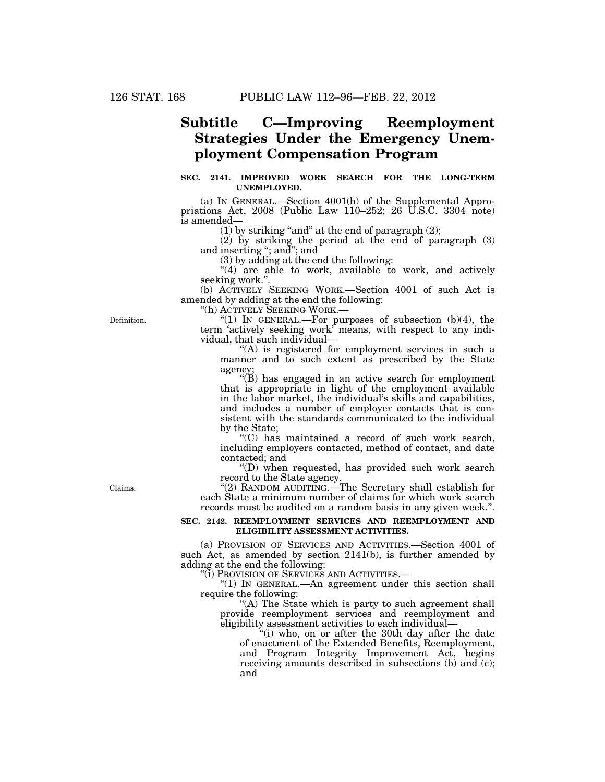## **Subtitle C—Improving Reemployment Strategies Under the Emergency Unemployment Compensation Program**

## **SEC. 2141. IMPROVED WORK SEARCH FOR THE LONG-TERM UNEMPLOYED.**

(a) IN GENERAL.—Section 4001(b) of the Supplemental Appropriations Act,  $2008$  (Public Law  $110-252$ ;  $26$  U.S.C.  $3304$  note) is amended—

(1) by striking "and" at the end of paragraph  $(2)$ ;

(2) by striking the period at the end of paragraph (3) and inserting ''; and''; and

(3) by adding at the end the following:

"(4) are able to work, available to work, and actively seeking work."

(b) ACTIVELY SEEKING WORK.—Section 4001 of such Act is amended by adding at the end the following:

''(h) ACTIVELY SEEKING WORK.—

"(1) IN GENERAL.—For purposes of subsection  $(b)(4)$ , the term 'actively seeking work' means, with respect to any individual, that such individual—

''(A) is registered for employment services in such a manner and to such extent as prescribed by the State agency;

 $\mathcal{F}(B)$  has engaged in an active search for employment that is appropriate in light of the employment available in the labor market, the individual's skills and capabilities, and includes a number of employer contacts that is consistent with the standards communicated to the individual by the State;

''(C) has maintained a record of such work search, including employers contacted, method of contact, and date contacted; and

''(D) when requested, has provided such work search record to the State agency.

"(2) RANDOM AUDITING.—The Secretary shall establish for each State a minimum number of claims for which work search records must be audited on a random basis in any given week.''.

### **SEC. 2142. REEMPLOYMENT SERVICES AND REEMPLOYMENT AND ELIGIBILITY ASSESSMENT ACTIVITIES.**

(a) PROVISION OF SERVICES AND ACTIVITIES.—Section 4001 of such Act, as amended by section 2141(b), is further amended by adding at the end the following:

''(i) PROVISION OF SERVICES AND ACTIVITIES.—

"(1) IN GENERAL.—An agreement under this section shall require the following:

"(A) The State which is party to such agreement shall provide reemployment services and reemployment and eligibility assessment activities to each individual—

''(i) who, on or after the 30th day after the date of enactment of the Extended Benefits, Reemployment, and Program Integrity Improvement Act, begins receiving amounts described in subsections (b) and  $(c)$ ; and

Definition.

Claims.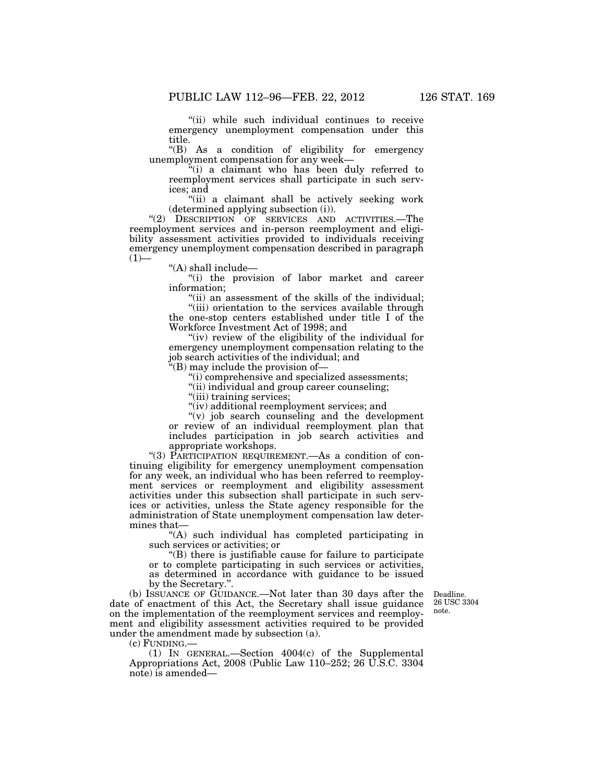''(ii) while such individual continues to receive emergency unemployment compensation under this title.

''(B) As a condition of eligibility for emergency unemployment compensation for any week—

''(i) a claimant who has been duly referred to reemployment services shall participate in such services; and

''(ii) a claimant shall be actively seeking work (determined applying subsection (i)).

"(2) DESCRIPTION OF SERVICES AND ACTIVITIES.—The reemployment services and in-person reemployment and eligibility assessment activities provided to individuals receiving emergency unemployment compensation described in paragraph  $(1)$ 

''(A) shall include—

''(i) the provision of labor market and career information;

"(ii) an assessment of the skills of the individual; ''(iii) orientation to the services available through the one-stop centers established under title I of the Workforce Investment Act of 1998; and

"(iv) review of the eligibility of the individual for emergency unemployment compensation relating to the job search activities of the individual; and

''(B) may include the provision of—

''(i) comprehensive and specialized assessments;

''(ii) individual and group career counseling;

"(iii) training services;

"(iv) additional reemployment services; and

''(v) job search counseling and the development or review of an individual reemployment plan that includes participation in job search activities and appropriate workshops.

"(3) PARTICIPATION REQUIREMENT.—As a condition of continuing eligibility for emergency unemployment compensation for any week, an individual who has been referred to reemployment services or reemployment and eligibility assessment activities under this subsection shall participate in such services or activities, unless the State agency responsible for the administration of State unemployment compensation law determines that—

''(A) such individual has completed participating in such services or activities; or

''(B) there is justifiable cause for failure to participate or to complete participating in such services or activities, as determined in accordance with guidance to be issued by the Secretary.''.

> Deadline. 26 USC 3304 note.

(b) ISSUANCE OF GUIDANCE.—Not later than 30 days after the date of enactment of this Act, the Secretary shall issue guidance on the implementation of the reemployment services and reemployment and eligibility assessment activities required to be provided under the amendment made by subsection (a).

(c) FUNDING.—

(1) IN GENERAL.—Section 4004(c) of the Supplemental Appropriations Act, 2008 (Public Law 110–252; 26 U.S.C. 3304 note) is amended—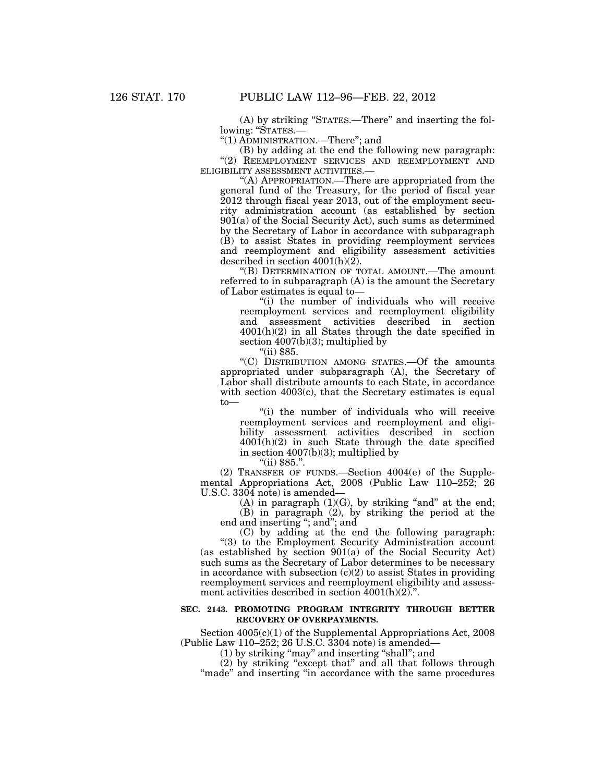(A) by striking ''STATES.—There'' and inserting the following: "STATES .-

''(1) ADMINISTRATION.—There''; and

(B) by adding at the end the following new paragraph: "(2) REEMPLOYMENT SERVICES AND REEMPLOYMENT AND ELIGIBILITY ASSESSMENT ACTIVITIES.—

''(A) APPROPRIATION.—There are appropriated from the general fund of the Treasury, for the period of fiscal year 2012 through fiscal year 2013, out of the employment security administration account (as established by section 901(a) of the Social Security Act), such sums as determined by the Secretary of Labor in accordance with subparagraph (B) to assist States in providing reemployment services and reemployment and eligibility assessment activities described in section 4001(h)(2).

''(B) DETERMINATION OF TOTAL AMOUNT.—The amount referred to in subparagraph (A) is the amount the Secretary of Labor estimates is equal to—

''(i) the number of individuals who will receive reemployment services and reemployment eligibility and assessment activities described in section 4001(h)(2) in all States through the date specified in section 4007(b)(3); multiplied by

 $"$ (ii) \$85.

''(C) DISTRIBUTION AMONG STATES.—Of the amounts appropriated under subparagraph (A), the Secretary of Labor shall distribute amounts to each State, in accordance with section 4003(c), that the Secretary estimates is equal to—

''(i) the number of individuals who will receive reemployment services and reemployment and eligibility assessment activities described in section  $4001(h)(2)$  in such State through the date specified in section  $4007(b)(3)$ ; multiplied by

 $"$ (ii) \$85.".

(2) TRANSFER OF FUNDS.—Section 4004(e) of the Supplemental Appropriations Act, 2008 (Public Law 110–252; 26 U.S.C. 3304 note) is amended—

(A) in paragraph  $(1)(G)$ , by striking "and" at the end; (B) in paragraph (2), by striking the period at the end and inserting "; and"; and

(C) by adding at the end the following paragraph:

"(3) to the Employment Security Administration account (as established by section 901(a) of the Social Security Act) such sums as the Secretary of Labor determines to be necessary in accordance with subsection  $(c)(2)$  to assist States in providing reemployment services and reemployment eligibility and assessment activities described in section  $4001(h)(2)$ .".

## **SEC. 2143. PROMOTING PROGRAM INTEGRITY THROUGH BETTER RECOVERY OF OVERPAYMENTS.**

Section  $4005(c)(1)$  of the Supplemental Appropriations Act, 2008 (Public Law 110–252; 26 U.S.C. 3304 note) is amended—

(1) by striking ''may'' and inserting ''shall''; and

(2) by striking ''except that'' and all that follows through "made" and inserting "in accordance with the same procedures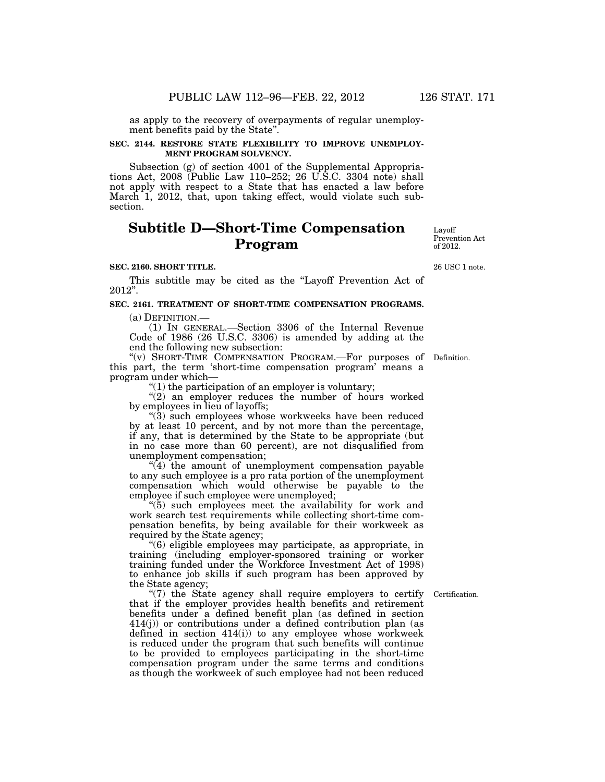as apply to the recovery of overpayments of regular unemployment benefits paid by the State''.

#### **SEC. 2144. RESTORE STATE FLEXIBILITY TO IMPROVE UNEMPLOY-MENT PROGRAM SOLVENCY.**

Subsection (g) of section 4001 of the Supplemental Appropriations Act, 2008 (Public Law 110–252; 26 U.S.C. 3304 note) shall not apply with respect to a State that has enacted a law before March  $1$ , 2012, that, upon taking effect, would violate such subsection.

# **Subtitle D—Short-Time Compensation Program**

#### **SEC. 2160. SHORT TITLE.**

This subtitle may be cited as the "Layoff Prevention Act of 2012''.

### **SEC. 2161. TREATMENT OF SHORT-TIME COMPENSATION PROGRAMS.**

(a) DEFINITION.—

(1) IN GENERAL.—Section 3306 of the Internal Revenue Code of 1986 (26 U.S.C. 3306) is amended by adding at the end the following new subsection:

"(v) SHORT-TIME COMPENSATION PROGRAM.—For purposes of Definition. this part, the term 'short-time compensation program' means a program under which—

''(1) the participation of an employer is voluntary;

"(2) an employer reduces the number of hours worked by employees in lieu of layoffs;

''(3) such employees whose workweeks have been reduced by at least 10 percent, and by not more than the percentage, if any, that is determined by the State to be appropriate (but in no case more than 60 percent), are not disqualified from unemployment compensation;

 $\sqrt[4]{(4)}$  the amount of unemployment compensation payable to any such employee is a pro rata portion of the unemployment compensation which would otherwise be payable to the employee if such employee were unemployed;

''(5) such employees meet the availability for work and work search test requirements while collecting short-time compensation benefits, by being available for their workweek as required by the State agency;

''(6) eligible employees may participate, as appropriate, in training (including employer-sponsored training or worker training funded under the Workforce Investment Act of 1998) to enhance job skills if such program has been approved by the State agency;

"(7) the State agency shall require employers to certify" that if the employer provides health benefits and retirement benefits under a defined benefit plan (as defined in section 414(j)) or contributions under a defined contribution plan (as defined in section 414(i)) to any employee whose workweek is reduced under the program that such benefits will continue to be provided to employees participating in the short-time compensation program under the same terms and conditions as though the workweek of such employee had not been reduced

Prevention Act of 2012.

Layoff

26 USC 1 note.

Certification.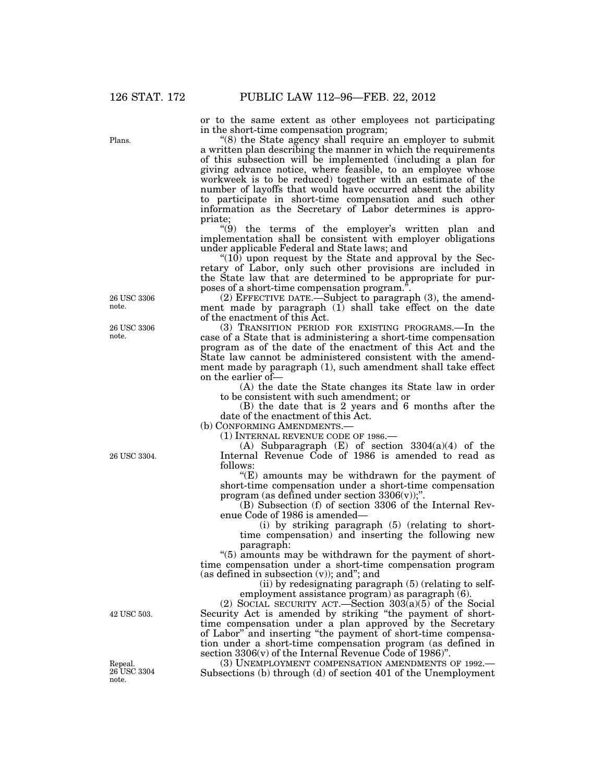Plans.

or to the same extent as other employees not participating in the short-time compensation program;

''(8) the State agency shall require an employer to submit a written plan describing the manner in which the requirements of this subsection will be implemented (including a plan for giving advance notice, where feasible, to an employee whose workweek is to be reduced) together with an estimate of the number of layoffs that would have occurred absent the ability to participate in short-time compensation and such other information as the Secretary of Labor determines is appropriate;

 $(9)$  the terms of the employer's written plan and implementation shall be consistent with employer obligations under applicable Federal and State laws; and

" $(10)$  upon request by the State and approval by the Secretary of Labor, only such other provisions are included in the State law that are determined to be appropriate for purposes of a short-time compensation program.''.

(2) EFFECTIVE DATE.—Subject to paragraph (3), the amendment made by paragraph (1) shall take effect on the date of the enactment of this Act.

(3) TRANSITION PERIOD FOR EXISTING PROGRAMS.—In the case of a State that is administering a short-time compensation program as of the date of the enactment of this Act and the State law cannot be administered consistent with the amendment made by paragraph (1), such amendment shall take effect on the earlier of—

(A) the date the State changes its State law in order to be consistent with such amendment; or

(B) the date that is 2 years and 6 months after the date of the enactment of this Act.

(b) CONFORMING AMENDMENTS.

(1) INTERNAL REVENUE CODE OF 1986.—

(A) Subparagraph  $(E)$  of section 3304(a)(4) of the Internal Revenue Code of 1986 is amended to read as follows:

''(E) amounts may be withdrawn for the payment of short-time compensation under a short-time compensation program (as defined under section  $3306(v)$ );".

(B) Subsection (f) of section 3306 of the Internal Revenue Code of 1986 is amended—

(i) by striking paragraph (5) (relating to shorttime compensation) and inserting the following new paragraph:

"(5) amounts may be withdrawn for the payment of shorttime compensation under a short-time compensation program (as defined in subsection (v)); and''; and

(ii) by redesignating paragraph (5) (relating to selfemployment assistance program) as paragraph (6).

(2) SOCIAL SECURITY ACT.—Section 303(a)(5) of the Social Security Act is amended by striking ''the payment of shorttime compensation under a plan approved by the Secretary of Labor'' and inserting ''the payment of short-time compensation under a short-time compensation program (as defined in section 3306(v) of the Internal Revenue Code of 1986)".<br>(3) UNEMPLOYMENT COMPENSATION AMENDMENTS OF 1992.—

Subsections (b) through (d) of section 401 of the Unemployment

26 USC 3306 note.

26 USC 3306 note.

26 USC 3304.

42 USC 503.

Repeal. 26 USC 3304 note.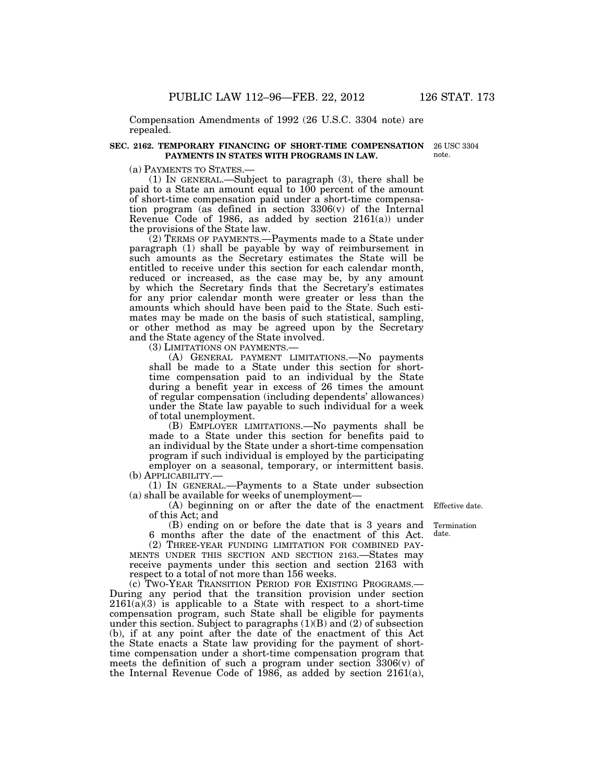Compensation Amendments of 1992 (26 U.S.C. 3304 note) are repealed.

### **SEC. 2162. TEMPORARY FINANCING OF SHORT-TIME COMPENSATION PAYMENTS IN STATES WITH PROGRAMS IN LAW.**

(a) PAYMENTS TO STATES.— (1) IN GENERAL.—Subject to paragraph (3), there shall be paid to a State an amount equal to 100 percent of the amount of short-time compensation paid under a short-time compensation program (as defined in section 3306(v) of the Internal Revenue Code of 1986, as added by section 2161(a)) under the provisions of the State law.

(2) TERMS OF PAYMENTS.—Payments made to a State under paragraph (1) shall be payable by way of reimbursement in such amounts as the Secretary estimates the State will be entitled to receive under this section for each calendar month, reduced or increased, as the case may be, by any amount by which the Secretary finds that the Secretary's estimates for any prior calendar month were greater or less than the amounts which should have been paid to the State. Such estimates may be made on the basis of such statistical, sampling, or other method as may be agreed upon by the Secretary and the State agency of the State involved.

(3) LIMITATIONS ON PAYMENTS.—

(A) GENERAL PAYMENT LIMITATIONS.—No payments shall be made to a State under this section for shorttime compensation paid to an individual by the State during a benefit year in excess of 26 times the amount of regular compensation (including dependents' allowances) under the State law payable to such individual for a week of total unemployment.

(B) EMPLOYER LIMITATIONS.—No payments shall be made to a State under this section for benefits paid to an individual by the State under a short-time compensation program if such individual is employed by the participating employer on a seasonal, temporary, or intermittent basis.

(b) APPLICABILITY.—

(1) IN GENERAL.—Payments to a State under subsection (a) shall be available for weeks of unemployment—

(A) beginning on or after the date of the enactment Effective date. of this Act; and

(B) ending on or before the date that is 3 years and Termination 6 months after the date of the enactment of this Act.

(2) THREE-YEAR FUNDING LIMITATION FOR COMBINED PAY-MENTS UNDER THIS SECTION AND SECTION 2163.—States may receive payments under this section and section 2163 with respect to a total of not more than 156 weeks.

(c) TWO-YEAR TRANSITION PERIOD FOR EXISTING PROGRAMS.— During any period that the transition provision under section  $2161(a)(3)$  is applicable to a State with respect to a short-time compensation program, such State shall be eligible for payments under this section. Subject to paragraphs  $(1)(B)$  and  $(2)$  of subsection (b), if at any point after the date of the enactment of this Act the State enacts a State law providing for the payment of shorttime compensation under a short-time compensation program that meets the definition of such a program under section 3306(v) of the Internal Revenue Code of 1986, as added by section 2161(a),

date.

26 USC 3304 note.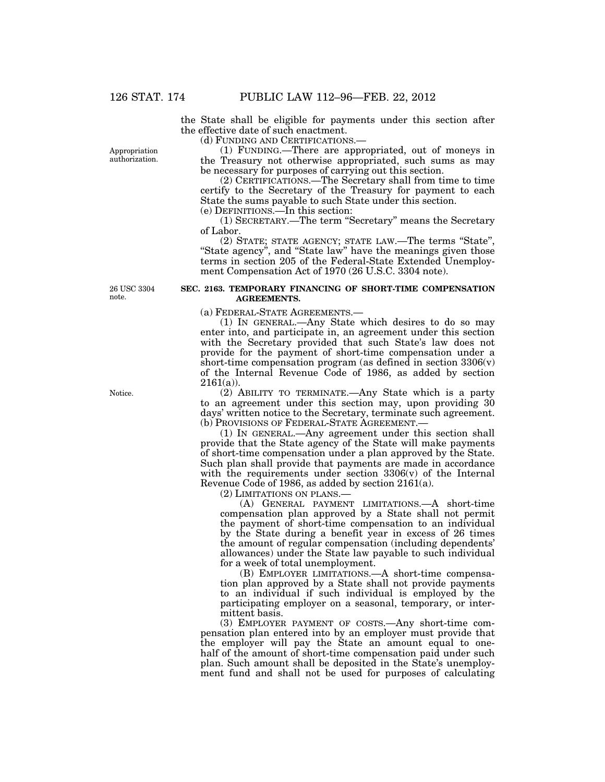Appropriation authorization. the State shall be eligible for payments under this section after the effective date of such enactment.

(d) FUNDING AND CERTIFICATIONS.—

(1) FUNDING.—There are appropriated, out of moneys in the Treasury not otherwise appropriated, such sums as may be necessary for purposes of carrying out this section.

(2) CERTIFICATIONS.—The Secretary shall from time to time certify to the Secretary of the Treasury for payment to each State the sums payable to such State under this section.

(e) DEFINITIONS.—In this section:

(1) SECRETARY.—The term ''Secretary'' means the Secretary of Labor.

(2) STATE; STATE AGENCY; STATE LAW.—The terms ''State'', "State agency", and "State law" have the meanings given those terms in section 205 of the Federal-State Extended Unemployment Compensation Act of 1970 (26 U.S.C. 3304 note).

26 USC 3304 note.

#### **SEC. 2163. TEMPORARY FINANCING OF SHORT-TIME COMPENSATION AGREEMENTS.**

(a) FEDERAL-STATE AGREEMENTS.—

(1) IN GENERAL.—Any State which desires to do so may enter into, and participate in, an agreement under this section with the Secretary provided that such State's law does not provide for the payment of short-time compensation under a short-time compensation program (as defined in section  $3306(v)$ ) of the Internal Revenue Code of 1986, as added by section  $2161(a)$ ).

(2) ABILITY TO TERMINATE.—Any State which is a party to an agreement under this section may, upon providing 30 days' written notice to the Secretary, terminate such agreement. (b) PROVISIONS OF FEDERAL-STATE AGREEMENT.—

(1) IN GENERAL.—Any agreement under this section shall provide that the State agency of the State will make payments of short-time compensation under a plan approved by the State. Such plan shall provide that payments are made in accordance with the requirements under section  $3306(v)$  of the Internal Revenue Code of 1986, as added by section 2161(a).

(2) LIMITATIONS ON PLANS.—

(A) GENERAL PAYMENT LIMITATIONS.—A short-time compensation plan approved by a State shall not permit the payment of short-time compensation to an individual by the State during a benefit year in excess of 26 times the amount of regular compensation (including dependents' allowances) under the State law payable to such individual for a week of total unemployment.

(B) EMPLOYER LIMITATIONS.—A short-time compensation plan approved by a State shall not provide payments to an individual if such individual is employed by the participating employer on a seasonal, temporary, or intermittent basis.

(3) EMPLOYER PAYMENT OF COSTS.—Any short-time compensation plan entered into by an employer must provide that the employer will pay the State an amount equal to onehalf of the amount of short-time compensation paid under such plan. Such amount shall be deposited in the State's unemployment fund and shall not be used for purposes of calculating

Notice.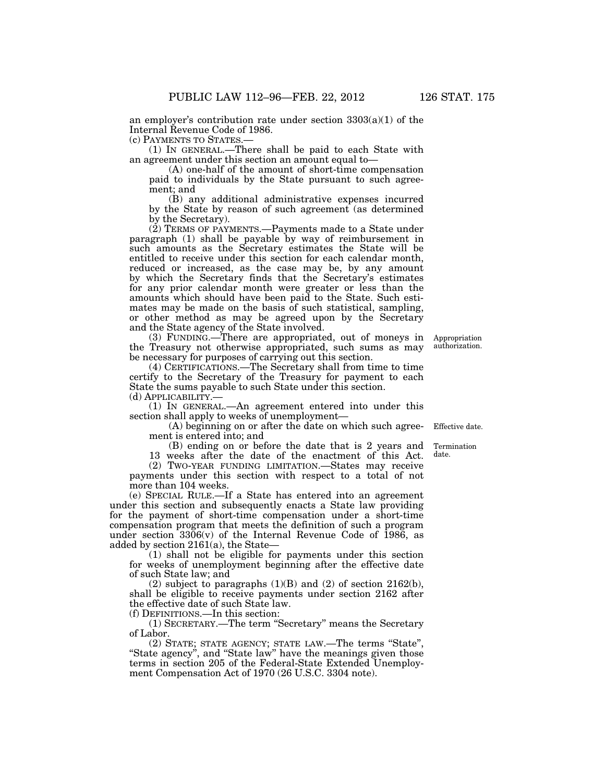an employer's contribution rate under section  $3303(a)(1)$  of the Internal Revenue Code of 1986.

(c) PAYMENTS TO STATES.—

(1) IN GENERAL.—There shall be paid to each State with an agreement under this section an amount equal to—

(A) one-half of the amount of short-time compensation paid to individuals by the State pursuant to such agreement; and

(B) any additional administrative expenses incurred by the State by reason of such agreement (as determined by the Secretary).

(2) TERMS OF PAYMENTS.—Payments made to a State under paragraph (1) shall be payable by way of reimbursement in such amounts as the Secretary estimates the State will be entitled to receive under this section for each calendar month, reduced or increased, as the case may be, by any amount by which the Secretary finds that the Secretary's estimates for any prior calendar month were greater or less than the amounts which should have been paid to the State. Such estimates may be made on the basis of such statistical, sampling, or other method as may be agreed upon by the Secretary and the State agency of the State involved.

(3) FUNDING.—There are appropriated, out of moneys in Appropriation the Treasury not otherwise appropriated, such sums as may be necessary for purposes of carrying out this section. authorization.

(4) CERTIFICATIONS.—The Secretary shall from time to time certify to the Secretary of the Treasury for payment to each State the sums payable to such State under this section.

(d) APPLICABILITY.—

(1) IN GENERAL.—An agreement entered into under this section shall apply to weeks of unemployment—

(A) beginning on or after the date on which such agreement is entered into; and

(B) ending on or before the date that is 2 years and

13 weeks after the date of the enactment of this Act.

(2) TWO-YEAR FUNDING LIMITATION.—States may receive payments under this section with respect to a total of not more than 104 weeks.

(e) SPECIAL RULE.—If a State has entered into an agreement under this section and subsequently enacts a State law providing for the payment of short-time compensation under a short-time compensation program that meets the definition of such a program under section  $3306(v)$  of the Internal Revenue Code of 1986, as added by section 2161(a), the State—

(1) shall not be eligible for payments under this section for weeks of unemployment beginning after the effective date of such State law; and

(2) subject to paragraphs  $(1)(B)$  and  $(2)$  of section  $2162(b)$ , shall be eligible to receive payments under section 2162 after the effective date of such State law.

(f) DEFINITIONS.—In this section:

(1) SECRETARY.—The term ''Secretary'' means the Secretary of Labor.

(2) STATE; STATE AGENCY; STATE LAW.—The terms ''State'', "State agency", and "State law" have the meanings given those terms in section 205 of the Federal-State Extended Unemployment Compensation Act of 1970 (26 U.S.C. 3304 note).

Effective date.

Termination date.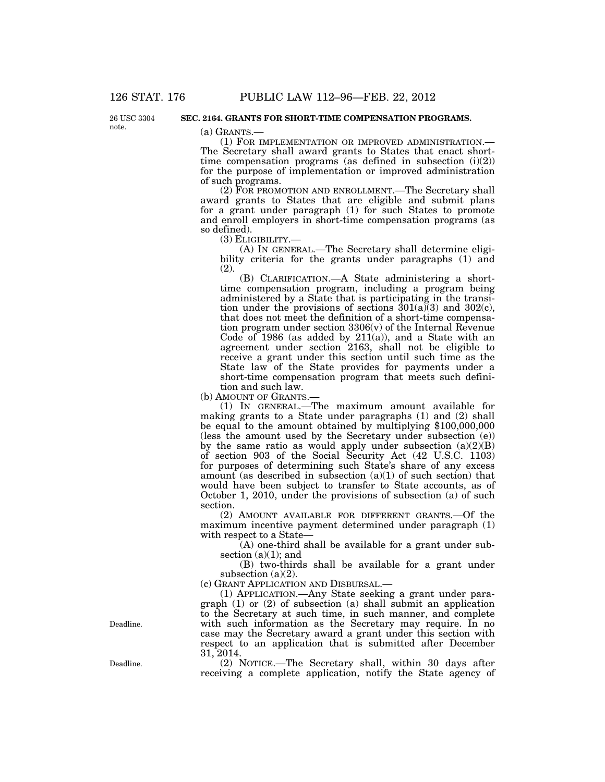26 USC 3304 note.

#### **SEC. 2164. GRANTS FOR SHORT-TIME COMPENSATION PROGRAMS.**

(a) GRANTS.— (1) FOR IMPLEMENTATION OR IMPROVED ADMINISTRATION.— The Secretary shall award grants to States that enact shorttime compensation programs (as defined in subsection (i)(2)) for the purpose of implementation or improved administration of such programs.

(2) FOR PROMOTION AND ENROLLMENT.—The Secretary shall award grants to States that are eligible and submit plans for a grant under paragraph (1) for such States to promote and enroll employers in short-time compensation programs (as so defined).<br>(3) ELIGIBILITY.-

(A) IN GENERAL.—The Secretary shall determine eligibility criteria for the grants under paragraphs (1) and (2).

(B) CLARIFICATION.—A State administering a shorttime compensation program, including a program being administered by a State that is participating in the transition under the provisions of sections  $301(a)\overline{3}$  and  $302(c)$ , that does not meet the definition of a short-time compensation program under section 3306(v) of the Internal Revenue Code of  $1986$  (as added by  $211(a)$ ), and a State with an agreement under section 2163, shall not be eligible to receive a grant under this section until such time as the State law of the State provides for payments under a short-time compensation program that meets such definition and such law.

(b) AMOUNT OF GRANTS.—

(1) IN GENERAL.—The maximum amount available for making grants to a State under paragraphs (1) and (2) shall be equal to the amount obtained by multiplying \$100,000,000 (less the amount used by the Secretary under subsection (e)) by the same ratio as would apply under subsection  $(a)(2)(B)$ of section 903 of the Social Security Act (42 U.S.C. 1103) for purposes of determining such State's share of any excess amount (as described in subsection  $(a)(1)$  of such section) that would have been subject to transfer to State accounts, as of October 1, 2010, under the provisions of subsection (a) of such section.

(2) AMOUNT AVAILABLE FOR DIFFERENT GRANTS.—Of the maximum incentive payment determined under paragraph (1) with respect to a State—

(A) one-third shall be available for a grant under subsection  $(a)(1)$ ; and

(B) two-thirds shall be available for a grant under subsection (a)(2).

(c) GRANT APPLICATION AND DISBURSAL.—

(1) APPLICATION.—Any State seeking a grant under paragraph (1) or (2) of subsection (a) shall submit an application to the Secretary at such time, in such manner, and complete with such information as the Secretary may require. In no case may the Secretary award a grant under this section with respect to an application that is submitted after December 31, 2014.

(2) NOTICE.—The Secretary shall, within 30 days after receiving a complete application, notify the State agency of

Deadline.

Deadline.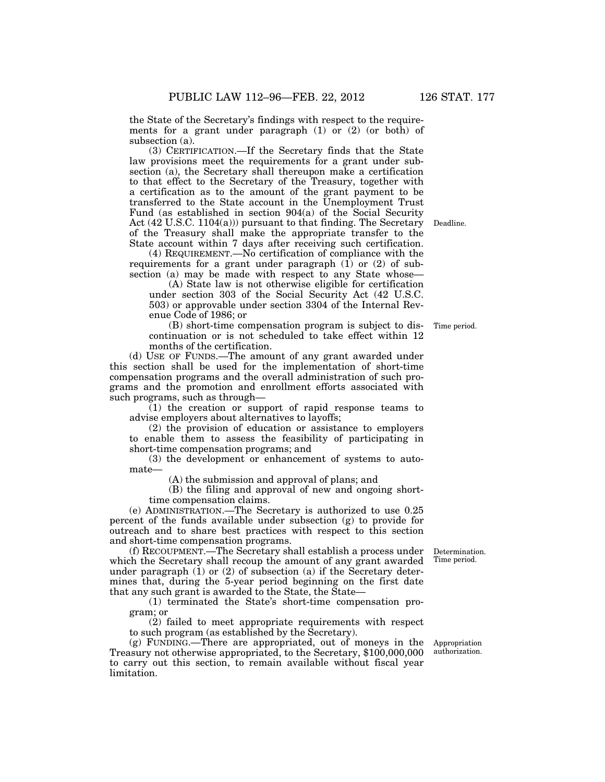the State of the Secretary's findings with respect to the requirements for a grant under paragraph (1) or (2) (or both) of subsection (a).

(3) CERTIFICATION.—If the Secretary finds that the State law provisions meet the requirements for a grant under subsection (a), the Secretary shall thereupon make a certification to that effect to the Secretary of the Treasury, together with a certification as to the amount of the grant payment to be transferred to the State account in the Unemployment Trust Fund (as established in section 904(a) of the Social Security Act (42 U.S.C. 1104(a))) pursuant to that finding. The Secretary of the Treasury shall make the appropriate transfer to the State account within 7 days after receiving such certification.

(4) REQUIREMENT.—No certification of compliance with the requirements for a grant under paragraph (1) or (2) of subsection (a) may be made with respect to any State whose—

(A) State law is not otherwise eligible for certification under section 303 of the Social Security Act (42 U.S.C. 503) or approvable under section 3304 of the Internal Revenue Code of 1986; or

(B) short-time compensation program is subject to discontinuation or is not scheduled to take effect within 12 months of the certification.

(d) USE OF FUNDS.—The amount of any grant awarded under this section shall be used for the implementation of short-time compensation programs and the overall administration of such programs and the promotion and enrollment efforts associated with such programs, such as through—

(1) the creation or support of rapid response teams to advise employers about alternatives to layoffs;

(2) the provision of education or assistance to employers to enable them to assess the feasibility of participating in short-time compensation programs; and

(3) the development or enhancement of systems to automate—

(A) the submission and approval of plans; and

(B) the filing and approval of new and ongoing shorttime compensation claims.

(e) ADMINISTRATION.—The Secretary is authorized to use 0.25 percent of the funds available under subsection (g) to provide for outreach and to share best practices with respect to this section and short-time compensation programs.

(f) RECOUPMENT.—The Secretary shall establish a process under which the Secretary shall recoup the amount of any grant awarded under paragraph  $(1)$  or  $(2)$  of subsection  $(a)$  if the Secretary determines that, during the 5-year period beginning on the first date that any such grant is awarded to the State, the State—

(1) terminated the State's short-time compensation program; or

(2) failed to meet appropriate requirements with respect to such program (as established by the Secretary).

(g) FUNDING.—There are appropriated, out of moneys in the Treasury not otherwise appropriated, to the Secretary, \$100,000,000 to carry out this section, to remain available without fiscal year limitation.

Appropriation authorization.

Determination. Time period.

Time period.

Deadline.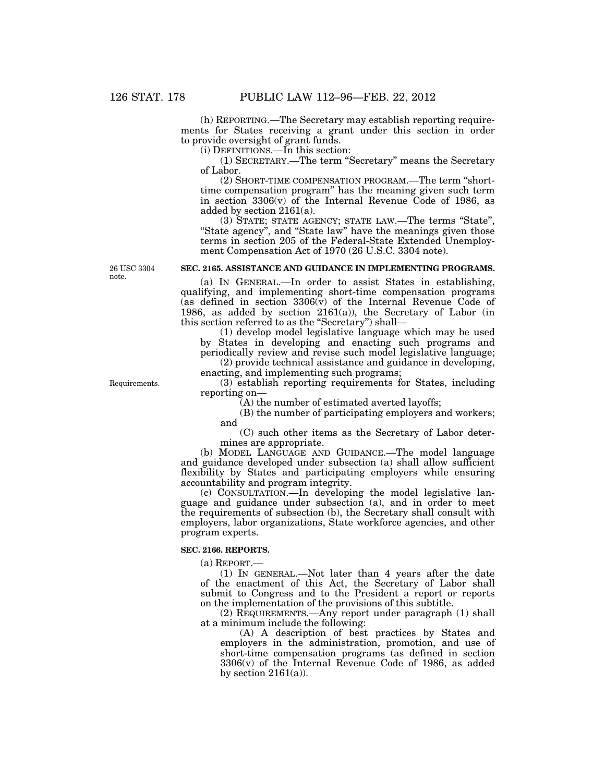(h) REPORTING.—The Secretary may establish reporting requirements for States receiving a grant under this section in order to provide oversight of grant funds.

(i) DEFINITIONS.—In this section:

(1) SECRETARY.—The term ''Secretary'' means the Secretary of Labor.

(2) SHORT-TIME COMPENSATION PROGRAM.—The term ''shorttime compensation program'' has the meaning given such term in section 3306(v) of the Internal Revenue Code of 1986, as added by section 2161(a).

(3) STATE; STATE AGENCY; STATE LAW.—The terms ''State'', "State agency", and "State law" have the meanings given those terms in section 205 of the Federal-State Extended Unemployment Compensation Act of 1970 (26 U.S.C. 3304 note).

#### **SEC. 2165. ASSISTANCE AND GUIDANCE IN IMPLEMENTING PROGRAMS.**

(a) IN GENERAL.—In order to assist States in establishing, qualifying, and implementing short-time compensation programs (as defined in section 3306(v) of the Internal Revenue Code of 1986, as added by section  $2161(a)$ , the Secretary of Labor (in this section referred to as the ''Secretary'') shall—

(1) develop model legislative language which may be used by States in developing and enacting such programs and periodically review and revise such model legislative language; (2) provide technical assistance and guidance in developing,

enacting, and implementing such programs;

(3) establish reporting requirements for States, including reporting on—

 $(A)$  the number of estimated averted layoffs;

(B) the number of participating employers and workers; and

(C) such other items as the Secretary of Labor determines are appropriate.

(b) MODEL LANGUAGE AND GUIDANCE.—The model language and guidance developed under subsection (a) shall allow sufficient flexibility by States and participating employers while ensuring accountability and program integrity.

(c) CONSULTATION.—In developing the model legislative language and guidance under subsection (a), and in order to meet the requirements of subsection (b), the Secretary shall consult with employers, labor organizations, State workforce agencies, and other program experts.

#### **SEC. 2166. REPORTS.**

(a) REPORT.—

(1) IN GENERAL.—Not later than 4 years after the date of the enactment of this Act, the Secretary of Labor shall submit to Congress and to the President a report or reports on the implementation of the provisions of this subtitle.

(2) REQUIREMENTS.—Any report under paragraph (1) shall at a minimum include the following:

(A) A description of best practices by States and employers in the administration, promotion, and use of short-time compensation programs (as defined in section 3306(v) of the Internal Revenue Code of 1986, as added by section  $2161(a)$ ).

26 USC 3304 note.

Requirements.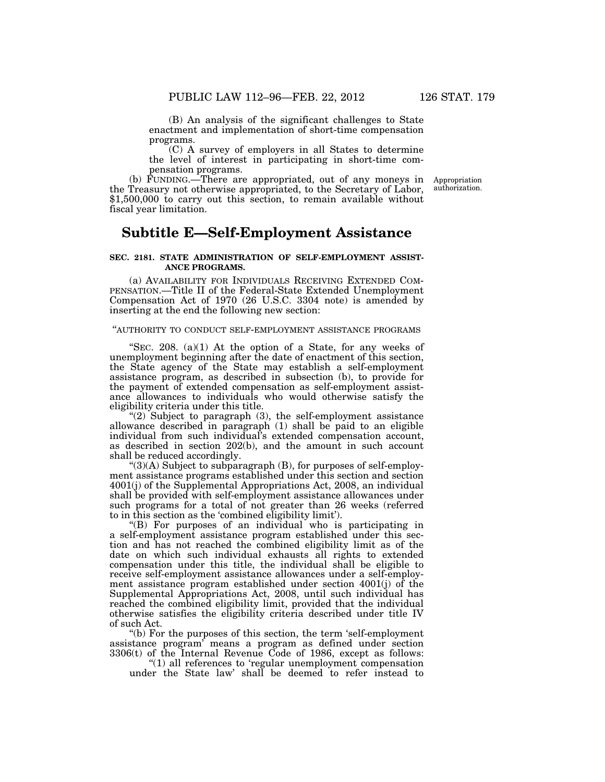(B) An analysis of the significant challenges to State enactment and implementation of short-time compensation programs.

(C) A survey of employers in all States to determine the level of interest in participating in short-time compensation programs.

(b) FUNDING.—There are appropriated, out of any moneys in Appropriation the Treasury not otherwise appropriated, to the Secretary of Labor, \$1,500,000 to carry out this section, to remain available without fiscal year limitation.

## **Subtitle E—Self-Employment Assistance**

### **SEC. 2181. STATE ADMINISTRATION OF SELF-EMPLOYMENT ASSIST-ANCE PROGRAMS.**

(a) AVAILABILITY FOR INDIVIDUALS RECEIVING EXTENDED COM-PENSATION.—Title II of the Federal-State Extended Unemployment Compensation Act of 1970 (26 U.S.C. 3304 note) is amended by inserting at the end the following new section:

## ''AUTHORITY TO CONDUCT SELF-EMPLOYMENT ASSISTANCE PROGRAMS

"SEC. 208.  $(a)(1)$  At the option of a State, for any weeks of unemployment beginning after the date of enactment of this section, the State agency of the State may establish a self-employment assistance program, as described in subsection (b), to provide for the payment of extended compensation as self-employment assistance allowances to individuals who would otherwise satisfy the eligibility criteria under this title.

" $(2)$  Subject to paragraph  $(3)$ , the self-employment assistance allowance described in paragraph (1) shall be paid to an eligible individual from such individual's extended compensation account, as described in section 202(b), and the amount in such account shall be reduced accordingly.

 $\degree$ (3)(A) Subject to subparagraph (B), for purposes of self-employment assistance programs established under this section and section 4001(j) of the Supplemental Appropriations Act, 2008, an individual shall be provided with self-employment assistance allowances under such programs for a total of not greater than 26 weeks (referred to in this section as the 'combined eligibility limit').

''(B) For purposes of an individual who is participating in a self-employment assistance program established under this section and has not reached the combined eligibility limit as of the date on which such individual exhausts all rights to extended compensation under this title, the individual shall be eligible to receive self-employment assistance allowances under a self-employment assistance program established under section 4001(j) of the Supplemental Appropriations Act, 2008, until such individual has reached the combined eligibility limit, provided that the individual otherwise satisfies the eligibility criteria described under title IV of such Act.

''(b) For the purposes of this section, the term 'self-employment assistance program' means a program as defined under section 3306(t) of the Internal Revenue Code of 1986, except as follows:

''(1) all references to 'regular unemployment compensation under the State law' shall be deemed to refer instead to

authorization.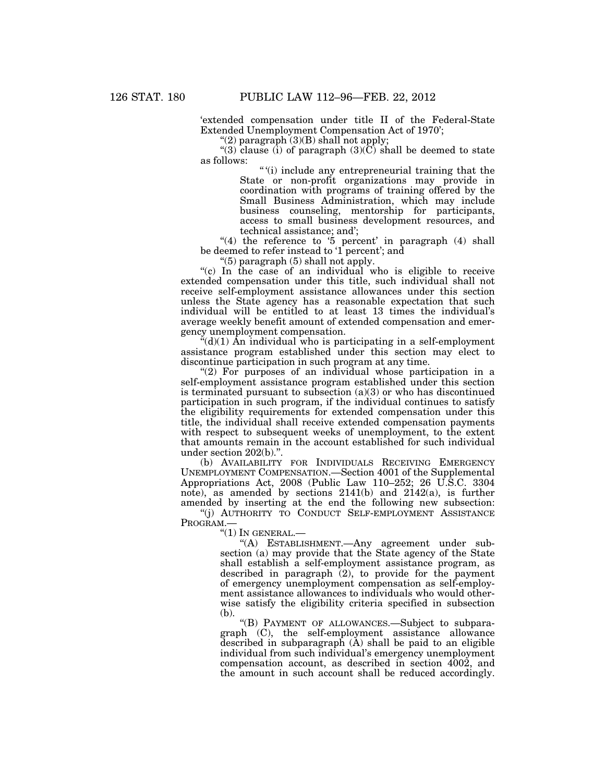'extended compensation under title II of the Federal-State Extended Unemployment Compensation Act of 1970';

"(2) paragraph  $(3)(B)$  shall not apply;

"(3) clause (i) of paragraph  $(3)(\tilde{C})$  shall be deemed to state as follows:

> '' '(i) include any entrepreneurial training that the State or non-profit organizations may provide in coordination with programs of training offered by the Small Business Administration, which may include business counseling, mentorship for participants, access to small business development resources, and technical assistance; and';

"(4) the reference to  $5$  percent' in paragraph (4) shall be deemed to refer instead to '1 percent'; and

''(5) paragraph (5) shall not apply.

"(c) In the case of an individual who is eligible to receive extended compensation under this title, such individual shall not receive self-employment assistance allowances under this section unless the State agency has a reasonable expectation that such individual will be entitled to at least 13 times the individual's average weekly benefit amount of extended compensation and emergency unemployment compensation.

 $*(d)(1)$  An individual who is participating in a self-employment assistance program established under this section may elect to discontinue participation in such program at any time.

"(2) For purposes of an individual whose participation in a self-employment assistance program established under this section is terminated pursuant to subsection (a)(3) or who has discontinued participation in such program, if the individual continues to satisfy the eligibility requirements for extended compensation under this title, the individual shall receive extended compensation payments with respect to subsequent weeks of unemployment, to the extent that amounts remain in the account established for such individual under section 202(b)."

(b) AVAILABILITY FOR INDIVIDUALS RECEIVING EMERGENCY UNEMPLOYMENT COMPENSATION.—Section 4001 of the Supplemental Appropriations Act, 2008 (Public Law 110–252; 26 U.S.C. 3304 note), as amended by sections 2141(b) and 2142(a), is further amended by inserting at the end the following new subsection:

''(j) AUTHORITY TO CONDUCT SELF-EMPLOYMENT ASSISTANCE PROGRAM.—

 $"(1)$  In GENERAL. $-$ 

''(A) ESTABLISHMENT.—Any agreement under subsection (a) may provide that the State agency of the State shall establish a self-employment assistance program, as described in paragraph (2), to provide for the payment of emergency unemployment compensation as self-employment assistance allowances to individuals who would otherwise satisfy the eligibility criteria specified in subsection (b).

''(B) PAYMENT OF ALLOWANCES.—Subject to subparagraph (C), the self-employment assistance allowance described in subparagraph (A) shall be paid to an eligible individual from such individual's emergency unemployment compensation account, as described in section 4002, and the amount in such account shall be reduced accordingly.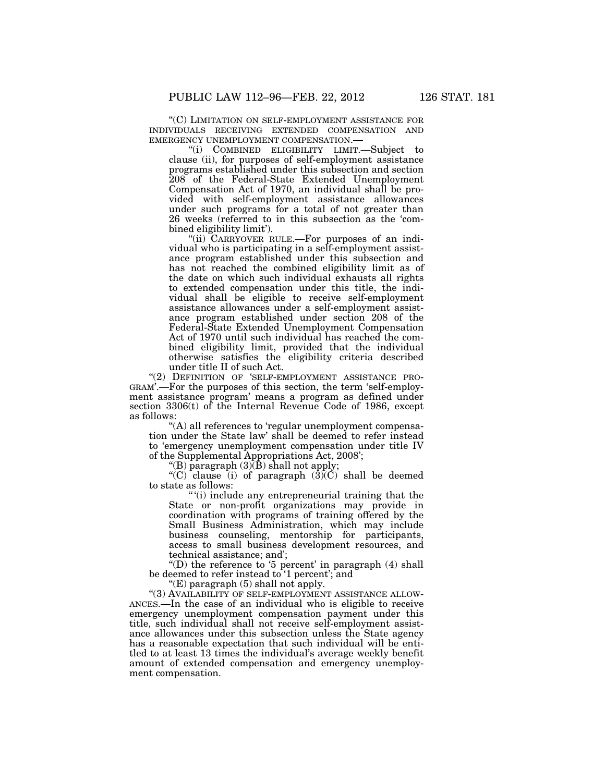"(C) LIMITATION ON SELF-EMPLOYMENT ASSISTANCE FOR INDIVIDUALS RECEIVING EXTENDED COMPENSATION AND EMERGENCY UNEMPLOYMENT COMPENSATION.—

''(i) COMBINED ELIGIBILITY LIMIT.—Subject to clause (ii), for purposes of self-employment assistance programs established under this subsection and section 208 of the Federal-State Extended Unemployment Compensation Act of 1970, an individual shall be provided with self-employment assistance allowances under such programs for a total of not greater than 26 weeks (referred to in this subsection as the 'combined eligibility limit').

''(ii) CARRYOVER RULE.—For purposes of an individual who is participating in a self-employment assistance program established under this subsection and has not reached the combined eligibility limit as of the date on which such individual exhausts all rights to extended compensation under this title, the individual shall be eligible to receive self-employment assistance allowances under a self-employment assistance program established under section 208 of the Federal-State Extended Unemployment Compensation Act of 1970 until such individual has reached the combined eligibility limit, provided that the individual otherwise satisfies the eligibility criteria described under title II of such Act.

"(2) DEFINITION OF 'SELF-EMPLOYMENT ASSISTANCE PRO-GRAM'.—For the purposes of this section, the term 'self-employment assistance program' means a program as defined under section 3306(t) of the Internal Revenue Code of 1986, except as follows:

''(A) all references to 'regular unemployment compensation under the State law' shall be deemed to refer instead to 'emergency unemployment compensation under title IV of the Supplemental Appropriations Act, 2008';

"(B) paragraph  $(3)(\bar{B})$  shall not apply;

"(C) clause (i) of paragraph  $(\overline{3})(C)$  shall be deemed to state as follows:

'' '(i) include any entrepreneurial training that the State or non-profit organizations may provide in coordination with programs of training offered by the Small Business Administration, which may include business counseling, mentorship for participants, access to small business development resources, and technical assistance; and';

"(D) the reference to '5 percent' in paragraph  $(4)$  shall be deemed to refer instead to '1 percent'; and

"(E) paragraph  $(5)$  shall not apply.

"(3) AVAILABILITY OF SELF-EMPLOYMENT ASSISTANCE ALLOW-ANCES.—In the case of an individual who is eligible to receive emergency unemployment compensation payment under this title, such individual shall not receive self-employment assistance allowances under this subsection unless the State agency has a reasonable expectation that such individual will be entitled to at least 13 times the individual's average weekly benefit amount of extended compensation and emergency unemployment compensation.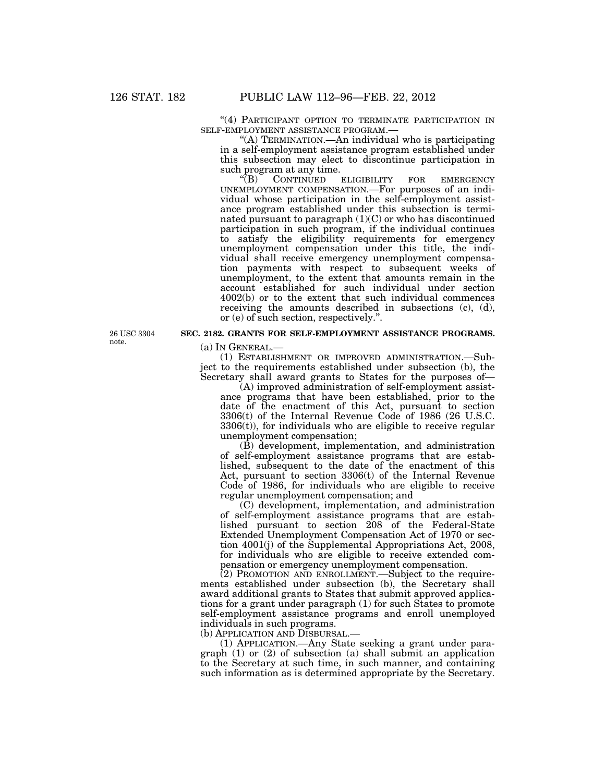"(4) PARTICIPANT OPTION TO TERMINATE PARTICIPATION IN SELF-EMPLOYMENT ASSISTANCE PROGRAM.—

"(A) TERMINATION.—An individual who is participating in a self-employment assistance program established under this subsection may elect to discontinue participation in such program at any time.<br>
"(B) CONTINUED

ELIGIBILITY FOR EMERGENCY UNEMPLOYMENT COMPENSATION.—For purposes of an individual whose participation in the self-employment assistance program established under this subsection is terminated pursuant to paragraph (1)(C) or who has discontinued participation in such program, if the individual continues to satisfy the eligibility requirements for emergency unemployment compensation under this title, the individual shall receive emergency unemployment compensation payments with respect to subsequent weeks of unemployment, to the extent that amounts remain in the account established for such individual under section 4002(b) or to the extent that such individual commences receiving the amounts described in subsections (c), (d), or (e) of such section, respectively.''.

26 USC 3304 note.

## **SEC. 2182. GRANTS FOR SELF-EMPLOYMENT ASSISTANCE PROGRAMS.**

(a) IN GENERAL.—

(1) ESTABLISHMENT OR IMPROVED ADMINISTRATION.—Subject to the requirements established under subsection (b), the Secretary shall award grants to States for the purposes of—

(A) improved administration of self-employment assistance programs that have been established, prior to the date of the enactment of this Act, pursuant to section 3306(t) of the Internal Revenue Code of 1986 (26 U.S.C.  $3306(t)$ , for individuals who are eligible to receive regular unemployment compensation;

(B) development, implementation, and administration of self-employment assistance programs that are established, subsequent to the date of the enactment of this Act, pursuant to section 3306(t) of the Internal Revenue Code of 1986, for individuals who are eligible to receive regular unemployment compensation; and

(C) development, implementation, and administration of self-employment assistance programs that are established pursuant to section 208 of the Federal-State Extended Unemployment Compensation Act of 1970 or section 4001(j) of the Supplemental Appropriations Act, 2008, for individuals who are eligible to receive extended compensation or emergency unemployment compensation.

 $(2)$  PROMOTION AND ENROLLMENT.—Subject to the requirements established under subsection (b), the Secretary shall award additional grants to States that submit approved applications for a grant under paragraph (1) for such States to promote self-employment assistance programs and enroll unemployed individuals in such programs.

(b) APPLICATION AND DISBURSAL.—

(1) APPLICATION.—Any State seeking a grant under paragraph (1) or (2) of subsection (a) shall submit an application to the Secretary at such time, in such manner, and containing such information as is determined appropriate by the Secretary.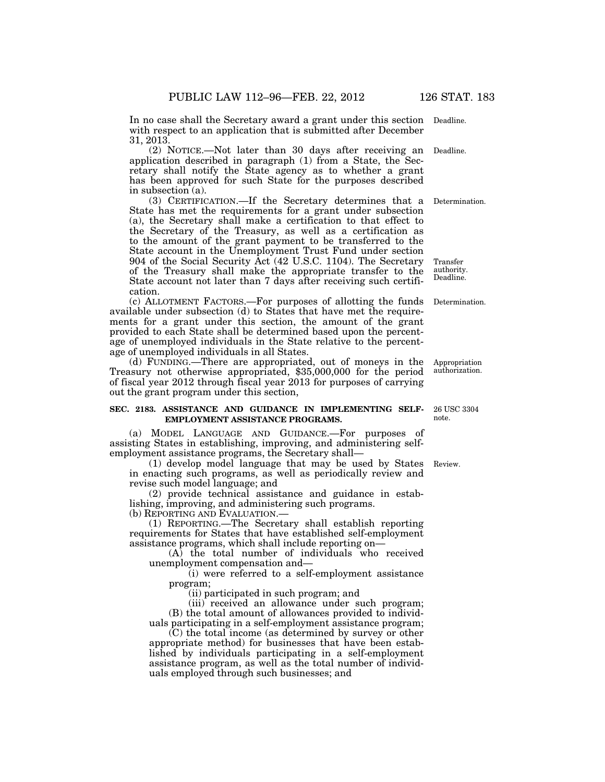In no case shall the Secretary award a grant under this section Deadline. with respect to an application that is submitted after December 31, 2013.

(2) NOTICE.—Not later than 30 days after receiving an Deadline. application described in paragraph (1) from a State, the Secretary shall notify the State agency as to whether a grant has been approved for such State for the purposes described in subsection (a).

(3) CERTIFICATION.—If the Secretary determines that a Determination. State has met the requirements for a grant under subsection (a), the Secretary shall make a certification to that effect to the Secretary of the Treasury, as well as a certification as to the amount of the grant payment to be transferred to the State account in the Unemployment Trust Fund under section 904 of the Social Security Act (42 U.S.C. 1104). The Secretary of the Treasury shall make the appropriate transfer to the State account not later than 7 days after receiving such certification. Transfer authority. Deadline.

(c) ALLOTMENT FACTORS.—For purposes of allotting the funds available under subsection (d) to States that have met the requirements for a grant under this section, the amount of the grant provided to each State shall be determined based upon the percentage of unemployed individuals in the State relative to the percentage of unemployed individuals in all States.

(d) FUNDING.—There are appropriated, out of moneys in the Treasury not otherwise appropriated, \$35,000,000 for the period of fiscal year 2012 through fiscal year 2013 for purposes of carrying out the grant program under this section,

#### **SEC. 2183. ASSISTANCE AND GUIDANCE IN IMPLEMENTING SELF-EMPLOYMENT ASSISTANCE PROGRAMS.**  26 USC 3304

(a) MODEL LANGUAGE AND GUIDANCE.—For purposes of assisting States in establishing, improving, and administering selfemployment assistance programs, the Secretary shall—

(1) develop model language that may be used by States Review. in enacting such programs, as well as periodically review and revise such model language; and

(2) provide technical assistance and guidance in establishing, improving, and administering such programs.

(b) REPORTING AND EVALUATION.—

(1) REPORTING.—The Secretary shall establish reporting requirements for States that have established self-employment assistance programs, which shall include reporting on—

(A) the total number of individuals who received unemployment compensation and—

(i) were referred to a self-employment assistance program;

(ii) participated in such program; and

(iii) received an allowance under such program; (B) the total amount of allowances provided to individuals participating in a self-employment assistance program;

(C) the total income (as determined by survey or other appropriate method) for businesses that have been established by individuals participating in a self-employment assistance program, as well as the total number of individuals employed through such businesses; and

note.

Appropriation authorization.

Determination.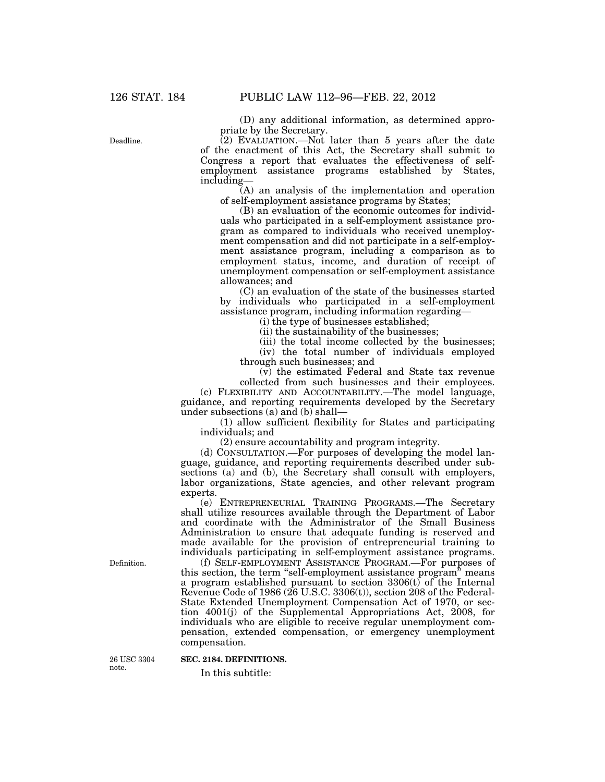(D) any additional information, as determined appropriate by the Secretary.

 $(2)$  EVALUATION.—Not later than 5 years after the date of the enactment of this Act, the Secretary shall submit to Congress a report that evaluates the effectiveness of selfemployment assistance programs established by States, including—

(A) an analysis of the implementation and operation of self-employment assistance programs by States;

(B) an evaluation of the economic outcomes for individuals who participated in a self-employment assistance program as compared to individuals who received unemployment compensation and did not participate in a self-employment assistance program, including a comparison as to employment status, income, and duration of receipt of unemployment compensation or self-employment assistance allowances; and

(C) an evaluation of the state of the businesses started by individuals who participated in a self-employment assistance program, including information regarding—

(i) the type of businesses established;

(ii) the sustainability of the businesses;

(iii) the total income collected by the businesses;

(iv) the total number of individuals employed through such businesses; and

(v) the estimated Federal and State tax revenue collected from such businesses and their employees.

(c) FLEXIBILITY AND ACCOUNTABILITY.—The model language, guidance, and reporting requirements developed by the Secretary under subsections (a) and (b) shall—

(1) allow sufficient flexibility for States and participating individuals; and

(2) ensure accountability and program integrity.

(d) CONSULTATION.—For purposes of developing the model language, guidance, and reporting requirements described under subsections (a) and (b), the Secretary shall consult with employers, labor organizations, State agencies, and other relevant program experts.

(e) ENTREPRENEURIAL TRAINING PROGRAMS.—The Secretary shall utilize resources available through the Department of Labor and coordinate with the Administrator of the Small Business Administration to ensure that adequate funding is reserved and made available for the provision of entrepreneurial training to individuals participating in self-employment assistance programs.

(f) SELF-EMPLOYMENT ASSISTANCE PROGRAM.—For purposes of this section, the term "self-employment assistance program" means a program established pursuant to section  $3306(t)$  of the Internal Revenue Code of  $1986$  ( $26$  U.S.C.  $3306(t)$ ), section  $208$  of the Federal-State Extended Unemployment Compensation Act of 1970, or section 4001(j) of the Supplemental Appropriations Act, 2008, for individuals who are eligible to receive regular unemployment compensation, extended compensation, or emergency unemployment compensation.

26 USC 3304 note.

Definition.

**SEC. 2184. DEFINITIONS.** 

In this subtitle:

Deadline.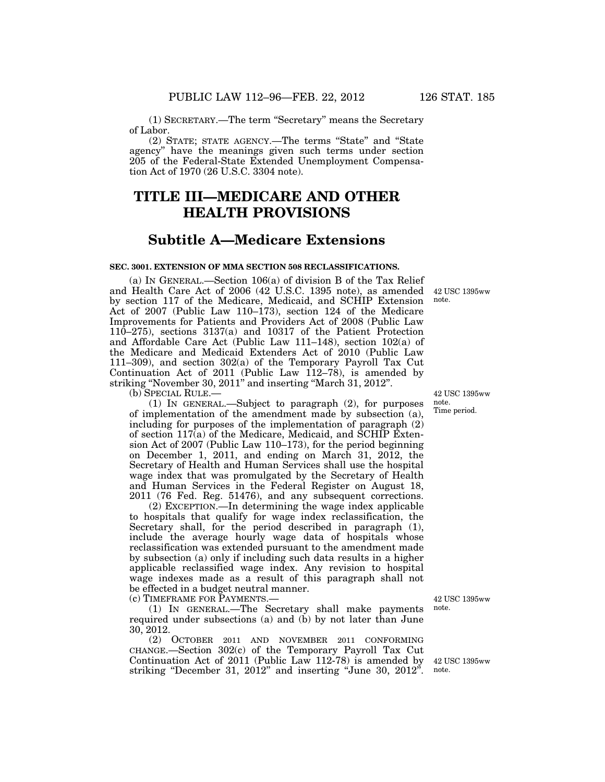of Labor. (2) STATE; STATE AGENCY.—The terms ''State'' and ''State agency'' have the meanings given such terms under section 205 of the Federal-State Extended Unemployment Compensation Act of 1970 (26 U.S.C. 3304 note).

# **TITLE III—MEDICARE AND OTHER HEALTH PROVISIONS**

## **Subtitle A—Medicare Extensions**

#### **SEC. 3001. EXTENSION OF MMA SECTION 508 RECLASSIFICATIONS.**

(a) IN GENERAL.—Section 106(a) of division B of the Tax Relief and Health Care Act of 2006 (42 U.S.C. 1395 note), as amended by section 117 of the Medicare, Medicaid, and SCHIP Extension Act of 2007 (Public Law 110–173), section 124 of the Medicare Improvements for Patients and Providers Act of 2008 (Public Law 110–275), sections 3137(a) and 10317 of the Patient Protection and Affordable Care Act (Public Law 111–148), section 102(a) of the Medicare and Medicaid Extenders Act of 2010 (Public Law 111–309), and section 302(a) of the Temporary Payroll Tax Cut Continuation Act of 2011 (Public Law 112–78), is amended by striking "November 30, 2011" and inserting "March 31, 2012". note.

(b) SPECIAL RULE.—

(1) IN GENERAL.—Subject to paragraph (2), for purposes of implementation of the amendment made by subsection (a), including for purposes of the implementation of paragraph (2) of section  $117(a)$  of the Medicare, Medicaid, and SCHIP Extension Act of 2007 (Public Law 110–173), for the period beginning on December 1, 2011, and ending on March 31, 2012, the Secretary of Health and Human Services shall use the hospital wage index that was promulgated by the Secretary of Health and Human Services in the Federal Register on August 18, 2011 (76 Fed. Reg. 51476), and any subsequent corrections.

(2) EXCEPTION.—In determining the wage index applicable to hospitals that qualify for wage index reclassification, the Secretary shall, for the period described in paragraph (1), include the average hourly wage data of hospitals whose reclassification was extended pursuant to the amendment made by subsection (a) only if including such data results in a higher applicable reclassified wage index. Any revision to hospital wage indexes made as a result of this paragraph shall not be effected in a budget neutral manner. (c) TIMEFRAME FOR PAYMENTS.—

(1) IN GENERAL.—The Secretary shall make payments required under subsections (a) and (b) by not later than June 30, 2012.

(2) OCTOBER 2011 AND NOVEMBER 2011 CONFORMING CHANGE.—Section 302(c) of the Temporary Payroll Tax Cut Continuation Act of 2011 (Public Law 112-78) is amended by striking "December 31, 2012" and inserting "June 30, 2012".

42 USC 1395ww note. Time period.

42 USC 1395ww

42 USC 1395ww note.

42 USC 1395ww note.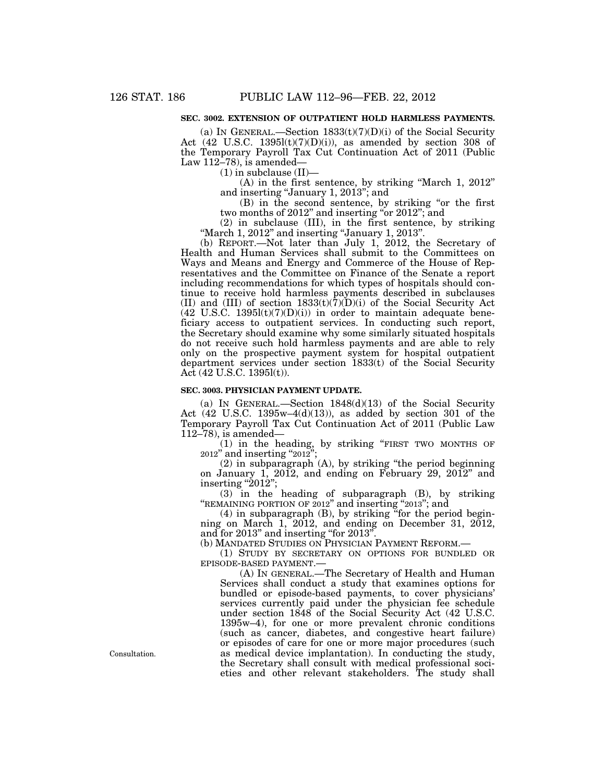## **SEC. 3002. EXTENSION OF OUTPATIENT HOLD HARMLESS PAYMENTS.**

(a) IN GENERAL.—Section  $1833(t)(7)(D)(i)$  of the Social Security Act  $(42 \text{ U.S.C. } 1395 \text{I}(t)(7)(\text{D})(i))$ , as amended by section 308 of the Temporary Payroll Tax Cut Continuation Act of 2011 (Public Law  $112-78$ ), is amended—

 $(1)$  in subclause  $(II)$ -

(A) in the first sentence, by striking ''March 1, 2012'' and inserting ''January 1, 2013''; and

(B) in the second sentence, by striking ''or the first two months of 2012'' and inserting ''or 2012''; and

(2) in subclause (III), in the first sentence, by striking "March 1, 2012" and inserting "January 1, 2013".

(b) REPORT.—Not later than July 1, 2012, the Secretary of Health and Human Services shall submit to the Committees on Ways and Means and Energy and Commerce of the House of Representatives and the Committee on Finance of the Senate a report including recommendations for which types of hospitals should continue to receive hold harmless payments described in subclauses (II) and (III) of section  $1833(t)(7)(D)(i)$  of the Social Security Act  $(42 \text{ U.S.C. } 1395 \text{I}(t)(7)(D)(i))$  in order to maintain adequate beneficiary access to outpatient services. In conducting such report, the Secretary should examine why some similarly situated hospitals do not receive such hold harmless payments and are able to rely only on the prospective payment system for hospital outpatient department services under section 1833(t) of the Social Security Act (42 U.S.C. 1395l(t)).

#### **SEC. 3003. PHYSICIAN PAYMENT UPDATE.**

(a) IN GENERAL.—Section 1848(d)(13) of the Social Security Act  $(42 \text{ U.S.C. } 1395\text{w}-4(d)(13))$ , as added by section 301 of the Temporary Payroll Tax Cut Continuation Act of 2011 (Public Law 112–78), is amended—

(1) in the heading, by striking ''FIRST TWO MONTHS OF 2012'' and inserting ''2012'';

 $(2)$  in subparagraph  $(A)$ , by striking "the period beginning on January 1, 2012, and ending on February 29, 2012'' and  $\frac{1}{2}$ inserting "2012";

(3) in the heading of subparagraph (B), by striking "REMAINING PORTION OF 2012" and inserting "2013"; and

(4) in subparagraph (B), by striking "for the period beginning on March 1, 2012, and ending on December 31, 2012, and for 2013" and inserting "for 2013"

(b) MANDATED STUDIES ON PHYSICIAN PAYMENT REFORM.—

(1) STUDY BY SECRETARY ON OPTIONS FOR BUNDLED OR EPISODE-BASED PAYMENT.—

(A) IN GENERAL.—The Secretary of Health and Human Services shall conduct a study that examines options for bundled or episode-based payments, to cover physicians' services currently paid under the physician fee schedule under section 1848 of the Social Security Act (42 U.S.C. 1395w–4), for one or more prevalent chronic conditions (such as cancer, diabetes, and congestive heart failure) or episodes of care for one or more major procedures (such as medical device implantation). In conducting the study, the Secretary shall consult with medical professional societies and other relevant stakeholders. The study shall

Consultation.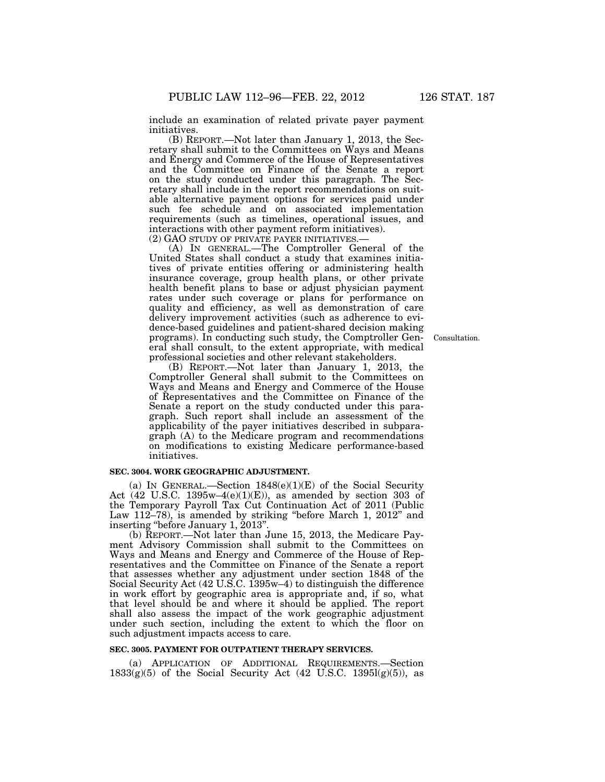include an examination of related private payer payment initiatives.

(B) REPORT.—Not later than January 1, 2013, the Secretary shall submit to the Committees on Ways and Means and Energy and Commerce of the House of Representatives and the Committee on Finance of the Senate a report on the study conducted under this paragraph. The Secretary shall include in the report recommendations on suitable alternative payment options for services paid under such fee schedule and on associated implementation requirements (such as timelines, operational issues, and interactions with other payment reform initiatives).<br>(2) GAO STUDY OF PRIVATE PAYER INITIATIVES.—

(A) IN GENERAL.—The Comptroller General of the United States shall conduct a study that examines initiatives of private entities offering or administering health insurance coverage, group health plans, or other private health benefit plans to base or adjust physician payment rates under such coverage or plans for performance on quality and efficiency, as well as demonstration of care delivery improvement activities (such as adherence to evidence-based guidelines and patient-shared decision making programs). In conducting such study, the Comptroller General shall consult, to the extent appropriate, with medical professional societies and other relevant stakeholders.

Consultation.

(B) REPORT.—Not later than January 1, 2013, the Comptroller General shall submit to the Committees on Ways and Means and Energy and Commerce of the House of Representatives and the Committee on Finance of the Senate a report on the study conducted under this paragraph. Such report shall include an assessment of the applicability of the payer initiatives described in subparagraph (A) to the Medicare program and recommendations on modifications to existing Medicare performance-based initiatives.

### **SEC. 3004. WORK GEOGRAPHIC ADJUSTMENT.**

(a) IN GENERAL.—Section  $1848(e)(1)(E)$  of the Social Security Act  $(42 \text{ U.S.C. } 1395\text{w}-4(\text{e})(1)(\text{E}))$ , as amended by section 303 of the Temporary Payroll Tax Cut Continuation Act of 2011 (Public Law 112–78), is amended by striking "before March 1, 2012" and inserting ''before January 1, 2013''.

(b) REPORT.—Not later than June 15, 2013, the Medicare Payment Advisory Commission shall submit to the Committees on Ways and Means and Energy and Commerce of the House of Representatives and the Committee on Finance of the Senate a report that assesses whether any adjustment under section 1848 of the Social Security Act (42 U.S.C. 1395w–4) to distinguish the difference in work effort by geographic area is appropriate and, if so, what that level should be and where it should be applied. The report shall also assess the impact of the work geographic adjustment under such section, including the extent to which the floor on such adjustment impacts access to care.

#### **SEC. 3005. PAYMENT FOR OUTPATIENT THERAPY SERVICES.**

(a) APPLICATION OF ADDITIONAL REQUIREMENTS.—Section  $1833(g)(5)$  of the Social Security Act (42 U.S.C. 13951(g)(5)), as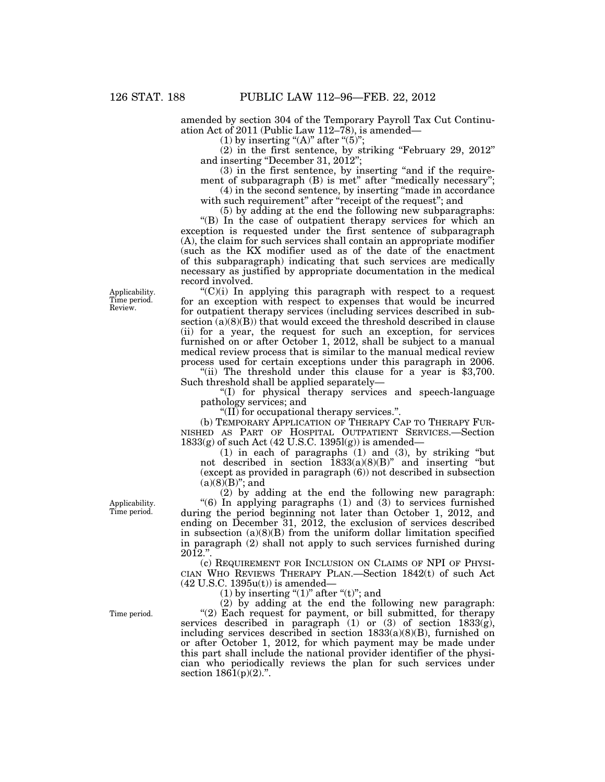amended by section 304 of the Temporary Payroll Tax Cut Continuation Act of 2011 (Public Law 112–78), is amended—

(1) by inserting " $(A)$ " after " $(5)$ ";

(2) in the first sentence, by striking ''February 29, 2012'' and inserting "December 31, 2012";

(3) in the first sentence, by inserting "and if the requirement of subparagraph (B) is met" after "medically necessary";

(4) in the second sentence, by inserting ''made in accordance with such requirement" after "receipt of the request"; and

(5) by adding at the end the following new subparagraphs: ''(B) In the case of outpatient therapy services for which an exception is requested under the first sentence of subparagraph (A), the claim for such services shall contain an appropriate modifier (such as the KX modifier used as of the date of the enactment of this subparagraph) indicating that such services are medically necessary as justified by appropriate documentation in the medical record involved.

 $C'(C)(i)$  In applying this paragraph with respect to a request for an exception with respect to expenses that would be incurred for outpatient therapy services (including services described in subsection  $(a)(8)(B)$  that would exceed the threshold described in clause (ii) for a year, the request for such an exception, for services furnished on or after October 1, 2012, shall be subject to a manual medical review process that is similar to the manual medical review process used for certain exceptions under this paragraph in 2006.

"(ii) The threshold under this clause for a year is \$3,700. Such threshold shall be applied separately—

''(I) for physical therapy services and speech-language pathology services; and

''(II) for occupational therapy services.''.

(b) TEMPORARY APPLICATION OF THERAPY CAP TO THERAPY FUR-NISHED AS PART OF HOSPITAL OUTPATIENT SERVICES.—Section 1833(g) of such Act (42 U.S.C. 1395l(g)) is amended—

(1) in each of paragraphs  $(1)$  and  $(3)$ , by striking "but not described in section 1833(a)(8)(B)'' and inserting ''but (except as provided in paragraph (6)) not described in subsection  $(a)(8)$  $(B)$ "; and

(2) by adding at the end the following new paragraph: " $(6)$  In applying paragraphs  $(1)$  and  $(3)$  to services furnished during the period beginning not later than October 1, 2012, and ending on December 31, 2012, the exclusion of services described in subsection  $(a)(8)(B)$  from the uniform dollar limitation specified in paragraph (2) shall not apply to such services furnished during  $2012."$ 

(c) REQUIREMENT FOR INCLUSION ON CLAIMS OF NPI OF PHYSI-CIAN WHO REVIEWS THERAPY PLAN.—Section 1842(t) of such Act  $(42 \text{ U.S.C. } 1395u(t))$  is amended—

(1) by inserting " $(1)$ " after " $(t)$ "; and

(2) by adding at the end the following new paragraph: "(2) Each request for payment, or bill submitted, for therapy services described in paragraph (1) or (3) of section 1833(g), including services described in section  $1833(a)(8)(B)$ , furnished on or after October 1, 2012, for which payment may be made under this part shall include the national provider identifier of the physician who periodically reviews the plan for such services under section  $1861(p)(2)$ .".

Applicability. Time period. Review.

Applicability. Time period.

Time period.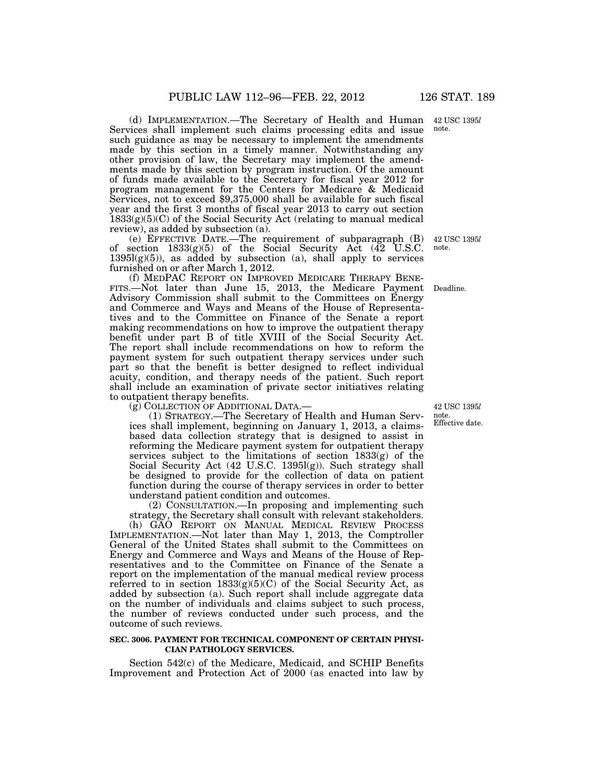(d) IMPLEMENTATION.—The Secretary of Health and Human Services shall implement such claims processing edits and issue such guidance as may be necessary to implement the amendments made by this section in a timely manner. Notwithstanding any other provision of law, the Secretary may implement the amendments made by this section by program instruction. Of the amount of funds made available to the Secretary for fiscal year 2012 for program management for the Centers for Medicare & Medicaid Services, not to exceed \$9,375,000 shall be available for such fiscal year and the first 3 months of fiscal year 2013 to carry out section  $1833(g)(5)(C)$  of the Social Security Act (relating to manual medical review), as added by subsection (a).

(e) EFFECTIVE DATE.—The requirement of subparagraph (B) of section 1833(g)(5) of the Social Security Act (42 U.S.C.  $1395l(g)(5)$ , as added by subsection (a), shall apply to services furnished on or after March 1, 2012.

(f) MEDPAC REPORT ON IMPROVED MEDICARE THERAPY BENE-FITS.—Not later than June 15, 2013, the Medicare Payment Deadline. Advisory Commission shall submit to the Committees on Energy and Commerce and Ways and Means of the House of Representatives and to the Committee on Finance of the Senate a report making recommendations on how to improve the outpatient therapy benefit under part B of title XVIII of the Social Security Act. The report shall include recommendations on how to reform the payment system for such outpatient therapy services under such part so that the benefit is better designed to reflect individual acuity, condition, and therapy needs of the patient. Such report shall include an examination of private sector initiatives relating to outpatient therapy benefits.

(g) COLLECTION OF ADDITIONAL DATA.—

(1) STRATEGY.—The Secretary of Health and Human Services shall implement, beginning on January 1, 2013, a claimsbased data collection strategy that is designed to assist in reforming the Medicare payment system for outpatient therapy services subject to the limitations of section 1833(g) of the Social Security Act (42 U.S.C. 1395l(g)). Such strategy shall be designed to provide for the collection of data on patient function during the course of therapy services in order to better understand patient condition and outcomes.

(2) CONSULTATION.—In proposing and implementing such strategy, the Secretary shall consult with relevant stakeholders.

(h) GAO REPORT ON MANUAL MEDICAL REVIEW PROCESS IMPLEMENTATION.—Not later than May 1, 2013, the Comptroller General of the United States shall submit to the Committees on Energy and Commerce and Ways and Means of the House of Representatives and to the Committee on Finance of the Senate a report on the implementation of the manual medical review process referred to in section  $1833(g)(5)(C)$  of the Social Security Act, as added by subsection (a). Such report shall include aggregate data on the number of individuals and claims subject to such process, the number of reviews conducted under such process, and the outcome of such reviews.

#### **SEC. 3006. PAYMENT FOR TECHNICAL COMPONENT OF CERTAIN PHYSI-CIAN PATHOLOGY SERVICES.**

Section 542(c) of the Medicare, Medicaid, and SCHIP Benefits Improvement and Protection Act of 2000 (as enacted into law by

42 USC 1395*l*  note. Effective date.

42 USC 1395*l*  note.

42 USC 1395*l*  note.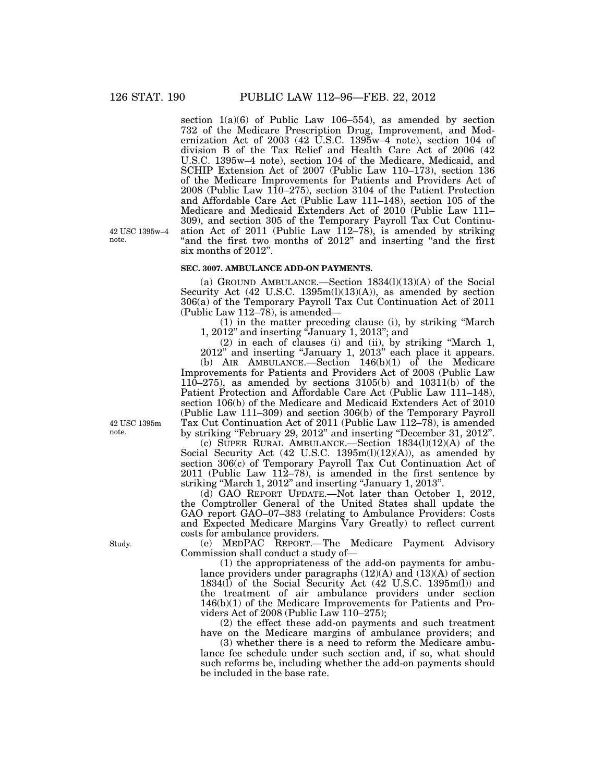42 USC 1395w–4

note.

section  $1(a)(6)$  of Public Law 106–554), as amended by section 732 of the Medicare Prescription Drug, Improvement, and Modernization Act of 2003 (42 U.S.C. 1395w–4 note), section 104 of division B of the Tax Relief and Health Care Act of 2006 (42 U.S.C. 1395w–4 note), section 104 of the Medicare, Medicaid, and SCHIP Extension Act of 2007 (Public Law 110–173), section 136 of the Medicare Improvements for Patients and Providers Act of 2008 (Public Law 110–275), section 3104 of the Patient Protection and Affordable Care Act (Public Law 111–148), section 105 of the Medicare and Medicaid Extenders Act of 2010 (Public Law 111– 309), and section 305 of the Temporary Payroll Tax Cut Continuation Act of 2011 (Public Law 112–78), is amended by striking ''and the first two months of 2012'' and inserting ''and the first six months of 2012''.

#### **SEC. 3007. AMBULANCE ADD-ON PAYMENTS.**

(a) GROUND AMBULANCE.—Section  $1834(l)(13)(A)$  of the Social Security Act (42 U.S.C. 1395m(l)(13)(A)), as amended by section 306(a) of the Temporary Payroll Tax Cut Continuation Act of 2011 (Public Law 112–78), is amended—

(1) in the matter preceding clause (i), by striking ''March 1, 2012'' and inserting ''January 1, 2013''; and

(2) in each of clauses (i) and (ii), by striking ''March 1, 2012'' and inserting ''January 1, 2013'' each place it appears.

(b) AIR AMBULANCE.—Section  $146(b)(1)$  of the Medicare Improvements for Patients and Providers Act of 2008 (Public Law 110–275), as amended by sections 3105(b) and 10311(b) of the Patient Protection and Affordable Care Act (Public Law 111–148), section 106(b) of the Medicare and Medicaid Extenders Act of 2010 (Public Law 111–309) and section 306(b) of the Temporary Payroll Tax Cut Continuation Act of 2011 (Public Law 112–78), is amended by striking ''February 29, 2012'' and inserting ''December 31, 2012''.

(c) SUPER RURAL AMBULANCE.—Section 1834(l)(12)(A) of the Social Security Act (42 U.S.C. 1395m(l)(12)(A)), as amended by section 306(c) of Temporary Payroll Tax Cut Continuation Act of 2011 (Public Law 112–78), is amended in the first sentence by striking ''March 1, 2012'' and inserting ''January 1, 2013''.

(d) GAO REPORT UPDATE.—Not later than October 1, 2012, the Comptroller General of the United States shall update the GAO report GAO–07–383 (relating to Ambulance Providers: Costs and Expected Medicare Margins Vary Greatly) to reflect current costs for ambulance providers.

(e) MEDPAC REPORT.—The Medicare Payment Advisory Commission shall conduct a study of—

(1) the appropriateness of the add-on payments for ambulance providers under paragraphs (12)(A) and (13)(A) of section 1834(l) of the Social Security Act (42 U.S.C. 1395m(l)) and the treatment of air ambulance providers under section 146(b)(1) of the Medicare Improvements for Patients and Providers Act of 2008 (Public Law 110–275);

(2) the effect these add-on payments and such treatment have on the Medicare margins of ambulance providers; and

(3) whether there is a need to reform the Medicare ambulance fee schedule under such section and, if so, what should such reforms be, including whether the add-on payments should be included in the base rate.

42 USC 1395m note.

Study.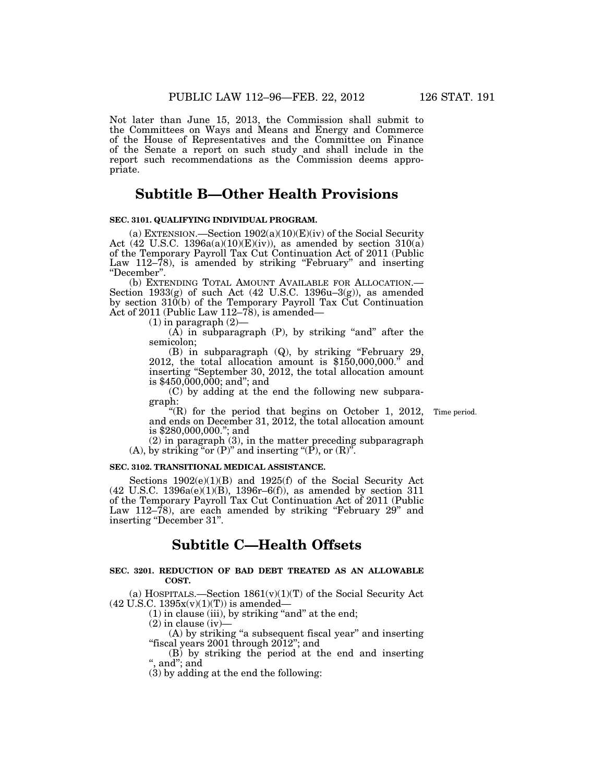Not later than June 15, 2013, the Commission shall submit to the Committees on Ways and Means and Energy and Commerce of the House of Representatives and the Committee on Finance of the Senate a report on such study and shall include in the report such recommendations as the Commission deems appropriate.

# **Subtitle B—Other Health Provisions**

# **SEC. 3101. QUALIFYING INDIVIDUAL PROGRAM.**

(a) EXTENSION.—Section  $1902(a)(10)(E)(iv)$  of the Social Security Act (42 U.S.C. 1396a(a)(10)(E)(iv)), as amended by section  $310(a)$ of the Temporary Payroll Tax Cut Continuation Act of 2011 (Public Law 112–78), is amended by striking "February" and inserting "December".<br>
(b) EXTENDING TOTAL AMOUNT AVAILABLE FOR ALLOCATION.—

Section  $1933(g)$  of such Act (42 U.S.C. 1396u–3(g)), as amended by section 310(b) of the Temporary Payroll Tax Cut Continuation Act of 2011 (Public Law 112–78), is amended—

 $(1)$  in paragraph  $(2)$ 

 $(\hat{A})$  in subparagraph  $(P)$ , by striking "and" after the semicolon;<br>(B) in subparagraph (Q), by striking "February 29,

 $(2012,$  the total allocation amount is  $$150,000,000."$  and inserting ''September 30, 2012, the total allocation amount is \$450,000,000; and''; and

(C) by adding at the end the following new subparagraph:

Time period.

''(R) for the period that begins on October 1, 2012, and ends on December 31, 2012, the total allocation amount is \$280,000,000.''; and

(2) in paragraph (3), in the matter preceding subparagraph  $(A)$ , by striking "or  $(P)$ " and inserting " $(P)$ , or  $(R)$ ".

# **SEC. 3102. TRANSITIONAL MEDICAL ASSISTANCE.**

Sections 1902(e)(1)(B) and 1925(f) of the Social Security Act (42 U.S.C. 1396a(e)(1)(B), 1396r–6(f)), as amended by section 311 of the Temporary Payroll Tax Cut Continuation Act of 2011 (Public Law 112–78), are each amended by striking "February 29" and inserting "December 31".

# **Subtitle C—Health Offsets**

## **SEC. 3201. REDUCTION OF BAD DEBT TREATED AS AN ALLOWABLE COST.**

(a) HOSPITALS.—Section  $1861(v)(1)(T)$  of the Social Security Act  $(42 \text{ U.S.C. } 1395x(v)(1)(T))$  is amended—

 $(1)$  in clause (iii), by striking "and" at the end;

 $(2)$  in clause (iv)-

(A) by striking "a subsequent fiscal year" and inserting "fiscal years 2001 through 2012"; and

(B) by striking the period at the end and inserting '', and''; and

(3) by adding at the end the following: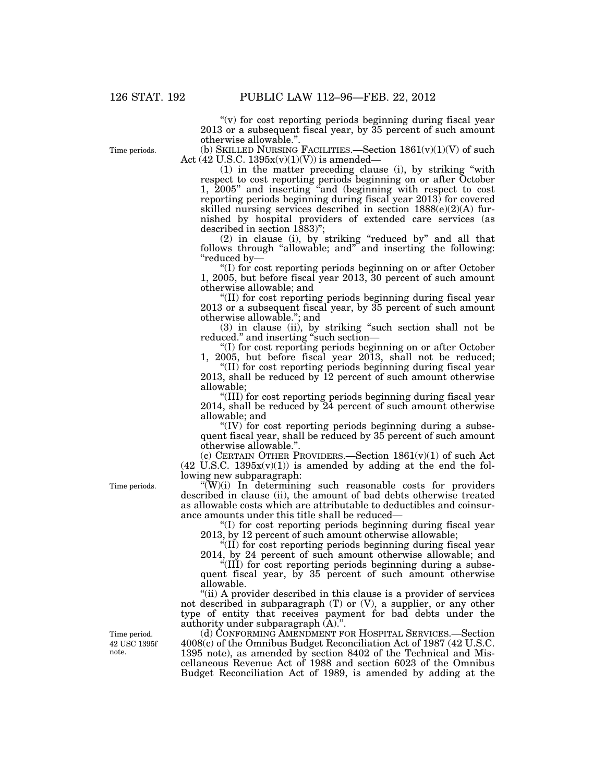"(v) for cost reporting periods beginning during fiscal year 2013 or a subsequent fiscal year, by 35 percent of such amount otherwise allowable."

Time periods.

(b) SKILLED NURSING FACILITIES.—Section  $1861(v)(1)(V)$  of such Act (42 U.S.C. 1395x(v)(1)(V)) is amended—

(1) in the matter preceding clause (i), by striking ''with respect to cost reporting periods beginning on or after October 1, 2005'' and inserting ''and (beginning with respect to cost reporting periods beginning during fiscal year 2013) for covered skilled nursing services described in section 1888(e)(2)(A) furnished by hospital providers of extended care services (as described in section 1883)'';

(2) in clause (i), by striking ''reduced by'' and all that follows through ''allowable; and'' and inserting the following: ''reduced by—

''(I) for cost reporting periods beginning on or after October 1, 2005, but before fiscal year 2013, 30 percent of such amount otherwise allowable; and

''(II) for cost reporting periods beginning during fiscal year 2013 or a subsequent fiscal year, by 35 percent of such amount otherwise allowable.''; and

(3) in clause (ii), by striking ''such section shall not be reduced." and inserting "such section-

''(I) for cost reporting periods beginning on or after October 1, 2005, but before fiscal year 2013, shall not be reduced;

''(II) for cost reporting periods beginning during fiscal year 2013, shall be reduced by 12 percent of such amount otherwise allowable;

''(III) for cost reporting periods beginning during fiscal year 2014, shall be reduced by 24 percent of such amount otherwise allowable; and

"(IV) for cost reporting periods beginning during a subsequent fiscal year, shall be reduced by 35 percent of such amount otherwise allowable.''.

(c) CERTAIN OTHER PROVIDERS.—Section 1861(v)(1) of such Act  $(42 \text{ U.S.C. } 1395x(v)(1))$  is amended by adding at the end the following new subparagraph:

 $\sqrt{\frac{W}{i}}$ ) In determining such reasonable costs for providers described in clause (ii), the amount of bad debts otherwise treated as allowable costs which are attributable to deductibles and coinsurance amounts under this title shall be reduced—

''(I) for cost reporting periods beginning during fiscal year 2013, by 12 percent of such amount otherwise allowable;

''(II) for cost reporting periods beginning during fiscal year 2014, by 24 percent of such amount otherwise allowable; and

''(III) for cost reporting periods beginning during a subsequent fiscal year, by 35 percent of such amount otherwise allowable.

"(ii) A provider described in this clause is a provider of services not described in subparagraph (T) or (V), a supplier, or any other type of entity that receives payment for bad debts under the authority under subparagraph (A).''.

(d) CONFORMING AMENDMENT FOR HOSPITAL SERVICES.—Section 4008(c) of the Omnibus Budget Reconciliation Act of 1987 (42 U.S.C. 1395 note), as amended by section 8402 of the Technical and Miscellaneous Revenue Act of 1988 and section 6023 of the Omnibus Budget Reconciliation Act of 1989, is amended by adding at the

Time periods.

42 USC 1395f note. Time period.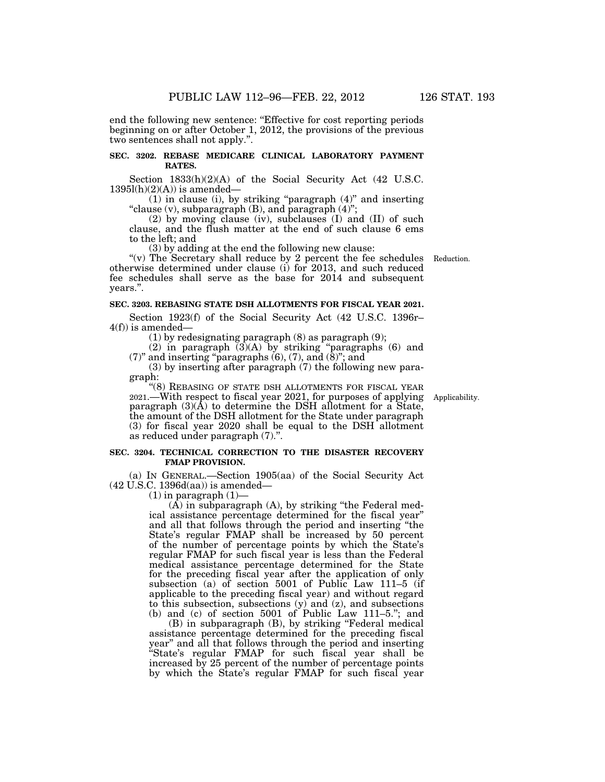end the following new sentence: ''Effective for cost reporting periods beginning on or after October 1, 2012, the provisions of the previous two sentences shall not apply.''.

# **SEC. 3202. REBASE MEDICARE CLINICAL LABORATORY PAYMENT RATES.**

Section 1833(h)(2)(A) of the Social Security Act (42 U.S.C.  $1395l(h)(2)(A)$  is amended—

 $(1)$  in clause  $(i)$ , by striking "paragraph  $(4)$ " and inserting ''clause (v), subparagraph (B), and paragraph (4)'';

(2) by moving clause (iv), subclauses (I) and (II) of such clause, and the flush matter at the end of such clause 6 ems to the left; and

(3) by adding at the end the following new clause:

"(v) The Secretary shall reduce by 2 percent the fee schedules otherwise determined under clause (i) for 2013, and such reduced fee schedules shall serve as the base for 2014 and subsequent years.''.

### **SEC. 3203. REBASING STATE DSH ALLOTMENTS FOR FISCAL YEAR 2021.**

Section 1923(f) of the Social Security Act (42 U.S.C. 1396r–  $4(f)$ ) is amended–

(1) by redesignating paragraph (8) as paragraph (9);

(2) in paragraph  $(3)(A)$  by striking "paragraphs (6) and  $(7)$ " and inserting "paragraphs  $(6)$ ,  $(7)$ , and  $(8)$ "; and

(3) by inserting after paragraph (7) the following new paragraph:

"(8) REBASING OF STATE DSH ALLOTMENTS FOR FISCAL YEAR 2021.—With respect to fiscal year 2021, for purposes of applying paragraph  $(3)(\overline{A})$  to determine the DSH allotment for a State, the amount of the DSH allotment for the State under paragraph (3) for fiscal year 2020 shall be equal to the DSH allotment as reduced under paragraph (7).''.

# **SEC. 3204. TECHNICAL CORRECTION TO THE DISASTER RECOVERY FMAP PROVISION.**

(a) IN GENERAL.—Section 1905(aa) of the Social Security Act (42 U.S.C. 1396d(aa)) is amended—

 $(1)$  in paragraph  $(1)$ —

(A) in subparagraph (A), by striking ''the Federal medical assistance percentage determined for the fiscal year'' and all that follows through the period and inserting ''the State's regular FMAP shall be increased by 50 percent of the number of percentage points by which the State's regular FMAP for such fiscal year is less than the Federal medical assistance percentage determined for the State for the preceding fiscal year after the application of only subsection (a) of section 5001 of Public Law 111–5 (if applicable to the preceding fiscal year) and without regard to this subsection, subsections (y) and (z), and subsections (b) and (c) of section 5001 of Public Law 111–5.''; and

(B) in subparagraph (B), by striking "Federal medical assistance percentage determined for the preceding fiscal year'' and all that follows through the period and inserting ''State's regular FMAP for such fiscal year shall be increased by 25 percent of the number of percentage points by which the State's regular FMAP for such fiscal year

Applicability.

Reduction.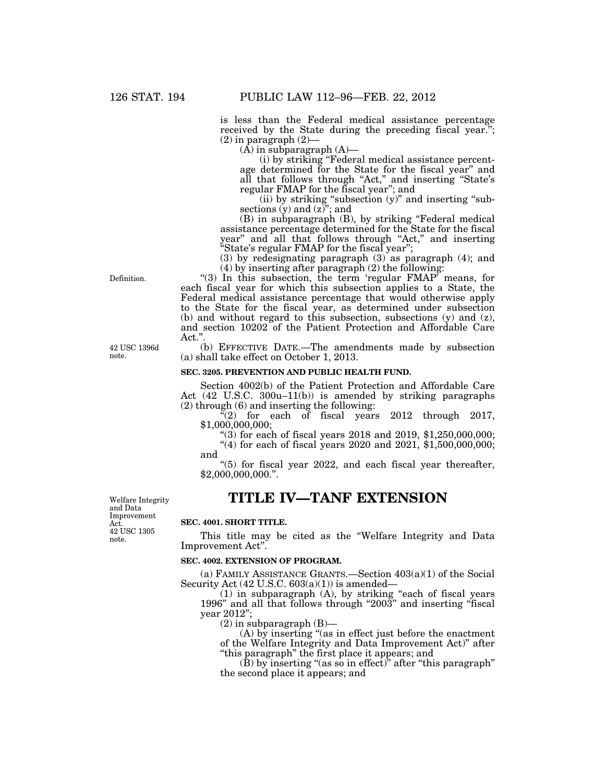is less than the Federal medical assistance percentage received by the State during the preceding fiscal year.";  $(2)$  in paragraph  $(2)$ —

 $(A)$  in subparagraph  $(A)$ —

(i) by striking ''Federal medical assistance percentage determined for the State for the fiscal year'' and all that follows through "Act," and inserting "State's regular FMAP for the fiscal year''; and

(ii) by striking "subsection (y)" and inserting "subsections (y) and  $(z)$ "; and

(B) in subparagraph (B), by striking ''Federal medical assistance percentage determined for the State for the fiscal year'' and all that follows through ''Act,'' and inserting ''State's regular FMAP for the fiscal year'';

(3) by redesignating paragraph (3) as paragraph (4); and (4) by inserting after paragraph (2) the following:

" $(3)$  In this subsection, the term 'regular FMAP' means, for each fiscal year for which this subsection applies to a State, the Federal medical assistance percentage that would otherwise apply to the State for the fiscal year, as determined under subsection (b) and without regard to this subsection, subsections (y) and (z), and section 10202 of the Patient Protection and Affordable Care Act."

(b) EFFECTIVE DATE.—The amendments made by subsection (a) shall take effect on October 1, 2013.

### **SEC. 3205. PREVENTION AND PUBLIC HEALTH FUND.**

Section 4002(b) of the Patient Protection and Affordable Care Act (42 U.S.C. 300u–11(b)) is amended by striking paragraphs (2) through (6) and inserting the following:

 $\sqrt{2}$  for each of fiscal years 2012 through 2017, \$1,000,000,000;

"(3) for each of fiscal years  $2018$  and  $2019$ ,  $1,250,000,000$ ;

 $(4)$  for each of fiscal years 2020 and 2021, \$1,500,000,000; and

 $(5)$  for fiscal year 2022, and each fiscal year thereafter, \$2,000,000,000.''.

# **TITLE IV—TANF EXTENSION**

Welfare Integrity and Data Improvement Act. 42 USC 1305 note.

# **SEC. 4001. SHORT TITLE.**

This title may be cited as the ''Welfare Integrity and Data Improvement Act''.

## **SEC. 4002. EXTENSION OF PROGRAM.**

(a) FAMILY ASSISTANCE GRANTS.—Section 403(a)(1) of the Social Security Act  $(42 \text{ U.S.C. } 603(a)(1))$  is amended—

(1) in subparagraph (A), by striking ''each of fiscal years 1996" and all that follows through "2003" and inserting "fiscal year 2012'';

 $(2)$  in subparagraph  $(B)$ —

(A) by inserting ''(as in effect just before the enactment of the Welfare Integrity and Data Improvement Act)'' after ''this paragraph'' the first place it appears; and

 $(\hat{B})$  by inserting "(as so in effect)" after "this paragraph" the second place it appears; and

Definition.

42 USC 1396d note.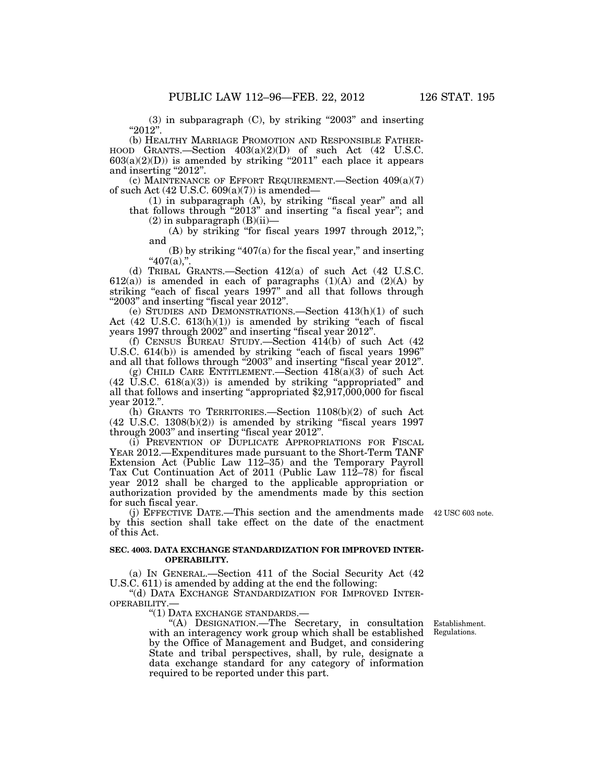$(3)$  in subparagraph  $(C)$ , by striking "2003" and inserting ''2012''.

(b) HEALTHY MARRIAGE PROMOTION AND RESPONSIBLE FATHER-HOOD GRANTS.—Section 403(a)(2)(D) of such Act (42 U.S.C.  $603(a)(2)(D)$ ) is amended by striking "2011" each place it appears and inserting "2012".

(c) MAINTENANCE OF EFFORT REQUIREMENT.—Section 409(a)(7) of such Act  $(42 \text{ U.S.C. } 609(a)(7))$  is amended—

(1) in subparagraph (A), by striking ''fiscal year'' and all that follows through "2013" and inserting "a fiscal year"; and

 $(2)$  in subparagraph  $(B)(ii)$ —

(A) by striking "for fiscal years  $1997$  through  $2012$ ,"; and

 $(B)$  by striking "407(a) for the fiscal year," and inserting  $"407(a),"$ .

(d) TRIBAL GRANTS.—Section 412(a) of such Act (42 U.S.C.  $612(a)$ ) is amended in each of paragraphs  $(1)(A)$  and  $(2)(A)$  by striking "each of fiscal years 1997" and all that follows through "2003" and inserting "fiscal year 2012".

(e) STUDIES AND DEMONSTRATIONS.—Section 413(h)(1) of such Act  $(42 \text{ U.S.C. } 613(h)(1))$  is amended by striking "each of fiscal years 1997 through 2002'' and inserting ''fiscal year 2012''.

(f) CENSUS BUREAU STUDY.—Section 414(b) of such Act (42 U.S.C. 614(b)) is amended by striking "each of fiscal years 1996" and all that follows through "2003" and inserting "fiscal year 2012".

(g) CHILD CARE ENTITLEMENT.—Section  $418(a)(3)$  of such Act  $(42 \text{ U.S.C. } 618(a)(3))$  is amended by striking "appropriated" and all that follows and inserting ''appropriated \$2,917,000,000 for fiscal year 2012.''.

(h) GRANTS TO TERRITORIES.—Section 1108(b)(2) of such Act  $(42 \text{ U.S.C. } 1308(b)(2))$  is amended by striking "fiscal years 1997 through 2003'' and inserting ''fiscal year 2012''.

(i) PREVENTION OF DUPLICATE APPROPRIATIONS FOR FISCAL YEAR 2012.—Expenditures made pursuant to the Short-Term TANF Extension Act (Public Law 112–35) and the Temporary Payroll Tax Cut Continuation Act of 2011 (Public Law 112–78) for fiscal year 2012 shall be charged to the applicable appropriation or authorization provided by the amendments made by this section for such fiscal year.

(j) EFFECTIVE DATE.—This section and the amendments made 42 USC 603 note. by this section shall take effect on the date of the enactment of this Act.

# **SEC. 4003. DATA EXCHANGE STANDARDIZATION FOR IMPROVED INTER-OPERABILITY.**

(a) IN GENERAL.—Section 411 of the Social Security Act (42 U.S.C. 611) is amended by adding at the end the following:

''(d) DATA EXCHANGE STANDARDIZATION FOR IMPROVED INTER-OPERABILITY.—

''(1) DATA EXCHANGE STANDARDS.—

''(A) DESIGNATION.—The Secretary, in consultation with an interagency work group which shall be established by the Office of Management and Budget, and considering State and tribal perspectives, shall, by rule, designate a data exchange standard for any category of information required to be reported under this part.

Establishment. Regulations.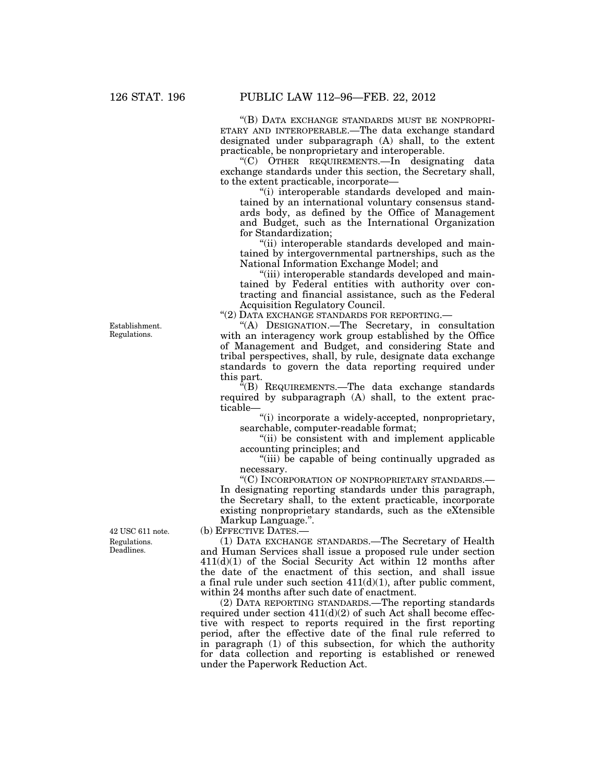''(B) DATA EXCHANGE STANDARDS MUST BE NONPROPRI-ETARY AND INTEROPERABLE.—The data exchange standard designated under subparagraph (A) shall, to the extent practicable, be nonproprietary and interoperable.

''(C) OTHER REQUIREMENTS.—In designating data exchange standards under this section, the Secretary shall, to the extent practicable, incorporate—

''(i) interoperable standards developed and maintained by an international voluntary consensus standards body, as defined by the Office of Management and Budget, such as the International Organization for Standardization;

''(ii) interoperable standards developed and maintained by intergovernmental partnerships, such as the National Information Exchange Model; and

''(iii) interoperable standards developed and maintained by Federal entities with authority over contracting and financial assistance, such as the Federal Acquisition Regulatory Council.

''(2) DATA EXCHANGE STANDARDS FOR REPORTING.—

''(A) DESIGNATION.—The Secretary, in consultation with an interagency work group established by the Office of Management and Budget, and considering State and tribal perspectives, shall, by rule, designate data exchange standards to govern the data reporting required under this part.

''(B) REQUIREMENTS.—The data exchange standards required by subparagraph (A) shall, to the extent practicable—

''(i) incorporate a widely-accepted, nonproprietary, searchable, computer-readable format;

"(ii) be consistent with and implement applicable accounting principles; and

''(iii) be capable of being continually upgraded as necessary.

''(C) INCORPORATION OF NONPROPRIETARY STANDARDS.— In designating reporting standards under this paragraph, the Secretary shall, to the extent practicable, incorporate existing nonproprietary standards, such as the eXtensible Markup Language.''.

(b) EFFECTIVE DATES.—

(1) DATA EXCHANGE STANDARDS.—The Secretary of Health and Human Services shall issue a proposed rule under section 411(d)(1) of the Social Security Act within 12 months after the date of the enactment of this section, and shall issue a final rule under such section  $411(d)(1)$ , after public comment, within 24 months after such date of enactment.

(2) DATA REPORTING STANDARDS.—The reporting standards required under section  $411(d)(2)$  of such Act shall become effective with respect to reports required in the first reporting period, after the effective date of the final rule referred to in paragraph (1) of this subsection, for which the authority for data collection and reporting is established or renewed under the Paperwork Reduction Act.

Establishment. Regulations.

Regulations. Deadlines. 42 USC 611 note.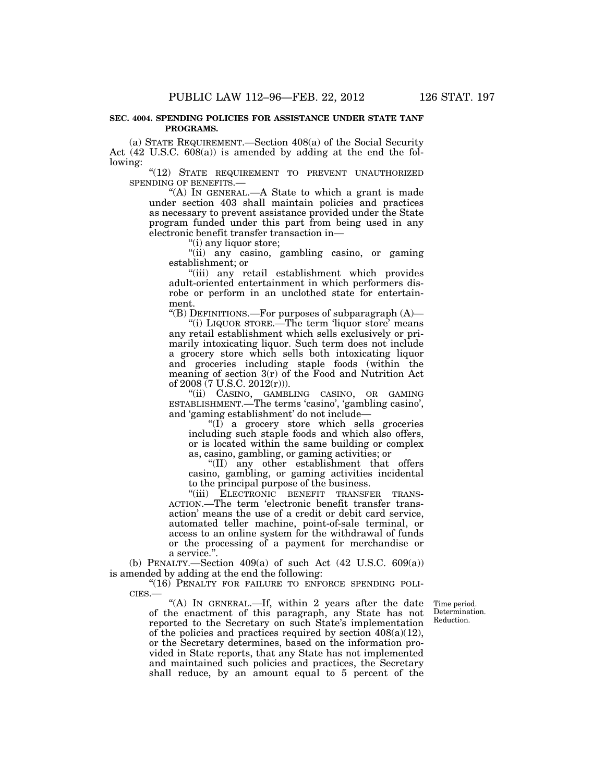## **SEC. 4004. SPENDING POLICIES FOR ASSISTANCE UNDER STATE TANF PROGRAMS.**

(a) STATE REQUIREMENT.—Section 408(a) of the Social Security Act (42 U.S.C. 608(a)) is amended by adding at the end the following:

''(12) STATE REQUIREMENT TO PREVENT UNAUTHORIZED SPENDING OF BENEFITS.—

''(A) IN GENERAL.—A State to which a grant is made under section 403 shall maintain policies and practices as necessary to prevent assistance provided under the State program funded under this part from being used in any electronic benefit transfer transaction in—

''(i) any liquor store;

"(ii) any casino, gambling casino, or gaming establishment; or

''(iii) any retail establishment which provides adult-oriented entertainment in which performers disrobe or perform in an unclothed state for entertainment.

''(B) DEFINITIONS.—For purposes of subparagraph (A)—

"(i) LIQUOR STORE.—The term 'liquor store' means any retail establishment which sells exclusively or primarily intoxicating liquor. Such term does not include a grocery store which sells both intoxicating liquor and groceries including staple foods (within the meaning of section 3(r) of the Food and Nutrition Act of 2008 (7 U.S.C. 2012(r))).

''(ii) CASINO, GAMBLING CASINO, OR GAMING ESTABLISHMENT.—The terms 'casino', 'gambling casino', and 'gaming establishment' do not include—

"(I) a grocery store which sells groceries including such staple foods and which also offers, or is located within the same building or complex as, casino, gambling, or gaming activities; or

''(II) any other establishment that offers casino, gambling, or gaming activities incidental to the principal purpose of the business.

"(iii) ELECTRONIC BENEFIT TRANSFER TRANS-ACTION.—The term 'electronic benefit transfer transaction' means the use of a credit or debit card service, automated teller machine, point-of-sale terminal, or access to an online system for the withdrawal of funds or the processing of a payment for merchandise or a service.''.

(b) PENALTY.—Section 409(a) of such Act (42 U.S.C. 609(a)) is amended by adding at the end the following:

"(16) PENALTY FOR FAILURE TO ENFORCE SPENDING POLI-CIES.—

"(A) IN GENERAL.—If, within 2 years after the date of the enactment of this paragraph, any State has not reported to the Secretary on such State's implementation of the policies and practices required by section  $408(a)(12)$ , or the Secretary determines, based on the information provided in State reports, that any State has not implemented and maintained such policies and practices, the Secretary shall reduce, by an amount equal to 5 percent of the

Time period. Determination. Reduction.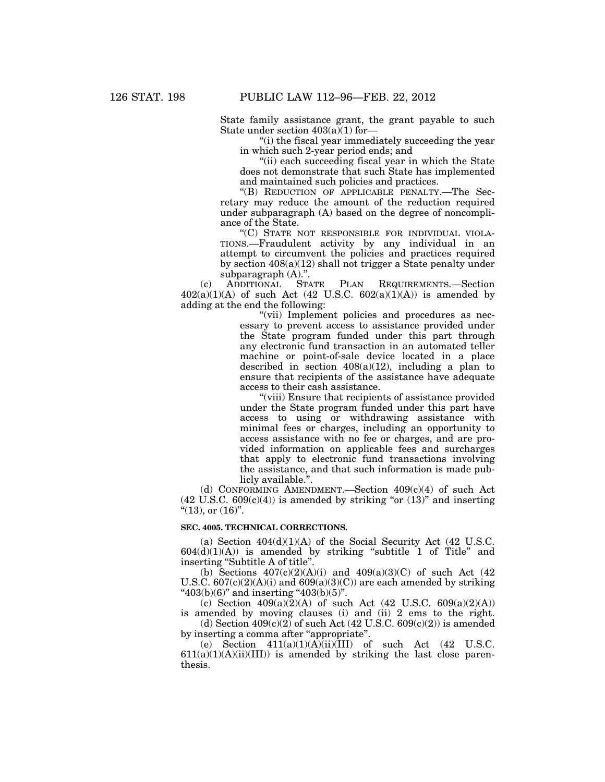State family assistance grant, the grant payable to such State under section  $403(a)(1)$  for-

''(i) the fiscal year immediately succeeding the year in which such 2-year period ends; and

"(ii) each succeeding fiscal year in which the State does not demonstrate that such State has implemented and maintained such policies and practices.

''(B) REDUCTION OF APPLICABLE PENALTY.—The Secretary may reduce the amount of the reduction required under subparagraph (A) based on the degree of noncompliance of the State.

''(C) STATE NOT RESPONSIBLE FOR INDIVIDUAL VIOLA-TIONS.—Fraudulent activity by any individual in an attempt to circumvent the policies and practices required by section  $408(a)(12)$  shall not trigger a State penalty under subparagraph (A).''.

(c) ADDITIONAL STATE PLAN REQUIREMENTS.—Section  $402(a)(1)(A)$  of such Act (42 U.S.C.  $602(a)(1)(A)$ ) is amended by adding at the end the following:

"(vii) Implement policies and procedures as necessary to prevent access to assistance provided under the State program funded under this part through any electronic fund transaction in an automated teller machine or point-of-sale device located in a place described in section  $408(a)(12)$ , including a plan to ensure that recipients of the assistance have adequate access to their cash assistance.

''(viii) Ensure that recipients of assistance provided under the State program funded under this part have access to using or withdrawing assistance with minimal fees or charges, including an opportunity to access assistance with no fee or charges, and are provided information on applicable fees and surcharges that apply to electronic fund transactions involving the assistance, and that such information is made publicly available.''.

(d) CONFORMING AMENDMENT.—Section  $409(c)(4)$  of such Act  $(42 \text{ U.S.C. } 609(c)(4))$  is amended by striking "or  $(13)$ " and inserting " $(13)$ , or  $(16)$ ".

### **SEC. 4005. TECHNICAL CORRECTIONS.**

(a) Section  $404(d)(1)(A)$  of the Social Security Act (42 U.S.C.  $604(d)(1)(A)$ ) is amended by striking "subtitle 1 of Title" and inserting "Subtitle A of title".

(b) Sections  $407(c)(2)(A)(i)$  and  $409(a)(3)(C)$  of such Act (42) U.S.C.  $607(c)(2)(A)(i)$  and  $609(a)(3)(C)$ ) are each amended by striking  $"403(b)(6)"$  and inserting  $"403(b)(5)"$ .

(c) Section  $409(a)(2)(A)$  of such Act (42 U.S.C.  $609(a)(2)(A)$ ) is amended by moving clauses (i) and (ii) 2 ems to the right.

(d) Section  $409(c)(2)$  of such Act (42 U.S.C. 609(c)(2)) is amended by inserting a comma after "appropriate".

(e) Section  $411(a)(1)(\overrightarrow{A})(i)(\overrightarrow{I}II)$  of such Act (42 U.S.C.  $611(a)(1)(A)(ii)(III)$  is amended by striking the last close parenthesis.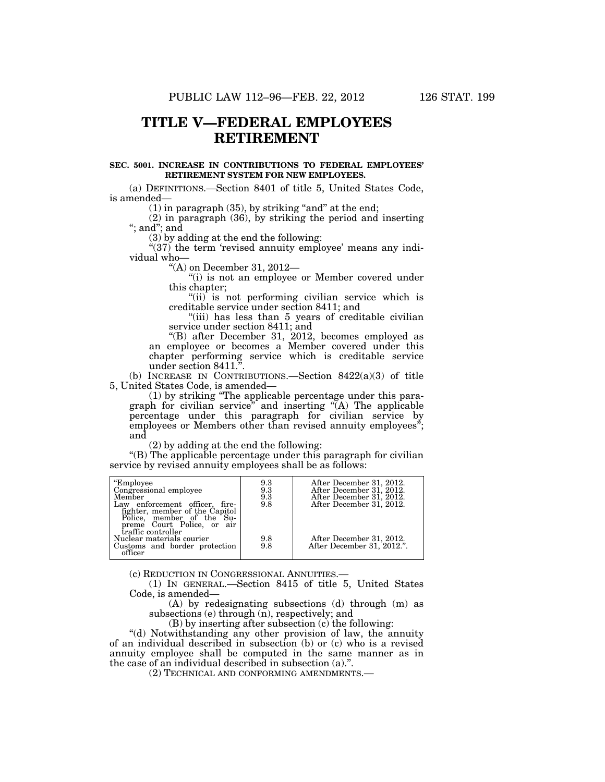# **TITLE V—FEDERAL EMPLOYEES RETIREMENT**

# **SEC. 5001. INCREASE IN CONTRIBUTIONS TO FEDERAL EMPLOYEES' RETIREMENT SYSTEM FOR NEW EMPLOYEES.**

(a) DEFINITIONS.—Section 8401 of title 5, United States Code, is amended—

 $(1)$  in paragraph  $(35)$ , by striking "and" at the end;

(2) in paragraph (36), by striking the period and inserting ''; and''; and

(3) by adding at the end the following:

"(37) the term 'revised annuity employee' means any individual who—

''(A) on December 31, 2012—

''(i) is not an employee or Member covered under this chapter;

"(ii) is not performing civilian service which is creditable service under section 8411; and

"(iii) has less than 5 years of creditable civilian service under section 8411; and

''(B) after December 31, 2012, becomes employed as an employee or becomes a Member covered under this chapter performing service which is creditable service under section 8411.''.

(b) INCREASE IN CONTRIBUTIONS.—Section 8422(a)(3) of title 5, United States Code, is amended—

(1) by striking ''The applicable percentage under this paragraph for civilian service'' and inserting ''(A) The applicable percentage under this paragraph for civilian service by employees or Members other than revised annuity employees"; and

(2) by adding at the end the following:

''(B) The applicable percentage under this paragraph for civilian service by revised annuity employees shall be as follows:

| "Employee<br>Congressional employee<br>Member<br>Law enforcement officer, fire-<br>fighter, member of the Capitol<br>Police, member of the Su-<br>preme Court Police, or air | 9.3<br>$\begin{smallmatrix} 9.3\ 9.3\ 9.8 \end{smallmatrix}$ | After December 31, 2012.<br>After December 31, 2012.<br>After December 31, 2012.<br>After December 31, 2012. |
|------------------------------------------------------------------------------------------------------------------------------------------------------------------------------|--------------------------------------------------------------|--------------------------------------------------------------------------------------------------------------|
| traffic controller<br>Nuclear materials courier<br>Customs and border protection<br>officer                                                                                  | 9.8<br>9.8                                                   | After December 31, 2012.<br>After December 31, 2012.".                                                       |

(c) REDUCTION IN CONGRESSIONAL ANNUITIES.— (1) IN GENERAL.—Section 8415 of title 5, United States Code, is amended—

(A) by redesignating subsections (d) through (m) as subsections (e) through (n), respectively; and

(B) by inserting after subsection (c) the following:

''(d) Notwithstanding any other provision of law, the annuity of an individual described in subsection (b) or (c) who is a revised annuity employee shall be computed in the same manner as in the case of an individual described in subsection (a).''.

(2) TECHNICAL AND CONFORMING AMENDMENTS.—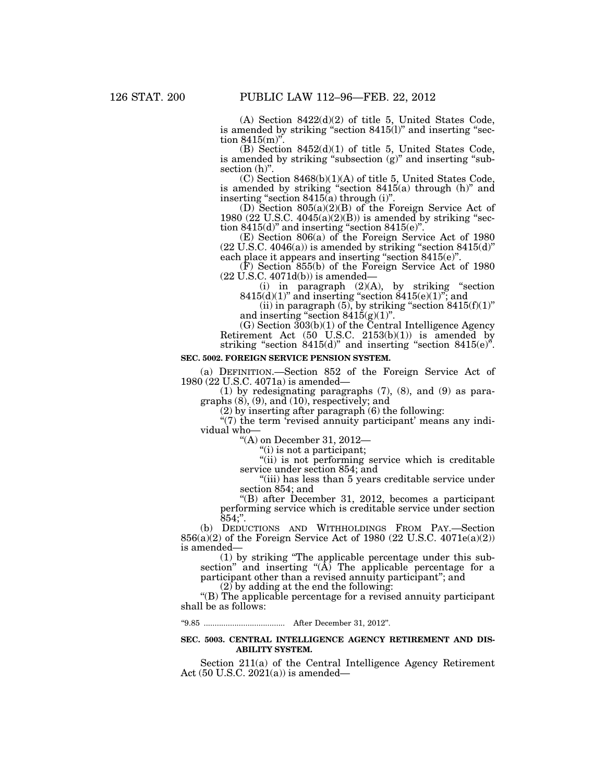(A) Section 8422(d)(2) of title 5, United States Code, is amended by striking "section 8415(l)" and inserting "section  $8415(m)$ ".

(B) Section 8452(d)(1) of title 5, United States Code, is amended by striking "subsection  $(g)$ " and inserting "subsection  $(h)$ ".

(C) Section 8468(b)(1)(A) of title 5, United States Code, is amended by striking "section  $8415(a)$  through (h)" and inserting "section  $8415(a)$  through (i)".

(D) Section 805(a)(2)(B) of the Foreign Service Act of 1980 (22 U.S.C.  $4045(a)(2)(B)$ ) is amended by striking "section  $8415(d)$ " and inserting "section  $8415(e)$ ".

(E) Section 806(a) of the Foreign Service Act of 1980  $(22 \text{ U.S.C. } 4046(a))$  is amended by striking "section  $8415(d)$ " each place it appears and inserting "section 8415(e)".

(F) Section 855(b) of the Foreign Service Act of 1980 (22 U.S.C. 4071d(b)) is amended—

(i) in paragraph  $(2)(A)$ , by striking "section  $8415(d)(1)$ " and inserting "section  $8415(e)(1)$ "; and

(ii) in paragraph  $(5)$ , by striking "section  $8415(f)(1)$ " and inserting "section  $8415(g)(1)$ ".

(G) Section 303(b)(1) of the Central Intelligence Agency Retirement Act  $(50 \text{ U.S.C. } 2153(b)(1))$  is amended by striking "section  $8415(d)$ " and inserting "section  $8415(e)$ ".

# **SEC. 5002. FOREIGN SERVICE PENSION SYSTEM.**

(a) DEFINITION.—Section 852 of the Foreign Service Act of 1980 (22 U.S.C. 4071a) is amended—

(1) by redesignating paragraphs (7), (8), and (9) as paragraphs (8), (9), and (10), respectively; and

(2) by inserting after paragraph (6) the following:

"(7) the term 'revised annuity participant' means any individual who—

''(A) on December 31, 2012—

''(i) is not a participant;

"(ii) is not performing service which is creditable service under section 854; and

''(iii) has less than 5 years creditable service under section 854; and

''(B) after December 31, 2012, becomes a participant performing service which is creditable service under section  $854$ :".

(b) DEDUCTIONS AND WITHHOLDINGS FROM PAY.—Section 856(a)(2) of the Foreign Service Act of 1980 (22 U.S.C. 4071e(a)(2)) is amended—

(1) by striking ''The applicable percentage under this subsection" and inserting " $(\overline{A})$  The applicable percentage for a participant other than a revised annuity participant"; and

(2) by adding at the end the following:

''(B) The applicable percentage for a revised annuity participant shall be as follows:

''9.85 ..................................... After December 31, 2012''.

### **SEC. 5003. CENTRAL INTELLIGENCE AGENCY RETIREMENT AND DIS-ABILITY SYSTEM.**

Section 211(a) of the Central Intelligence Agency Retirement Act (50 U.S.C. 2021(a)) is amended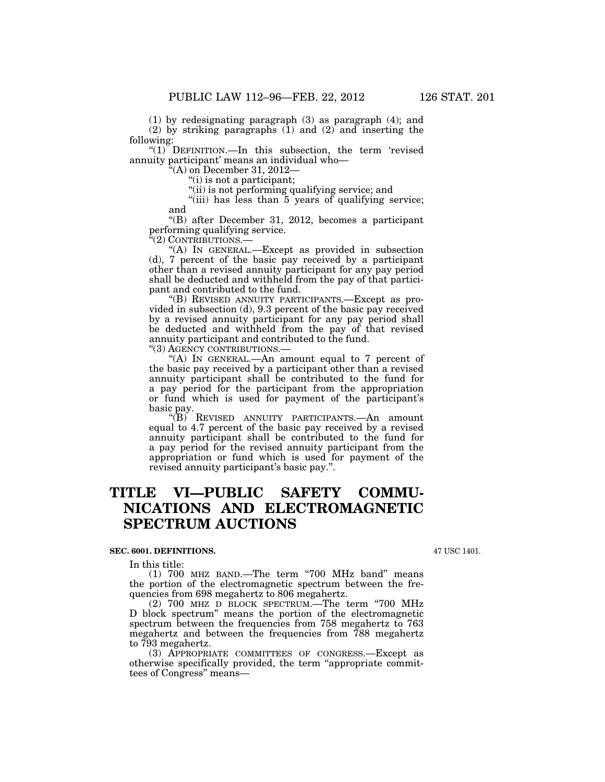(1) by redesignating paragraph (3) as paragraph (4); and

(2) by striking paragraphs (1) and (2) and inserting the following:

"(1) DEFINITION.—In this subsection, the term 'revised annuity participant' means an individual who—

''(A) on December 31, 2012—

''(i) is not a participant;

''(ii) is not performing qualifying service; and

"(iii) has less than 5 years of qualifying service; and

''(B) after December 31, 2012, becomes a participant performing qualifying service.

(2) CONTRIBUTIONS.-

''(A) IN GENERAL.—Except as provided in subsection (d), 7 percent of the basic pay received by a participant other than a revised annuity participant for any pay period shall be deducted and withheld from the pay of that participant and contributed to the fund.

''(B) REVISED ANNUITY PARTICIPANTS.—Except as provided in subsection (d), 9.3 percent of the basic pay received by a revised annuity participant for any pay period shall be deducted and withheld from the pay of that revised annuity participant and contributed to the fund.

''(3) AGENCY CONTRIBUTIONS.—

 $f(A)$  In GENERAL.—An amount equal to 7 percent of the basic pay received by a participant other than a revised annuity participant shall be contributed to the fund for a pay period for the participant from the appropriation or fund which is used for payment of the participant's basic pay.

''(B) REVISED ANNUITY PARTICIPANTS.—An amount equal to 4.7 percent of the basic pay received by a revised annuity participant shall be contributed to the fund for a pay period for the revised annuity participant from the appropriation or fund which is used for payment of the revised annuity participant's basic pay.''.

# **TITLE VI—PUBLIC SAFETY COMMU-NICATIONS AND ELECTROMAGNETIC SPECTRUM AUCTIONS**

## **SEC. 6001. DEFINITIONS.**

In this title:

 $(1)$  700 MHz BAND.—The term "700 MHz band" means the portion of the electromagnetic spectrum between the frequencies from 698 megahertz to 806 megahertz.

(2) 700 MHZ D BLOCK SPECTRUM.—The term ''700 MHz D block spectrum'' means the portion of the electromagnetic spectrum between the frequencies from 758 megahertz to 763 megahertz and between the frequencies from 788 megahertz to 793 megahertz.

(3) APPROPRIATE COMMITTEES OF CONGRESS.—Except as otherwise specifically provided, the term ''appropriate committees of Congress'' means—

47 USC 1401.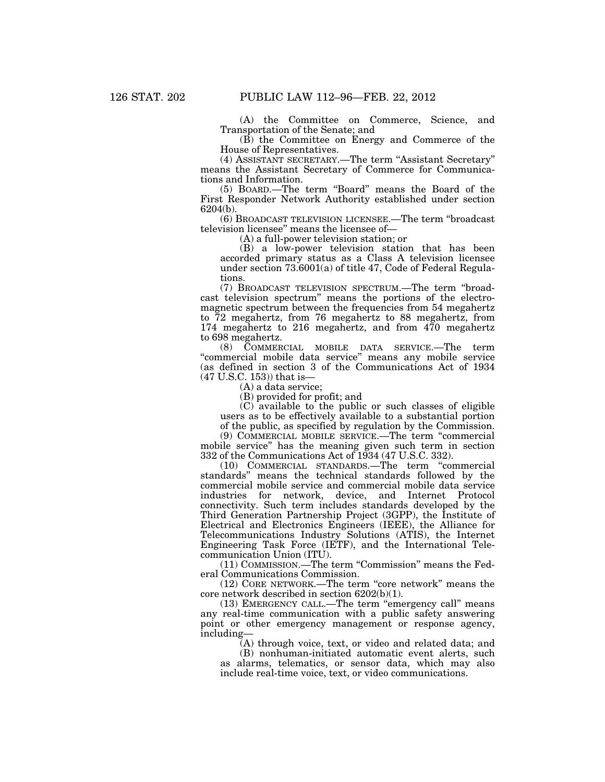(A) the Committee on Commerce, Science, and Transportation of the Senate; and

(B) the Committee on Energy and Commerce of the House of Representatives.

(4) ASSISTANT SECRETARY.—The term ''Assistant Secretary'' means the Assistant Secretary of Commerce for Communications and Information.

(5) BOARD.—The term ''Board'' means the Board of the First Responder Network Authority established under section 6204(b).

(6) BROADCAST TELEVISION LICENSEE.—The term ''broadcast television licensee'' means the licensee of—

(A) a full-power television station; or

(B) a low-power television station that has been accorded primary status as a Class A television licensee under section 73.6001(a) of title 47, Code of Federal Regulations.

(7) BROADCAST TELEVISION SPECTRUM.—The term ''broadcast television spectrum'' means the portions of the electromagnetic spectrum between the frequencies from 54 megahertz to 72 megahertz, from 76 megahertz to 88 megahertz, from 174 megahertz to 216 megahertz, and from 470 megahertz to 698 megahertz.

(8) COMMERCIAL MOBILE DATA SERVICE.—The term ''commercial mobile data service'' means any mobile service (as defined in section 3 of the Communications Act of 1934 (47 U.S.C. 153)) that is—

(A) a data service;

(B) provided for profit; and

(C) available to the public or such classes of eligible users as to be effectively available to a substantial portion

of the public, as specified by regulation by the Commission.

(9) COMMERCIAL MOBILE SERVICE.—The term ''commercial mobile service'' has the meaning given such term in section 332 of the Communications Act of 1934 (47 U.S.C. 332).

(10) COMMERCIAL STANDARDS.—The term ''commercial standards'' means the technical standards followed by the commercial mobile service and commercial mobile data service industries for network, device, and Internet Protocol connectivity. Such term includes standards developed by the Third Generation Partnership Project (3GPP), the Institute of Electrical and Electronics Engineers (IEEE), the Alliance for Telecommunications Industry Solutions (ATIS), the Internet Engineering Task Force (IETF), and the International Telecommunication Union (ITU).

(11) COMMISSION.—The term ''Commission'' means the Federal Communications Commission.

(12) CORE NETWORK.—The term ''core network'' means the core network described in section 6202(b)(1).

(13) EMERGENCY CALL.—The term ''emergency call'' means any real-time communication with a public safety answering point or other emergency management or response agency, including—

(A) through voice, text, or video and related data; and

(B) nonhuman-initiated automatic event alerts, such as alarms, telematics, or sensor data, which may also include real-time voice, text, or video communications.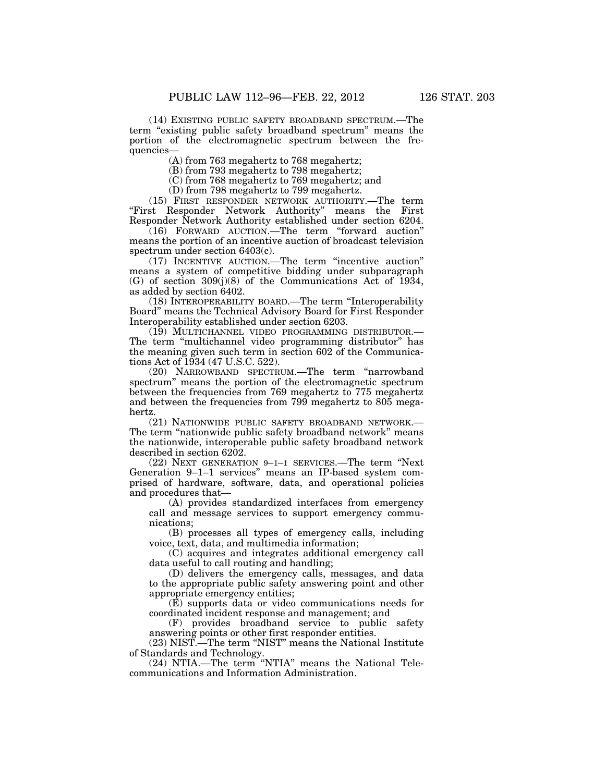(14) EXISTING PUBLIC SAFETY BROADBAND SPECTRUM.—The term "existing public safety broadband spectrum" means the portion of the electromagnetic spectrum between the frequencies—

(A) from 763 megahertz to 768 megahertz;

(B) from 793 megahertz to 798 megahertz;

(C) from 768 megahertz to 769 megahertz; and

(D) from 798 megahertz to 799 megahertz.

(15) FIRST RESPONDER NETWORK AUTHORITY.—The term ''First Responder Network Authority'' means the First Responder Network Authority established under section 6204.

(16) FORWARD AUCTION.—The term ''forward auction'' means the portion of an incentive auction of broadcast television spectrum under section 6403(c).

(17) INCENTIVE AUCTION.—The term ''incentive auction'' means a system of competitive bidding under subparagraph (G) of section 309(j)(8) of the Communications Act of 1934, as added by section 6402.

(18) INTEROPERABILITY BOARD.—The term ''Interoperability Board'' means the Technical Advisory Board for First Responder Interoperability established under section 6203.

(19) MULTICHANNEL VIDEO PROGRAMMING DISTRIBUTOR.— The term "multichannel video programming distributor" has the meaning given such term in section 602 of the Communications Act of 1934 (47 U.S.C. 522).

(20) NARROWBAND SPECTRUM.—The term ''narrowband spectrum'' means the portion of the electromagnetic spectrum between the frequencies from 769 megahertz to 775 megahertz and between the frequencies from 799 megahertz to 805 megahertz.

(21) NATIONWIDE PUBLIC SAFETY BROADBAND NETWORK.— The term "nationwide public safety broadband network" means the nationwide, interoperable public safety broadband network described in section 6202.

(22) NEXT GENERATION 9–1–1 SERVICES.—The term ''Next Generation 9–1–1 services'' means an IP-based system comprised of hardware, software, data, and operational policies and procedures that—

(A) provides standardized interfaces from emergency call and message services to support emergency communications;

(B) processes all types of emergency calls, including voice, text, data, and multimedia information;

(C) acquires and integrates additional emergency call data useful to call routing and handling;

(D) delivers the emergency calls, messages, and data to the appropriate public safety answering point and other appropriate emergency entities;

(E) supports data or video communications needs for coordinated incident response and management; and

(F) provides broadband service to public safety answering points or other first responder entities.

(23) NIST.—The term ''NIST'' means the National Institute of Standards and Technology.

(24) NTIA.—The term ''NTIA'' means the National Telecommunications and Information Administration.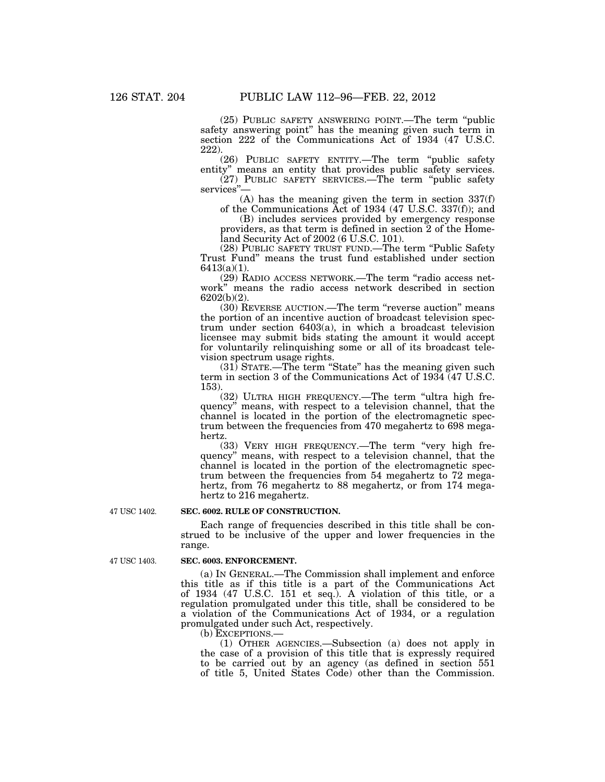(25) PUBLIC SAFETY ANSWERING POINT.—The term ''public safety answering point'' has the meaning given such term in section 222 of the Communications Act of 1934 (47 U.S.C. 222).

(26) PUBLIC SAFETY ENTITY.—The term ''public safety entity'' means an entity that provides public safety services.

(27) PUBLIC SAFETY SERVICES.—The term ''public safety services''—

(A) has the meaning given the term in section 337(f) of the Communications Act of 1934 (47 U.S.C. 337(f)); and

(B) includes services provided by emergency response providers, as that term is defined in section 2 of the Homeland Security Act of 2002 (6 U.S.C. 101).

(28) PUBLIC SAFETY TRUST FUND.—The term ''Public Safety Trust Fund'' means the trust fund established under section 6413(a)(1).

(29) RADIO ACCESS NETWORK.—The term ''radio access network'' means the radio access network described in section 6202(b)(2).

(30) REVERSE AUCTION.—The term ''reverse auction'' means the portion of an incentive auction of broadcast television spectrum under section 6403(a), in which a broadcast television licensee may submit bids stating the amount it would accept for voluntarily relinquishing some or all of its broadcast television spectrum usage rights.

(31) STATE.—The term ''State'' has the meaning given such term in section 3 of the Communications Act of 1934 (47 U.S.C. 153).

(32) ULTRA HIGH FREQUENCY.—The term ''ultra high frequency'' means, with respect to a television channel, that the channel is located in the portion of the electromagnetic spectrum between the frequencies from 470 megahertz to 698 megahertz.

(33) VERY HIGH FREQUENCY.—The term ''very high frequency'' means, with respect to a television channel, that the channel is located in the portion of the electromagnetic spectrum between the frequencies from 54 megahertz to 72 megahertz, from 76 megahertz to 88 megahertz, or from 174 megahertz to 216 megahertz.

47 USC 1402.

## **SEC. 6002. RULE OF CONSTRUCTION.**

Each range of frequencies described in this title shall be construed to be inclusive of the upper and lower frequencies in the range.

### **SEC. 6003. ENFORCEMENT.**

(a) IN GENERAL.—The Commission shall implement and enforce this title as if this title is a part of the Communications Act of 1934 (47 U.S.C. 151 et seq.). A violation of this title, or a regulation promulgated under this title, shall be considered to be a violation of the Communications Act of 1934, or a regulation promulgated under such Act, respectively.

(b) EXCEPTIONS.—

(1) OTHER AGENCIES.—Subsection (a) does not apply in the case of a provision of this title that is expressly required to be carried out by an agency (as defined in section 551 of title 5, United States Code) other than the Commission.

47 USC 1403.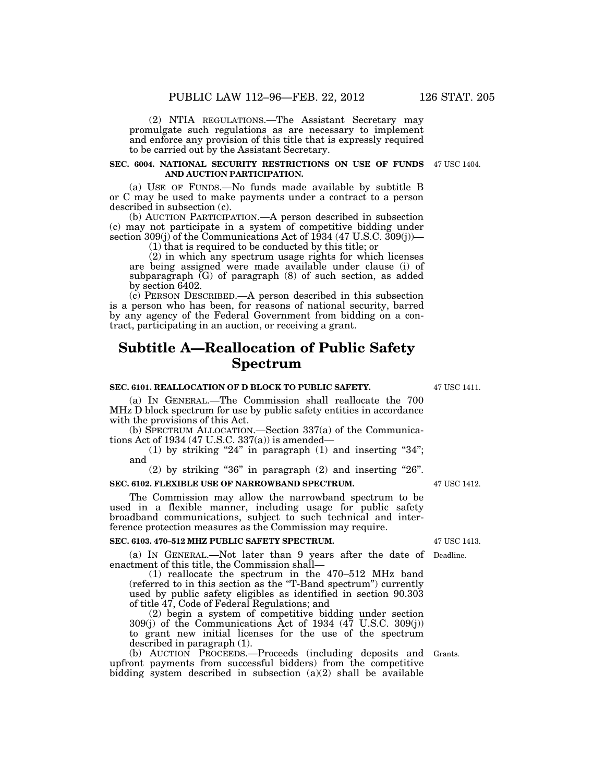(2) NTIA REGULATIONS.—The Assistant Secretary may promulgate such regulations as are necessary to implement and enforce any provision of this title that is expressly required to be carried out by the Assistant Secretary.

#### **SEC. 6004. NATIONAL SECURITY RESTRICTIONS ON USE OF FUNDS**  47 USC 1404. **AND AUCTION PARTICIPATION.**

(a) USE OF FUNDS.—No funds made available by subtitle B or C may be used to make payments under a contract to a person described in subsection (c).

(b) AUCTION PARTICIPATION.—A person described in subsection (c) may not participate in a system of competitive bidding under section 309(j) of the Communications Act of 1934  $(47 \text{ U.S.C. } 309(j))$ —

(1) that is required to be conducted by this title; or

(2) in which any spectrum usage rights for which licenses are being assigned were made available under clause (i) of subparagraph  $(G)$  of paragraph  $(8)$  of such section, as added by section 6402.

(c) PERSON DESCRIBED.—A person described in this subsection is a person who has been, for reasons of national security, barred by any agency of the Federal Government from bidding on a contract, participating in an auction, or receiving a grant.

# **Subtitle A—Reallocation of Public Safety Spectrum**

### **SEC. 6101. REALLOCATION OF D BLOCK TO PUBLIC SAFETY.**

(a) IN GENERAL.—The Commission shall reallocate the 700 MHz D block spectrum for use by public safety entities in accordance with the provisions of this Act.

(b) SPECTRUM ALLOCATION.—Section 337(a) of the Communications Act of 1934 (47 U.S.C. 337(a)) is amended—

(1) by striking "24" in paragraph  $(1)$  and inserting "34"; and

 $(2)$  by striking "36" in paragraph  $(2)$  and inserting "26".

# **SEC. 6102. FLEXIBLE USE OF NARROWBAND SPECTRUM.**

The Commission may allow the narrowband spectrum to be used in a flexible manner, including usage for public safety broadband communications, subject to such technical and interference protection measures as the Commission may require.

### **SEC. 6103. 470–512 MHZ PUBLIC SAFETY SPECTRUM.**

(a) IN GENERAL.—Not later than 9 years after the date of Deadline. enactment of this title, the Commission shall—

(1) reallocate the spectrum in the 470–512 MHz band (referred to in this section as the ''T-Band spectrum'') currently used by public safety eligibles as identified in section 90.303 of title 47, Code of Federal Regulations; and

(2) begin a system of competitive bidding under section 309(j) of the Communications Act of 1934 (47 U.S.C. 309(j)) to grant new initial licenses for the use of the spectrum described in paragraph (1).

(b) AUCTION PROCEEDS.—Proceeds (including deposits and Grants. upfront payments from successful bidders) from the competitive bidding system described in subsection (a)(2) shall be available

47 USC 1413.

47 USC 1412.

47 USC 1411.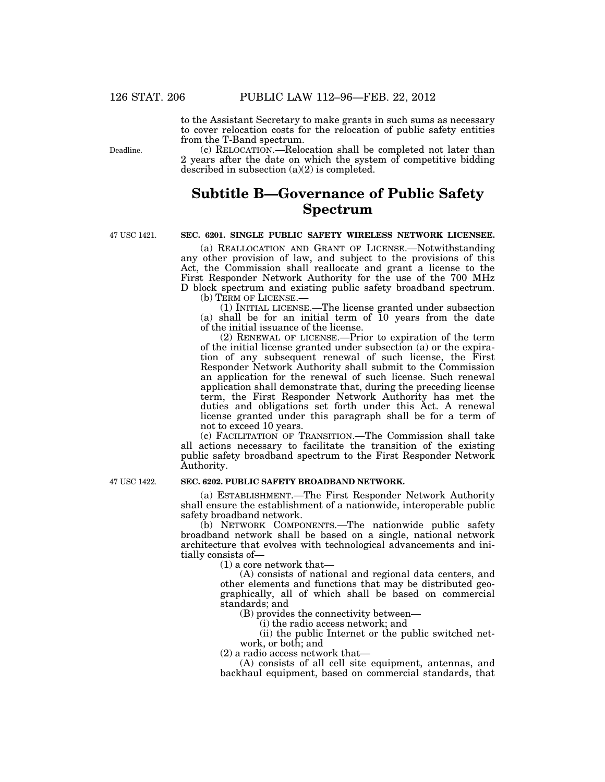to the Assistant Secretary to make grants in such sums as necessary to cover relocation costs for the relocation of public safety entities from the T-Band spectrum.

Deadline.

(c) RELOCATION.—Relocation shall be completed not later than 2 years after the date on which the system of competitive bidding described in subsection (a)(2) is completed.

# **Subtitle B—Governance of Public Safety Spectrum**

47 USC 1421.

# **SEC. 6201. SINGLE PUBLIC SAFETY WIRELESS NETWORK LICENSEE.**

(a) REALLOCATION AND GRANT OF LICENSE.—Notwithstanding any other provision of law, and subject to the provisions of this Act, the Commission shall reallocate and grant a license to the First Responder Network Authority for the use of the 700 MHz D block spectrum and existing public safety broadband spectrum. (b) TERM OF LICENSE.—

(1) INITIAL LICENSE.—The license granted under subsection (a) shall be for an initial term of 10 years from the date of the initial issuance of the license.

(2) RENEWAL OF LICENSE.—Prior to expiration of the term of the initial license granted under subsection (a) or the expiration of any subsequent renewal of such license, the First Responder Network Authority shall submit to the Commission an application for the renewal of such license. Such renewal application shall demonstrate that, during the preceding license term, the First Responder Network Authority has met the duties and obligations set forth under this Act. A renewal license granted under this paragraph shall be for a term of not to exceed 10 years.

(c) FACILITATION OF TRANSITION.—The Commission shall take all actions necessary to facilitate the transition of the existing public safety broadband spectrum to the First Responder Network Authority.

47 USC 1422.

# **SEC. 6202. PUBLIC SAFETY BROADBAND NETWORK.**

(a) ESTABLISHMENT.—The First Responder Network Authority shall ensure the establishment of a nationwide, interoperable public safety broadband network.

(b) NETWORK COMPONENTS.—The nationwide public safety broadband network shall be based on a single, national network architecture that evolves with technological advancements and initially consists of—

(1) a core network that—

(A) consists of national and regional data centers, and other elements and functions that may be distributed geographically, all of which shall be based on commercial standards; and

(B) provides the connectivity between—

(i) the radio access network; and

(ii) the public Internet or the public switched network, or both; and

(2) a radio access network that—

(A) consists of all cell site equipment, antennas, and backhaul equipment, based on commercial standards, that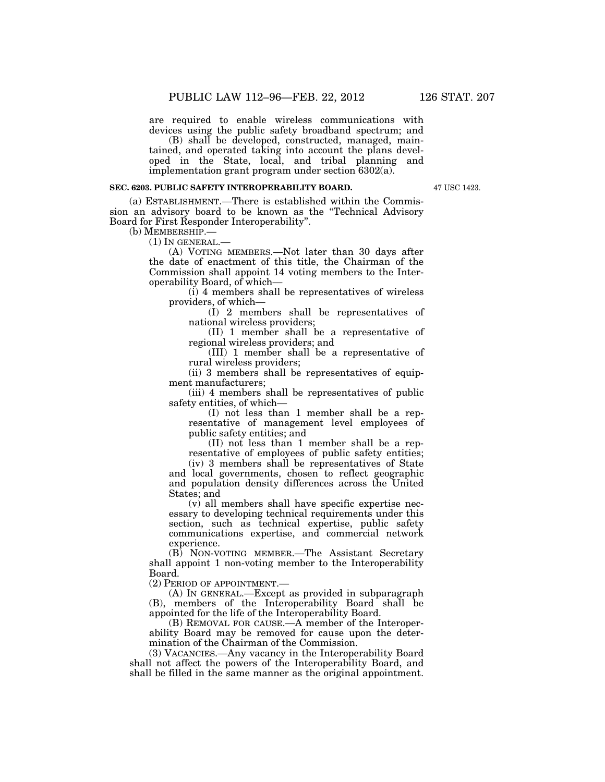are required to enable wireless communications with devices using the public safety broadband spectrum; and

(B) shall be developed, constructed, managed, maintained, and operated taking into account the plans developed in the State, local, and tribal planning and implementation grant program under section 6302(a).

### **SEC. 6203. PUBLIC SAFETY INTEROPERABILITY BOARD.**

47 USC 1423.

(a) ESTABLISHMENT.—There is established within the Commission an advisory board to be known as the ''Technical Advisory Board for First Responder Interoperability''.

(b) MEMBERSHIP.—

 $(1)$  In GENERAL.—

(A) VOTING MEMBERS.—Not later than 30 days after the date of enactment of this title, the Chairman of the Commission shall appoint 14 voting members to the Interoperability Board, of which—

(i) 4 members shall be representatives of wireless providers, of which—

(I) 2 members shall be representatives of national wireless providers;

(II) 1 member shall be a representative of regional wireless providers; and

(III) 1 member shall be a representative of rural wireless providers;

(ii) 3 members shall be representatives of equipment manufacturers;

(iii) 4 members shall be representatives of public safety entities, of which—

(I) not less than 1 member shall be a representative of management level employees of public safety entities; and

(II) not less than 1 member shall be a representative of employees of public safety entities;

(iv) 3 members shall be representatives of State and local governments, chosen to reflect geographic and population density differences across the United States; and

(v) all members shall have specific expertise necessary to developing technical requirements under this section, such as technical expertise, public safety communications expertise, and commercial network experience.

(B) NON-VOTING MEMBER.—The Assistant Secretary shall appoint 1 non-voting member to the Interoperability Board.

(2) PERIOD OF APPOINTMENT.—

(A) IN GENERAL.—Except as provided in subparagraph (B), members of the Interoperability Board shall be appointed for the life of the Interoperability Board.

(B) REMOVAL FOR CAUSE.—A member of the Interoperability Board may be removed for cause upon the determination of the Chairman of the Commission.

(3) VACANCIES.—Any vacancy in the Interoperability Board shall not affect the powers of the Interoperability Board, and shall be filled in the same manner as the original appointment.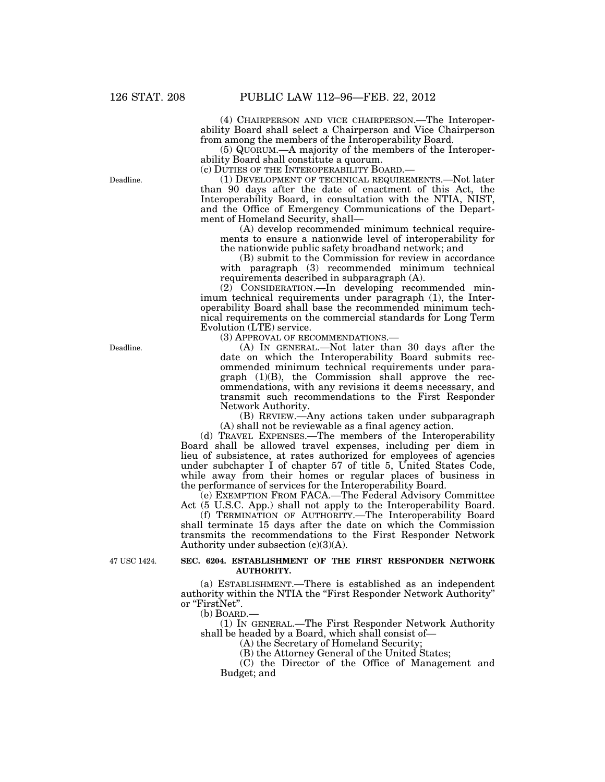(4) CHAIRPERSON AND VICE CHAIRPERSON.—The Interoperability Board shall select a Chairperson and Vice Chairperson from among the members of the Interoperability Board.

(5) QUORUM.—A majority of the members of the Interoperability Board shall constitute a quorum.<br>(c) DUTIES OF THE INTEROPERABILITY BOARD.—

 $(1)$  DEVELOPMENT OF TECHNICAL REQUIREMENTS.—Not later than 90 days after the date of enactment of this Act, the Interoperability Board, in consultation with the NTIA, NIST, and the Office of Emergency Communications of the Department of Homeland Security, shall—

(A) develop recommended minimum technical requirements to ensure a nationwide level of interoperability for the nationwide public safety broadband network; and

(B) submit to the Commission for review in accordance with paragraph (3) recommended minimum technical requirements described in subparagraph (A).

(2) CONSIDERATION.—In developing recommended minimum technical requirements under paragraph (1), the Interoperability Board shall base the recommended minimum technical requirements on the commercial standards for Long Term Evolution (LTE) service.

(3) APPROVAL OF RECOMMENDATIONS.—

(A) IN GENERAL.—Not later than 30 days after the date on which the Interoperability Board submits recommended minimum technical requirements under paragraph  $(1)(B)$ , the Commission shall approve the recommendations, with any revisions it deems necessary, and transmit such recommendations to the First Responder Network Authority.

(B) REVIEW.—Any actions taken under subparagraph (A) shall not be reviewable as a final agency action.

(d) TRAVEL EXPENSES.—The members of the Interoperability Board shall be allowed travel expenses, including per diem in lieu of subsistence, at rates authorized for employees of agencies under subchapter I of chapter 57 of title 5, United States Code, while away from their homes or regular places of business in the performance of services for the Interoperability Board.

(e) EXEMPTION FROM FACA.—The Federal Advisory Committee Act (5 U.S.C. App.) shall not apply to the Interoperability Board.

(f) TERMINATION OF AUTHORITY.—The Interoperability Board shall terminate 15 days after the date on which the Commission transmits the recommendations to the First Responder Network Authority under subsection  $(c)(3)(A)$ .

47 USC 1424.

## **SEC. 6204. ESTABLISHMENT OF THE FIRST RESPONDER NETWORK AUTHORITY.**

(a) ESTABLISHMENT.—There is established as an independent authority within the NTIA the "First Responder Network Authority" or "FirstNet".<br>(b) BOARD.-

(1) IN GENERAL.—The First Responder Network Authority shall be headed by a Board, which shall consist of—

(A) the Secretary of Homeland Security;

(B) the Attorney General of the United States;

(C) the Director of the Office of Management and Budget; and

Deadline.

Deadline.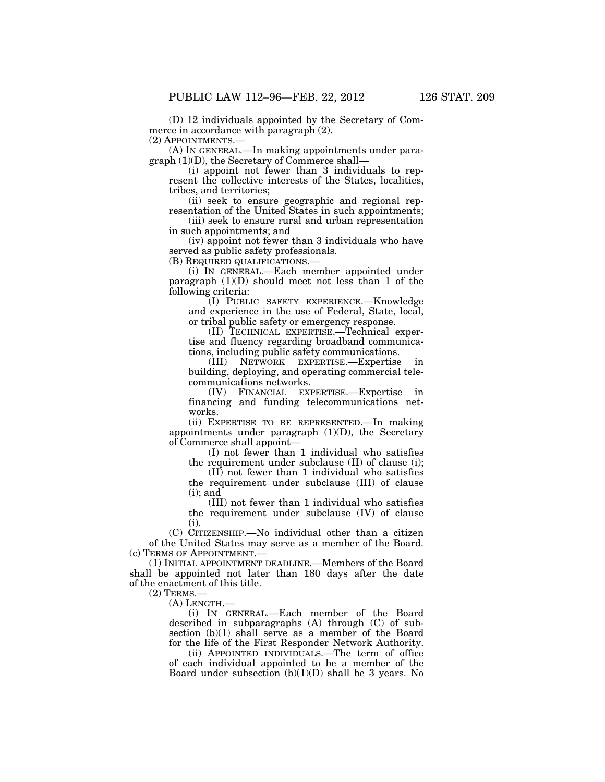(D) 12 individuals appointed by the Secretary of Commerce in accordance with paragraph (2). (2) APPOINTMENTS.—

(A) IN GENERAL.—In making appointments under paragraph (1)(D), the Secretary of Commerce shall—

(i) appoint not fewer than 3 individuals to represent the collective interests of the States, localities, tribes, and territories;

(ii) seek to ensure geographic and regional representation of the United States in such appointments;

(iii) seek to ensure rural and urban representation in such appointments; and

(iv) appoint not fewer than 3 individuals who have served as public safety professionals.

(B) REQUIRED QUALIFICATIONS.—

(i) IN GENERAL.—Each member appointed under paragraph  $(1)(D)$  should meet not less than 1 of the following criteria:

(I) PUBLIC SAFETY EXPERIENCE.—Knowledge and experience in the use of Federal, State, local, or tribal public safety or emergency response.

(II) TECHNICAL EXPERTISE.—Technical expertise and fluency regarding broadband communications, including public safety communications.

(III) NETWORK EXPERTISE.—Expertise in building, deploying, and operating commercial telecommunications networks.

(IV) FINANCIAL EXPERTISE.—Expertise in financing and funding telecommunications networks.

(ii) EXPERTISE TO BE REPRESENTED.—In making appointments under paragraph  $(1)(D)$ , the Secretary of Commerce shall appoint—

(I) not fewer than 1 individual who satisfies the requirement under subclause (II) of clause (i);

(II) not fewer than 1 individual who satisfies the requirement under subclause (III) of clause  $(i)$ ; and

(III) not fewer than 1 individual who satisfies the requirement under subclause (IV) of clause (i).

(C) CITIZENSHIP.—No individual other than a citizen of the United States may serve as a member of the Board. (c) TERMS OF APPOINTMENT.—

(1) INITIAL APPOINTMENT DEADLINE.—Members of the Board shall be appointed not later than 180 days after the date of the enactment of this title.

(2) TERMS.—

(A) LENGTH.—

(i) IN GENERAL.—Each member of the Board described in subparagraphs (A) through (C) of subsection (b)(1) shall serve as a member of the Board for the life of the First Responder Network Authority.

(ii) APPOINTED INDIVIDUALS.—The term of office of each individual appointed to be a member of the Board under subsection  $(b)(1)(D)$  shall be 3 years. No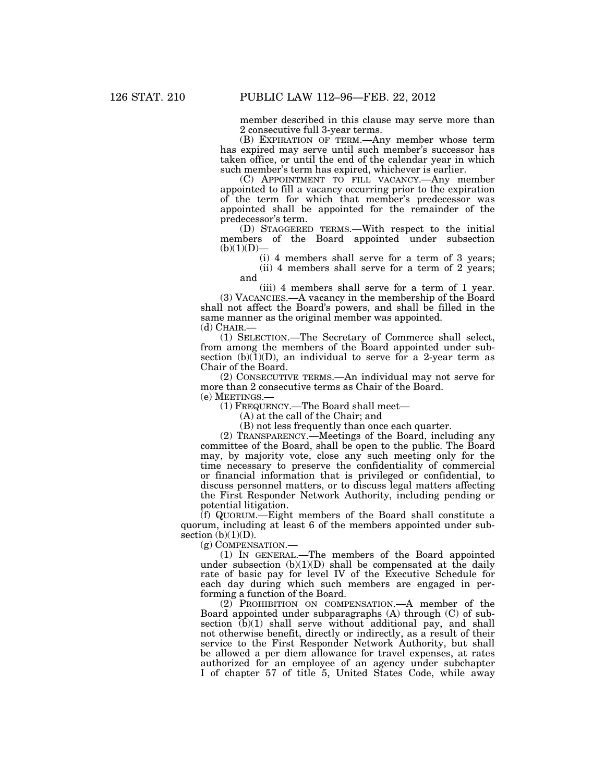member described in this clause may serve more than 2 consecutive full 3-year terms.

(B) EXPIRATION OF TERM.—Any member whose term has expired may serve until such member's successor has taken office, or until the end of the calendar year in which such member's term has expired, whichever is earlier.

(C) APPOINTMENT TO FILL VACANCY.—Any member appointed to fill a vacancy occurring prior to the expiration of the term for which that member's predecessor was appointed shall be appointed for the remainder of the predecessor's term.

(D) STAGGERED TERMS.—With respect to the initial members of the Board appointed under subsection  $(b)(1)(D)$ 

(i) 4 members shall serve for a term of 3 years; (ii) 4 members shall serve for a term of 2 years;

and (iii) 4 members shall serve for a term of 1 year. (3) VACANCIES.—A vacancy in the membership of the Board shall not affect the Board's powers, and shall be filled in the same manner as the original member was appointed.

(d) CHAIR.—

(1) SELECTION.—The Secretary of Commerce shall select, from among the members of the Board appointed under subsection  $(b)(1)(D)$ , an individual to serve for a 2-year term as Chair of the Board.

(2) CONSECUTIVE TERMS.—An individual may not serve for more than 2 consecutive terms as Chair of the Board. (e) MEETINGS.—

(1) FREQUENCY.—The Board shall meet—

(A) at the call of the Chair; and

(B) not less frequently than once each quarter.

(2) TRANSPARENCY.—Meetings of the Board, including any committee of the Board, shall be open to the public. The Board may, by majority vote, close any such meeting only for the time necessary to preserve the confidentiality of commercial or financial information that is privileged or confidential, to discuss personnel matters, or to discuss legal matters affecting the First Responder Network Authority, including pending or potential litigation.

(f) QUORUM.—Eight members of the Board shall constitute a quorum, including at least 6 of the members appointed under subsection  $(b)(1)(D)$ .

(g) COMPENSATION.—

(1) IN GENERAL.—The members of the Board appointed under subsection  $(b)(1)(D)$  shall be compensated at the daily rate of basic pay for level IV of the Executive Schedule for each day during which such members are engaged in performing a function of the Board.

(2) PROHIBITION ON COMPENSATION.—A member of the Board appointed under subparagraphs (A) through (C) of subsection  $(b)(1)$  shall serve without additional pay, and shall not otherwise benefit, directly or indirectly, as a result of their service to the First Responder Network Authority, but shall be allowed a per diem allowance for travel expenses, at rates authorized for an employee of an agency under subchapter I of chapter 57 of title 5, United States Code, while away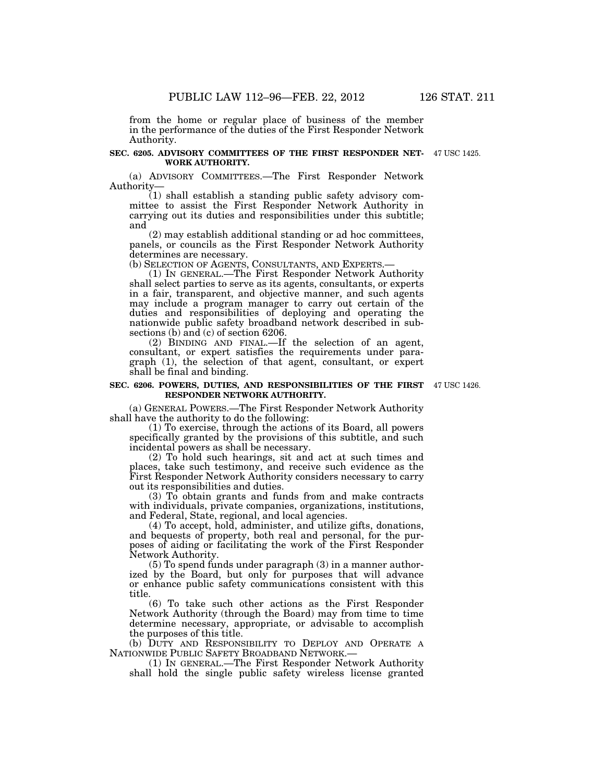from the home or regular place of business of the member in the performance of the duties of the First Responder Network Authority.

### **SEC. 6205. ADVISORY COMMITTEES OF THE FIRST RESPONDER NET-**47 USC 1425. **WORK AUTHORITY.**

(a) ADVISORY COMMITTEES.—The First Responder Network Authority—

(1) shall establish a standing public safety advisory committee to assist the First Responder Network Authority in carrying out its duties and responsibilities under this subtitle; and

(2) may establish additional standing or ad hoc committees, panels, or councils as the First Responder Network Authority determines are necessary.<br>(b) SELECTION OF AGENTS, CONSULTANTS, AND EXPERTS.-

(1) IN GENERAL.—The First Responder Network Authority shall select parties to serve as its agents, consultants, or experts in a fair, transparent, and objective manner, and such agents may include a program manager to carry out certain of the duties and responsibilities of deploying and operating the nationwide public safety broadband network described in subsections (b) and (c) of section 6206.

(2) BINDING AND FINAL.—If the selection of an agent, consultant, or expert satisfies the requirements under paragraph (1), the selection of that agent, consultant, or expert shall be final and binding.

#### **SEC. 6206. POWERS, DUTIES, AND RESPONSIBILITIES OF THE FIRST**  47 USC 1426. **RESPONDER NETWORK AUTHORITY.**

(a) GENERAL POWERS.—The First Responder Network Authority shall have the authority to do the following:

(1) To exercise, through the actions of its Board, all powers specifically granted by the provisions of this subtitle, and such incidental powers as shall be necessary.

(2) To hold such hearings, sit and act at such times and places, take such testimony, and receive such evidence as the First Responder Network Authority considers necessary to carry out its responsibilities and duties.

(3) To obtain grants and funds from and make contracts with individuals, private companies, organizations, institutions, and Federal, State, regional, and local agencies.

(4) To accept, hold, administer, and utilize gifts, donations, and bequests of property, both real and personal, for the purposes of aiding or facilitating the work of the First Responder Network Authority.

(5) To spend funds under paragraph (3) in a manner authorized by the Board, but only for purposes that will advance or enhance public safety communications consistent with this title.

(6) To take such other actions as the First Responder Network Authority (through the Board) may from time to time determine necessary, appropriate, or advisable to accomplish the purposes of this title.

(b) DUTY AND RESPONSIBILITY TO DEPLOY AND OPERATE A NATIONWIDE PUBLIC SAFETY BROADBAND NETWORK.—

(1) IN GENERAL.—The First Responder Network Authority shall hold the single public safety wireless license granted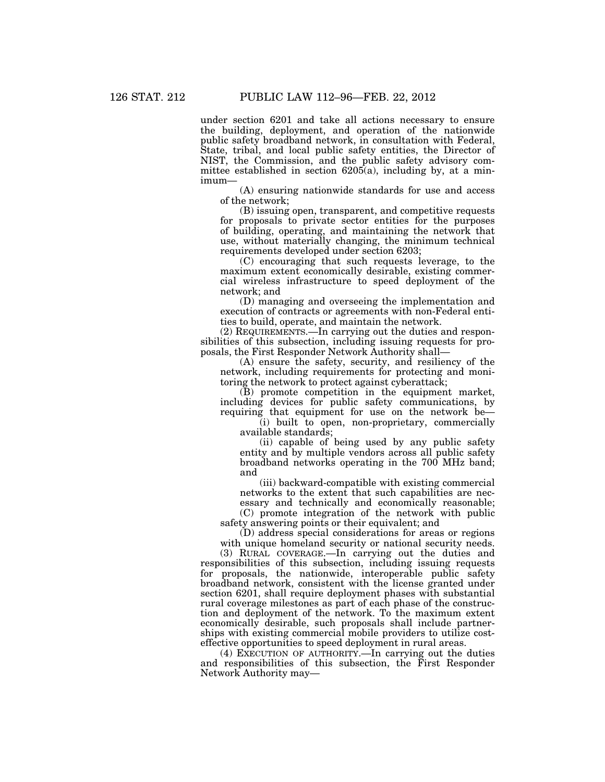under section 6201 and take all actions necessary to ensure the building, deployment, and operation of the nationwide public safety broadband network, in consultation with Federal, State, tribal, and local public safety entities, the Director of NIST, the Commission, and the public safety advisory committee established in section  $6205(a)$ , including by, at a minimum—

(A) ensuring nationwide standards for use and access of the network;

(B) issuing open, transparent, and competitive requests for proposals to private sector entities for the purposes of building, operating, and maintaining the network that use, without materially changing, the minimum technical requirements developed under section 6203;

(C) encouraging that such requests leverage, to the maximum extent economically desirable, existing commercial wireless infrastructure to speed deployment of the network; and

(D) managing and overseeing the implementation and execution of contracts or agreements with non-Federal entities to build, operate, and maintain the network.

(2) REQUIREMENTS.—In carrying out the duties and responsibilities of this subsection, including issuing requests for proposals, the First Responder Network Authority shall—

(A) ensure the safety, security, and resiliency of the network, including requirements for protecting and monitoring the network to protect against cyberattack;

(B) promote competition in the equipment market, including devices for public safety communications, by requiring that equipment for use on the network be—

(i) built to open, non-proprietary, commercially available standards;

(ii) capable of being used by any public safety entity and by multiple vendors across all public safety broadband networks operating in the 700 MHz band; and

(iii) backward-compatible with existing commercial networks to the extent that such capabilities are necessary and technically and economically reasonable;

(C) promote integration of the network with public safety answering points or their equivalent; and

(D) address special considerations for areas or regions with unique homeland security or national security needs.

(3) RURAL COVERAGE.—In carrying out the duties and responsibilities of this subsection, including issuing requests for proposals, the nationwide, interoperable public safety broadband network, consistent with the license granted under section 6201, shall require deployment phases with substantial rural coverage milestones as part of each phase of the construction and deployment of the network. To the maximum extent economically desirable, such proposals shall include partnerships with existing commercial mobile providers to utilize costeffective opportunities to speed deployment in rural areas.

(4) EXECUTION OF AUTHORITY.—In carrying out the duties and responsibilities of this subsection, the First Responder Network Authority may—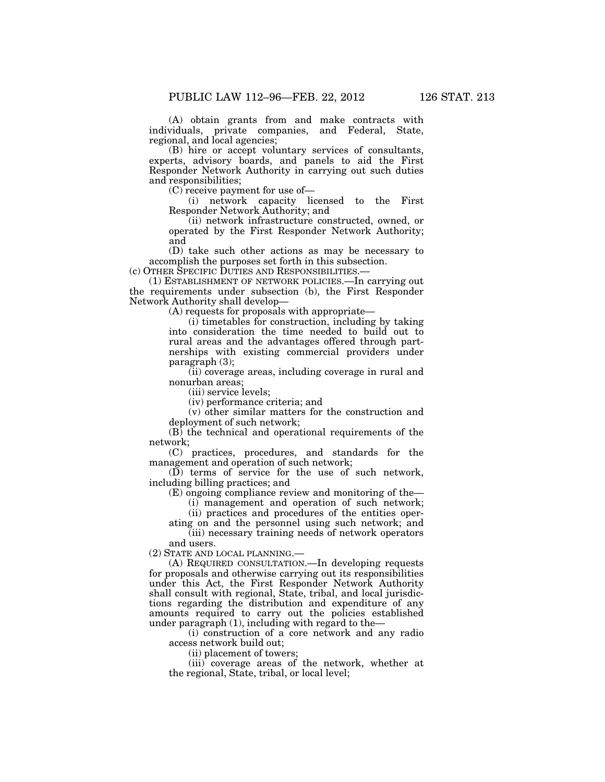(A) obtain grants from and make contracts with individuals, private companies, and Federal, State, regional, and local agencies;

(B) hire or accept voluntary services of consultants, experts, advisory boards, and panels to aid the First Responder Network Authority in carrying out such duties and responsibilities;

(C) receive payment for use of—

(i) network capacity licensed to the First Responder Network Authority; and

(ii) network infrastructure constructed, owned, or operated by the First Responder Network Authority; and

(D) take such other actions as may be necessary to accomplish the purposes set forth in this subsection.

(c) OTHER SPECIFIC DUTIES AND RESPONSIBILITIES.—

(1) ESTABLISHMENT OF NETWORK POLICIES.—In carrying out the requirements under subsection (b), the First Responder Network Authority shall develop—

(A) requests for proposals with appropriate—

(i) timetables for construction, including by taking into consideration the time needed to build out to rural areas and the advantages offered through partnerships with existing commercial providers under paragraph (3);

(ii) coverage areas, including coverage in rural and nonurban areas;

(iii) service levels;

(iv) performance criteria; and

(v) other similar matters for the construction and deployment of such network;

 $(B)$  the technical and operational requirements of the network;

(C) practices, procedures, and standards for the management and operation of such network;

(D) terms of service for the use of such network, including billing practices; and

(E) ongoing compliance review and monitoring of the—

(i) management and operation of such network;

(ii) practices and procedures of the entities operating on and the personnel using such network; and

(iii) necessary training needs of network operators and users.

(2) STATE AND LOCAL PLANNING.—

(A) REQUIRED CONSULTATION.—In developing requests for proposals and otherwise carrying out its responsibilities under this Act, the First Responder Network Authority shall consult with regional, State, tribal, and local jurisdictions regarding the distribution and expenditure of any amounts required to carry out the policies established under paragraph (1), including with regard to the—

(i) construction of a core network and any radio access network build out;

(ii) placement of towers;

(iii) coverage areas of the network, whether at the regional, State, tribal, or local level;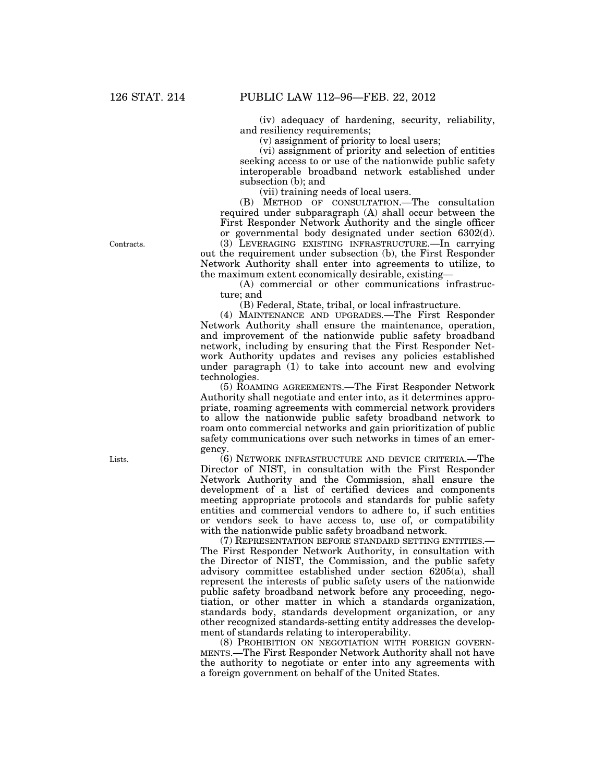(iv) adequacy of hardening, security, reliability, and resiliency requirements;

(v) assignment of priority to local users;

(vi) assignment of priority and selection of entities seeking access to or use of the nationwide public safety interoperable broadband network established under subsection (b); and

(vii) training needs of local users.

(B) METHOD OF CONSULTATION.—The consultation required under subparagraph (A) shall occur between the First Responder Network Authority and the single officer or governmental body designated under section 6302(d).

(3) LEVERAGING EXISTING INFRASTRUCTURE.—In carrying out the requirement under subsection (b), the First Responder Network Authority shall enter into agreements to utilize, to the maximum extent economically desirable, existing—

(A) commercial or other communications infrastructure; and

(B) Federal, State, tribal, or local infrastructure.

(4) MAINTENANCE AND UPGRADES.—The First Responder Network Authority shall ensure the maintenance, operation, and improvement of the nationwide public safety broadband network, including by ensuring that the First Responder Network Authority updates and revises any policies established under paragraph  $(1)$  to take into account new and evolving technologies.

(5) ROAMING AGREEMENTS.—The First Responder Network Authority shall negotiate and enter into, as it determines appropriate, roaming agreements with commercial network providers to allow the nationwide public safety broadband network to roam onto commercial networks and gain prioritization of public safety communications over such networks in times of an emergency.

(6) NETWORK INFRASTRUCTURE AND DEVICE CRITERIA.—The Director of NIST, in consultation with the First Responder Network Authority and the Commission, shall ensure the development of a list of certified devices and components meeting appropriate protocols and standards for public safety entities and commercial vendors to adhere to, if such entities or vendors seek to have access to, use of, or compatibility with the nationwide public safety broadband network.

(7) REPRESENTATION BEFORE STANDARD SETTING ENTITIES.— The First Responder Network Authority, in consultation with the Director of NIST, the Commission, and the public safety advisory committee established under section 6205(a), shall represent the interests of public safety users of the nationwide public safety broadband network before any proceeding, negotiation, or other matter in which a standards organization, standards body, standards development organization, or any other recognized standards-setting entity addresses the development of standards relating to interoperability.

(8) PROHIBITION ON NEGOTIATION WITH FOREIGN GOVERN-MENTS.—The First Responder Network Authority shall not have the authority to negotiate or enter into any agreements with a foreign government on behalf of the United States.

Contracts.

Lists.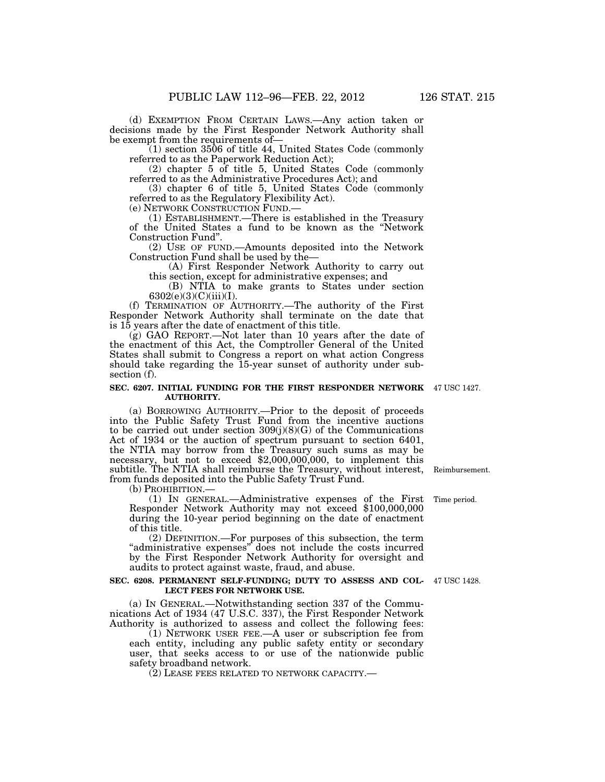(d) EXEMPTION FROM CERTAIN LAWS.—Any action taken or decisions made by the First Responder Network Authority shall be exempt from the requirements of—

(1) section 3506 of title 44, United States Code (commonly referred to as the Paperwork Reduction Act);

(2) chapter 5 of title 5, United States Code (commonly referred to as the Administrative Procedures Act); and

(3) chapter 6 of title 5, United States Code (commonly referred to as the Regulatory Flexibility Act).

(e) NETWORK CONSTRUCTION FUND.— (1) ESTABLISHMENT.—There is established in the Treasury of the United States a fund to be known as the ''Network Construction Fund''.

(2) USE OF FUND.—Amounts deposited into the Network Construction Fund shall be used by the—

(A) First Responder Network Authority to carry out this section, except for administrative expenses; and

(B) NTIA to make grants to States under section  $6302(e)(3)(C)(iii)(I).$ 

(f) TERMINATION OF AUTHORITY.—The authority of the First Responder Network Authority shall terminate on the date that is 15 years after the date of enactment of this title.

(g) GAO REPORT.—Not later than 10 years after the date of the enactment of this Act, the Comptroller General of the United States shall submit to Congress a report on what action Congress should take regarding the 15-year sunset of authority under subsection (f).

### **SEC. 6207. INITIAL FUNDING FOR THE FIRST RESPONDER NETWORK**  47 USC 1427. **AUTHORITY.**

(a) BORROWING AUTHORITY.—Prior to the deposit of proceeds into the Public Safety Trust Fund from the incentive auctions to be carried out under section  $309(j)(8)(G)$  of the Communications Act of 1934 or the auction of spectrum pursuant to section 6401, the NTIA may borrow from the Treasury such sums as may be necessary, but not to exceed \$2,000,000,000, to implement this subtitle. The NTIA shall reimburse the Treasury, without interest, from funds deposited into the Public Safety Trust Fund.

(b) PROHIBITION.— (1) IN GENERAL.—Administrative expenses of the First Responder Network Authority may not exceed \$100,000,000 during the 10-year period beginning on the date of enactment of this title.

(2) DEFINITION.—For purposes of this subsection, the term "administrative expenses" does not include the costs incurred by the First Responder Network Authority for oversight and audits to protect against waste, fraud, and abuse.

### **SEC. 6208. PERMANENT SELF-FUNDING; DUTY TO ASSESS AND COL-**47 USC 1428. **LECT FEES FOR NETWORK USE.**

(a) IN GENERAL.—Notwithstanding section 337 of the Communications Act of 1934 (47 U.S.C. 337), the First Responder Network Authority is authorized to assess and collect the following fees:

(1) NETWORK USER FEE.—A user or subscription fee from each entity, including any public safety entity or secondary user, that seeks access to or use of the nationwide public safety broadband network.

(2) LEASE FEES RELATED TO NETWORK CAPACITY.—

Reimbursement.

Time period.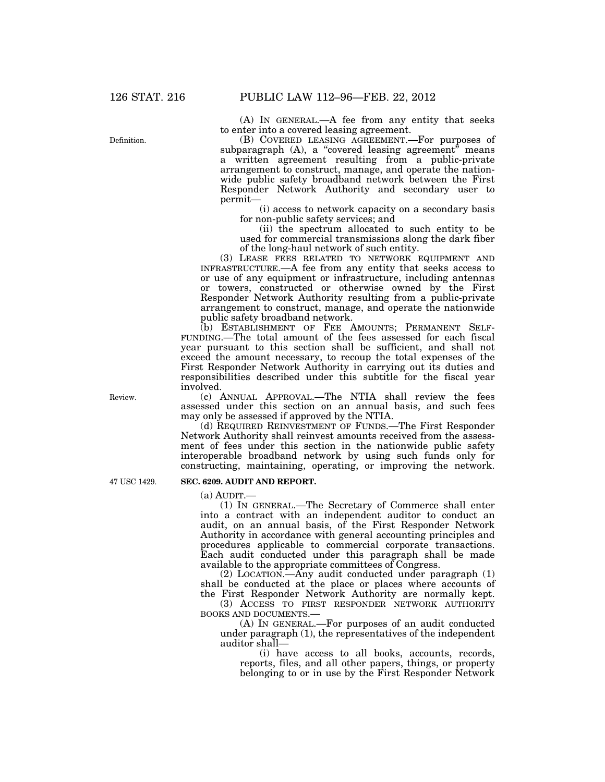(A) IN GENERAL.—A fee from any entity that seeks to enter into a covered leasing agreement.

(B) COVERED LEASING AGREEMENT.—For purposes of subparagraph (A), a "covered leasing agreement" means a written agreement resulting from a public-private arrangement to construct, manage, and operate the nationwide public safety broadband network between the First Responder Network Authority and secondary user to permit—

(i) access to network capacity on a secondary basis for non-public safety services; and

(ii) the spectrum allocated to such entity to be used for commercial transmissions along the dark fiber of the long-haul network of such entity.

(3) LEASE FEES RELATED TO NETWORK EQUIPMENT AND INFRASTRUCTURE.—A fee from any entity that seeks access to or use of any equipment or infrastructure, including antennas or towers, constructed or otherwise owned by the First Responder Network Authority resulting from a public-private arrangement to construct, manage, and operate the nationwide public safety broadband network.

(b) ESTABLISHMENT OF FEE AMOUNTS; PERMANENT SELF-FUNDING.—The total amount of the fees assessed for each fiscal year pursuant to this section shall be sufficient, and shall not exceed the amount necessary, to recoup the total expenses of the First Responder Network Authority in carrying out its duties and responsibilities described under this subtitle for the fiscal year involved.

(c) ANNUAL APPROVAL.—The NTIA shall review the fees assessed under this section on an annual basis, and such fees may only be assessed if approved by the NTIA.

(d) REQUIRED REINVESTMENT OF FUNDS.—The First Responder Network Authority shall reinvest amounts received from the assessment of fees under this section in the nationwide public safety interoperable broadband network by using such funds only for constructing, maintaining, operating, or improving the network.

47 USC 1429.

Review.

# **SEC. 6209. AUDIT AND REPORT.**

 $(a)$  AUDIT $-$ 

(1) IN GENERAL.—The Secretary of Commerce shall enter into a contract with an independent auditor to conduct an audit, on an annual basis, of the First Responder Network Authority in accordance with general accounting principles and procedures applicable to commercial corporate transactions. Each audit conducted under this paragraph shall be made available to the appropriate committees of Congress.

(2) LOCATION.—Any audit conducted under paragraph (1) shall be conducted at the place or places where accounts of the First Responder Network Authority are normally kept.

(3) ACCESS TO FIRST RESPONDER NETWORK AUTHORITY BOOKS AND DOCUMENTS.—

(A) IN GENERAL.—For purposes of an audit conducted under paragraph (1), the representatives of the independent auditor shall—

(i) have access to all books, accounts, records, reports, files, and all other papers, things, or property belonging to or in use by the First Responder Network

Definition.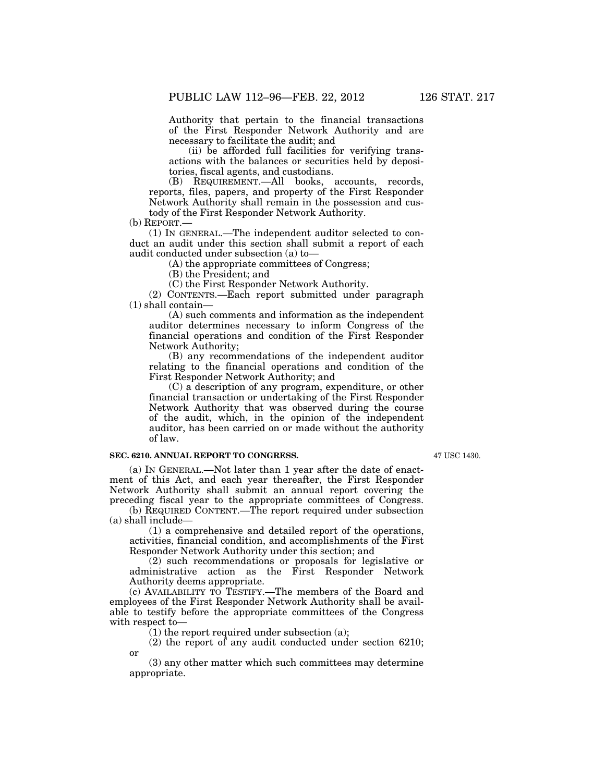Authority that pertain to the financial transactions of the First Responder Network Authority and are necessary to facilitate the audit; and

(ii) be afforded full facilities for verifying transactions with the balances or securities held by depositories, fiscal agents, and custodians.

(B) REQUIREMENT.—All books, accounts, records, reports, files, papers, and property of the First Responder Network Authority shall remain in the possession and custody of the First Responder Network Authority.

(b) REPORT.—

(1) IN GENERAL.—The independent auditor selected to conduct an audit under this section shall submit a report of each audit conducted under subsection (a) to—

(A) the appropriate committees of Congress;

(B) the President; and

(C) the First Responder Network Authority.

(2) CONTENTS.—Each report submitted under paragraph (1) shall contain—

(A) such comments and information as the independent auditor determines necessary to inform Congress of the financial operations and condition of the First Responder Network Authority;

(B) any recommendations of the independent auditor relating to the financial operations and condition of the First Responder Network Authority; and

(C) a description of any program, expenditure, or other financial transaction or undertaking of the First Responder Network Authority that was observed during the course of the audit, which, in the opinion of the independent auditor, has been carried on or made without the authority of law.

# **SEC. 6210. ANNUAL REPORT TO CONGRESS.**

or

47 USC 1430.

(a) IN GENERAL.—Not later than 1 year after the date of enactment of this Act, and each year thereafter, the First Responder Network Authority shall submit an annual report covering the preceding fiscal year to the appropriate committees of Congress.

(b) REQUIRED CONTENT.—The report required under subsection (a) shall include—

(1) a comprehensive and detailed report of the operations, activities, financial condition, and accomplishments of the First Responder Network Authority under this section; and

(2) such recommendations or proposals for legislative or administrative action as the First Responder Network Authority deems appropriate.

(c) AVAILABILITY TO TESTIFY.—The members of the Board and employees of the First Responder Network Authority shall be available to testify before the appropriate committees of the Congress with respect to—

 $(1)$  the report required under subsection (a);

(2) the report of any audit conducted under section 6210;

(3) any other matter which such committees may determine appropriate.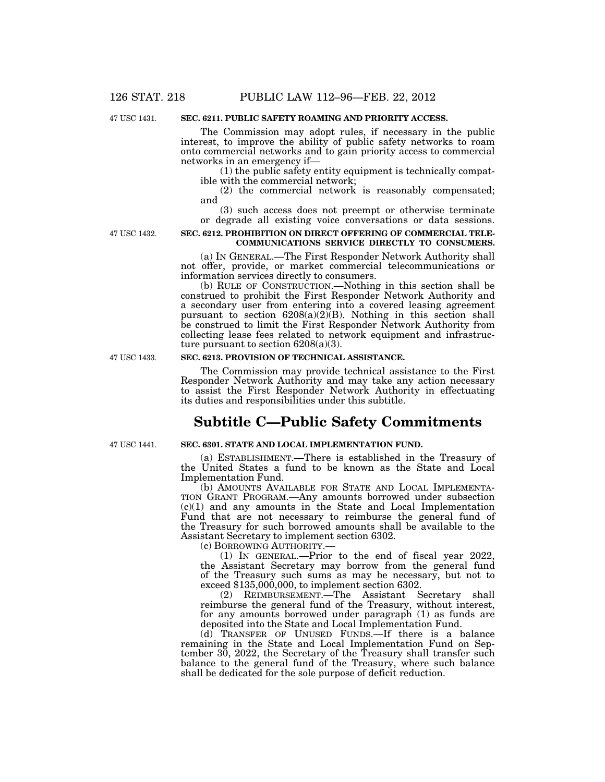47 USC 1431.

# **SEC. 6211. PUBLIC SAFETY ROAMING AND PRIORITY ACCESS.**

The Commission may adopt rules, if necessary in the public interest, to improve the ability of public safety networks to roam onto commercial networks and to gain priority access to commercial networks in an emergency if—

(1) the public safety entity equipment is technically compatible with the commercial network;

(2) the commercial network is reasonably compensated; and

(3) such access does not preempt or otherwise terminate or degrade all existing voice conversations or data sessions.

47 USC 1432.

## **SEC. 6212. PROHIBITION ON DIRECT OFFERING OF COMMERCIAL TELE-COMMUNICATIONS SERVICE DIRECTLY TO CONSUMERS.**

(a) IN GENERAL.—The First Responder Network Authority shall not offer, provide, or market commercial telecommunications or information services directly to consumers.

(b) RULE OF CONSTRUCTION.—Nothing in this section shall be construed to prohibit the First Responder Network Authority and a secondary user from entering into a covered leasing agreement pursuant to section  $6208(a)(2)(B)$ . Nothing in this section shall be construed to limit the First Responder Network Authority from collecting lease fees related to network equipment and infrastructure pursuant to section  $6208(a)(3)$ .

## **SEC. 6213. PROVISION OF TECHNICAL ASSISTANCE.**

The Commission may provide technical assistance to the First Responder Network Authority and may take any action necessary to assist the First Responder Network Authority in effectuating its duties and responsibilities under this subtitle.

# **Subtitle C—Public Safety Commitments**

47 USC 1441.

47 USC 1433.

# **SEC. 6301. STATE AND LOCAL IMPLEMENTATION FUND.**

(a) ESTABLISHMENT.—There is established in the Treasury of the United States a fund to be known as the State and Local Implementation Fund.

(b) AMOUNTS AVAILABLE FOR STATE AND LOCAL IMPLEMENTA- TION GRANT PROGRAM.—Any amounts borrowed under subsection (c)(1) and any amounts in the State and Local Implementation Fund that are not necessary to reimburse the general fund of the Treasury for such borrowed amounts shall be available to the Assistant Secretary to implement section 6302.<br>
(c) BORROWING AUTHORITY.—

(1) IN GENERAL.—Prior to the end of fiscal year  $2022$ , the Assistant Secretary may borrow from the general fund of the Treasury such sums as may be necessary, but not to exceed \$135,000,000, to implement section 6302.

(2) REIMBURSEMENT.—The Assistant Secretary shall reimburse the general fund of the Treasury, without interest, for any amounts borrowed under paragraph (1) as funds are deposited into the State and Local Implementation Fund.

(d) TRANSFER OF UNUSED FUNDS.—If there is a balance remaining in the State and Local Implementation Fund on September 30, 2022, the Secretary of the Treasury shall transfer such balance to the general fund of the Treasury, where such balance shall be dedicated for the sole purpose of deficit reduction.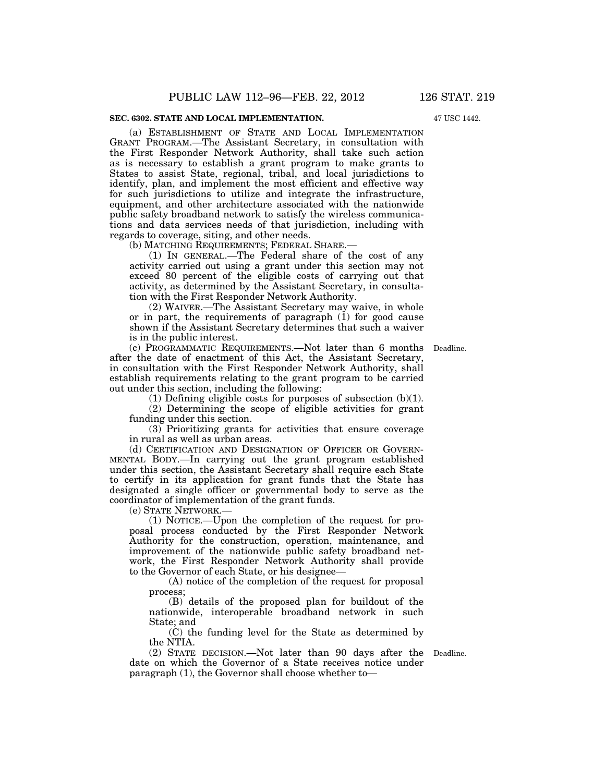# **SEC. 6302. STATE AND LOCAL IMPLEMENTATION.**

(a) ESTABLISHMENT OF STATE AND LOCAL IMPLEMENTATION GRANT PROGRAM.—The Assistant Secretary, in consultation with the First Responder Network Authority, shall take such action as is necessary to establish a grant program to make grants to States to assist State, regional, tribal, and local jurisdictions to identify, plan, and implement the most efficient and effective way for such jurisdictions to utilize and integrate the infrastructure, equipment, and other architecture associated with the nationwide public safety broadband network to satisfy the wireless communications and data services needs of that jurisdiction, including with regards to coverage, siting, and other needs.

(b) MATCHING REQUIREMENTS; FEDERAL SHARE.—

(1) IN GENERAL.—The Federal share of the cost of any activity carried out using a grant under this section may not exceed 80 percent of the eligible costs of carrying out that activity, as determined by the Assistant Secretary, in consultation with the First Responder Network Authority.

(2) WAIVER.—The Assistant Secretary may waive, in whole or in part, the requirements of paragraph (1) for good cause shown if the Assistant Secretary determines that such a waiver is in the public interest.

(c) PROGRAMMATIC REQUIREMENTS.—Not later than 6 months Deadline. after the date of enactment of this Act, the Assistant Secretary, in consultation with the First Responder Network Authority, shall establish requirements relating to the grant program to be carried out under this section, including the following:

(1) Defining eligible costs for purposes of subsection  $(b)(1)$ .

(2) Determining the scope of eligible activities for grant funding under this section.

(3) Prioritizing grants for activities that ensure coverage in rural as well as urban areas.

(d) CERTIFICATION AND DESIGNATION OF OFFICER OR GOVERN-MENTAL BODY.—In carrying out the grant program established under this section, the Assistant Secretary shall require each State to certify in its application for grant funds that the State has designated a single officer or governmental body to serve as the coordinator of implementation of the grant funds.

(e) STATE NETWORK.—

(1) NOTICE.—Upon the completion of the request for proposal process conducted by the First Responder Network Authority for the construction, operation, maintenance, and improvement of the nationwide public safety broadband network, the First Responder Network Authority shall provide to the Governor of each State, or his designee—

(A) notice of the completion of the request for proposal process;

(B) details of the proposed plan for buildout of the nationwide, interoperable broadband network in such State; and

(C) the funding level for the State as determined by the NTIA.

(2) STATE DECISION.—Not later than 90 days after the Deadline. date on which the Governor of a State receives notice under paragraph (1), the Governor shall choose whether to—

47 USC 1442.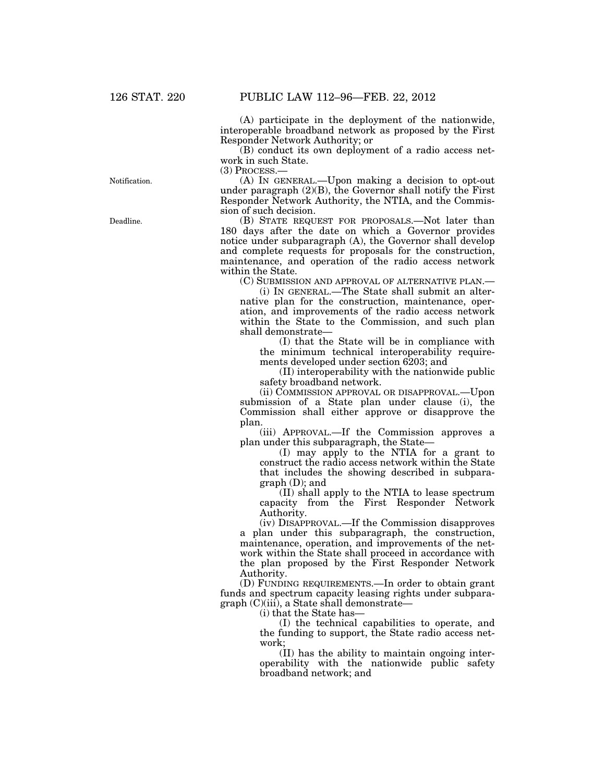(A) participate in the deployment of the nationwide, interoperable broadband network as proposed by the First Responder Network Authority; or

(B) conduct its own deployment of a radio access network in such State.

(3) PROCESS.—

(A) IN GENERAL.—Upon making a decision to opt-out under paragraph  $(2)(B)$ , the Governor shall notify the First Responder Network Authority, the NTIA, and the Commission of such decision.

(B) STATE REQUEST FOR PROPOSALS.—Not later than 180 days after the date on which a Governor provides notice under subparagraph (A), the Governor shall develop and complete requests for proposals for the construction, maintenance, and operation of the radio access network within the State.

(C) SUBMISSION AND APPROVAL OF ALTERNATIVE PLAN.—

(i) IN GENERAL.—The State shall submit an alternative plan for the construction, maintenance, operation, and improvements of the radio access network within the State to the Commission, and such plan shall demonstrate—

(I) that the State will be in compliance with the minimum technical interoperability requirements developed under section 6203; and

(II) interoperability with the nationwide public safety broadband network.

(ii) COMMISSION APPROVAL OR DISAPPROVAL.—Upon submission of a State plan under clause (i), the Commission shall either approve or disapprove the plan.

(iii) APPROVAL.—If the Commission approves a plan under this subparagraph, the State—

(I) may apply to the NTIA for a grant to construct the radio access network within the State that includes the showing described in subparagraph (D); and

(II) shall apply to the NTIA to lease spectrum capacity from the First Responder Network Authority.

(iv) DISAPPROVAL.—If the Commission disapproves a plan under this subparagraph, the construction, maintenance, operation, and improvements of the network within the State shall proceed in accordance with the plan proposed by the First Responder Network Authority.

(D) FUNDING REQUIREMENTS.—In order to obtain grant funds and spectrum capacity leasing rights under subparagraph (C)(iii), a State shall demonstrate—

(i) that the State has—

(I) the technical capabilities to operate, and the funding to support, the State radio access network;

(II) has the ability to maintain ongoing interoperability with the nationwide public safety broadband network; and

Notification.

Deadline.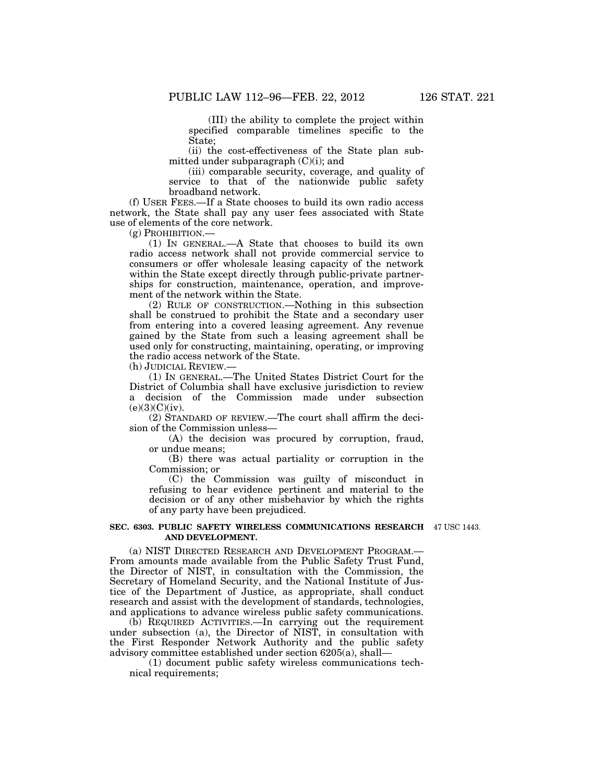(III) the ability to complete the project within specified comparable timelines specific to the State;

(ii) the cost-effectiveness of the State plan submitted under subparagraph  $(C)(i)$ ; and

(iii) comparable security, coverage, and quality of service to that of the nationwide public safety broadband network.

(f) USER FEES.—If a State chooses to build its own radio access network, the State shall pay any user fees associated with State use of elements of the core network.

(g) PROHIBITION.—

(1) IN GENERAL.—A State that chooses to build its own radio access network shall not provide commercial service to consumers or offer wholesale leasing capacity of the network within the State except directly through public-private partnerships for construction, maintenance, operation, and improvement of the network within the State.

(2) RULE OF CONSTRUCTION.—Nothing in this subsection shall be construed to prohibit the State and a secondary user from entering into a covered leasing agreement. Any revenue gained by the State from such a leasing agreement shall be used only for constructing, maintaining, operating, or improving the radio access network of the State.

(h) JUDICIAL REVIEW.—

(1) IN GENERAL.—The United States District Court for the District of Columbia shall have exclusive jurisdiction to review a decision of the Commission made under subsection  $(e)(3)(C)(iv).$ 

(2) STANDARD OF REVIEW.—The court shall affirm the decision of the Commission unless—

(A) the decision was procured by corruption, fraud, or undue means;

(B) there was actual partiality or corruption in the Commission; or

(C) the Commission was guilty of misconduct in refusing to hear evidence pertinent and material to the decision or of any other misbehavior by which the rights of any party have been prejudiced.

### **SEC. 6303. PUBLIC SAFETY WIRELESS COMMUNICATIONS RESEARCH**  47 USC 1443. **AND DEVELOPMENT.**

(a) NIST DIRECTED RESEARCH AND DEVELOPMENT PROGRAM.— From amounts made available from the Public Safety Trust Fund, the Director of NIST, in consultation with the Commission, the Secretary of Homeland Security, and the National Institute of Justice of the Department of Justice, as appropriate, shall conduct research and assist with the development of standards, technologies, and applications to advance wireless public safety communications.

(b) REQUIRED ACTIVITIES.—In carrying out the requirement under subsection (a), the Director of NIST, in consultation with the First Responder Network Authority and the public safety advisory committee established under section 6205(a), shall—

(1) document public safety wireless communications technical requirements;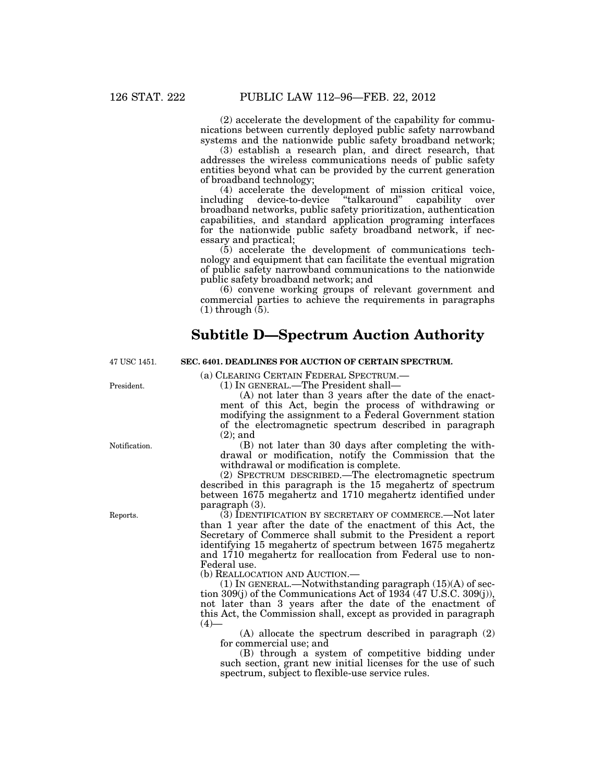(2) accelerate the development of the capability for communications between currently deployed public safety narrowband systems and the nationwide public safety broadband network;

(3) establish a research plan, and direct research, that addresses the wireless communications needs of public safety entities beyond what can be provided by the current generation of broadband technology;

(4) accelerate the development of mission critical voice, including device-to-device ''talkaround'' capability over broadband networks, public safety prioritization, authentication capabilities, and standard application programing interfaces for the nationwide public safety broadband network, if necessary and practical;

(5) accelerate the development of communications technology and equipment that can facilitate the eventual migration of public safety narrowband communications to the nationwide public safety broadband network; and

(6) convene working groups of relevant government and commercial parties to achieve the requirements in paragraphs  $(1)$  through  $(5)$ .

# **Subtitle D—Spectrum Auction Authority**

**SEC. 6401. DEADLINES FOR AUCTION OF CERTAIN SPECTRUM.** 

47 USC 1451.

(a) CLEARING CERTAIN FEDERAL SPECTRUM.— (1) IN GENERAL.—The President shall—

(A) not later than 3 years after the date of the enactment of this Act, begin the process of withdrawing or modifying the assignment to a Federal Government station of the electromagnetic spectrum described in paragraph (2); and

(B) not later than 30 days after completing the withdrawal or modification, notify the Commission that the withdrawal or modification is complete.

(2) SPECTRUM DESCRIBED.—The electromagnetic spectrum described in this paragraph is the 15 megahertz of spectrum between 1675 megahertz and 1710 megahertz identified under paragraph (3).

(3) IDENTIFICATION BY SECRETARY OF COMMERCE.—Not later than 1 year after the date of the enactment of this Act, the Secretary of Commerce shall submit to the President a report identifying 15 megahertz of spectrum between 1675 megahertz and 1710 megahertz for reallocation from Federal use to non-Federal use.

(b) REALLOCATION AND AUCTION.—

(1) IN GENERAL.—Notwithstanding paragraph (15)(A) of section 309(j) of the Communications Act of 1934 (47 U.S.C. 309(j)), not later than 3 years after the date of the enactment of this Act, the Commission shall, except as provided in paragraph  $(4)$ 

(A) allocate the spectrum described in paragraph (2) for commercial use; and

(B) through a system of competitive bidding under such section, grant new initial licenses for the use of such spectrum, subject to flexible-use service rules.

President.

Notification.

Reports.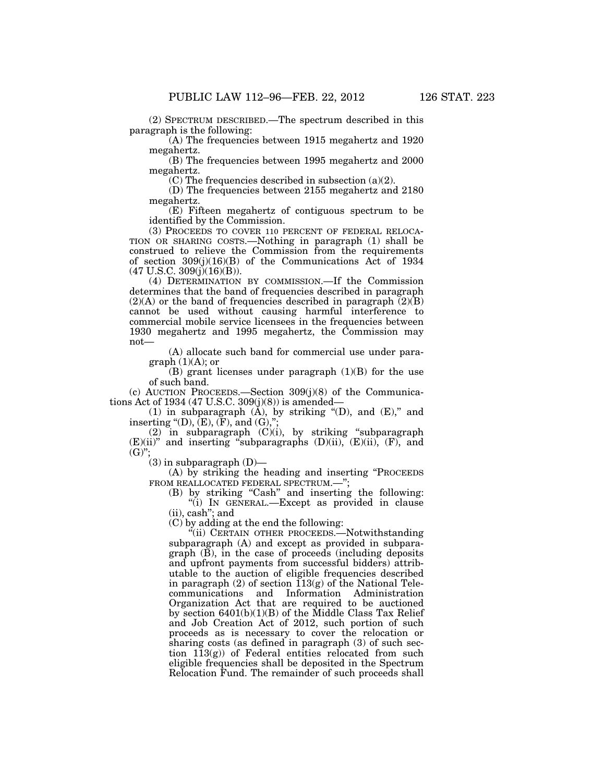(2) SPECTRUM DESCRIBED.—The spectrum described in this paragraph is the following:

(A) The frequencies between 1915 megahertz and 1920 megahertz.

(B) The frequencies between 1995 megahertz and 2000 megahertz.

(C) The frequencies described in subsection (a)(2).

(D) The frequencies between 2155 megahertz and 2180 megahertz.

(E) Fifteen megahertz of contiguous spectrum to be identified by the Commission.

(3) PROCEEDS TO COVER 110 PERCENT OF FEDERAL RELOCA-TION OR SHARING COSTS.—Nothing in paragraph (1) shall be construed to relieve the Commission from the requirements of section 309(j)(16)(B) of the Communications Act of 1934  $(47 \text{ U.S.C. } 309(j)(16)(B)).$ 

(4) DETERMINATION BY COMMISSION.—If the Commission determines that the band of frequencies described in paragraph  $(2)(A)$  or the band of frequencies described in paragraph  $(2)(B)$ cannot be used without causing harmful interference to commercial mobile service licensees in the frequencies between 1930 megahertz and 1995 megahertz, the Commission may not—

(A) allocate such band for commercial use under paragraph  $(1)(A)$ ; or

 $(B)$  grant licenses under paragraph  $(1)(B)$  for the use of such band.

(c) AUCTION PROCEEDS.—Section 309(j)(8) of the Communications Act of 1934 (47 U.S.C. 309(j)(8)) is amended—

(1) in subparagraph  $(\tilde{A})$ , by striking "(D), and  $(E)$ ," and inserting "(D),  $(E)$ ,  $(F)$ , and  $(G)$ ,";

(2) in subparagraph (C)(i), by striking ''subparagraph  $(E)(ii)$ " and inserting "subparagraphs  $(D)(ii)$ ,  $(E)(ii)$ ,  $(F)$ , and  $(G)$ ":

 $(3)$  in subparagraph  $(D)$ —

(A) by striking the heading and inserting "PROCEEDS FROM REALLOCATED FEDERAL SPECTRUM.-";

(B) by striking ''Cash'' and inserting the following: ''(i) IN GENERAL.—Except as provided in clause (ii), cash''; and

(C) by adding at the end the following:

''(ii) CERTAIN OTHER PROCEEDS.—Notwithstanding subparagraph (A) and except as provided in subpara $graph$   $(\overline{B})$ , in the case of proceeds (including deposits and upfront payments from successful bidders) attributable to the auction of eligible frequencies described in paragraph (2) of section  $113(g)$  of the National Telecommunications and Information Administration Organization Act that are required to be auctioned by section 6401(b)(1)(B) of the Middle Class Tax Relief and Job Creation Act of 2012, such portion of such proceeds as is necessary to cover the relocation or sharing costs (as defined in paragraph (3) of such section  $113(g)$  of Federal entities relocated from such eligible frequencies shall be deposited in the Spectrum Relocation Fund. The remainder of such proceeds shall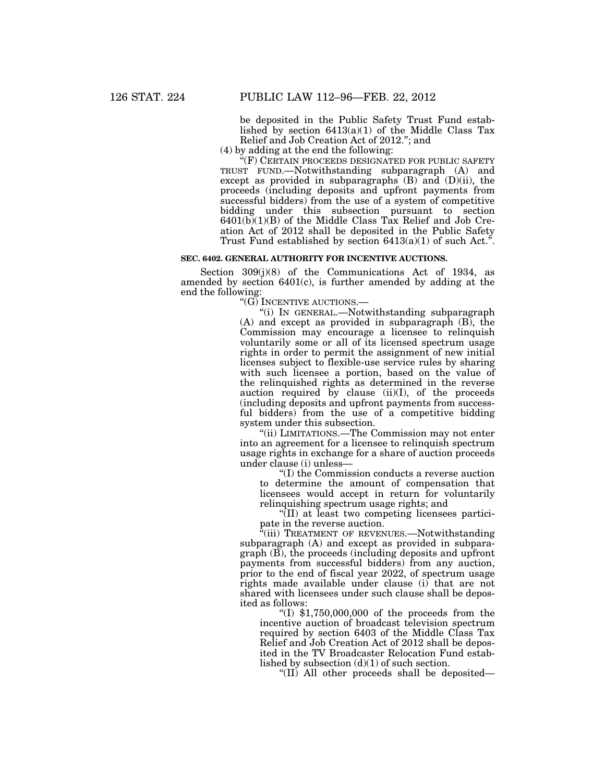be deposited in the Public Safety Trust Fund established by section  $6413(a)(1)$  of the Middle Class Tax Relief and Job Creation Act of 2012.''; and

(4) by adding at the end the following:

"(F) CERTAIN PROCEEDS DESIGNATED FOR PUBLIC SAFETY TRUST FUND.—Notwithstanding subparagraph (A) and except as provided in subparagraphs  $(B)$  and  $(D)(ii)$ , the proceeds (including deposits and upfront payments from successful bidders) from the use of a system of competitive bidding under this subsection pursuant to section  $6401(b)(1)(B)$  of the Middle Class Tax Relief and Job Creation Act of 2012 shall be deposited in the Public Safety Trust Fund established by section  $6413(a)(1)$  of such Act.".

# **SEC. 6402. GENERAL AUTHORITY FOR INCENTIVE AUCTIONS.**

Section 309(j)(8) of the Communications Act of 1934, as amended by section 6401(c), is further amended by adding at the end the following:

"(G) INCENTIVE AUCTIONS.—

''(i) IN GENERAL.—Notwithstanding subparagraph (A) and except as provided in subparagraph (B), the Commission may encourage a licensee to relinquish voluntarily some or all of its licensed spectrum usage rights in order to permit the assignment of new initial licenses subject to flexible-use service rules by sharing with such licensee a portion, based on the value of the relinquished rights as determined in the reverse auction required by clause  $(ii)(I)$ , of the proceeds (including deposits and upfront payments from successful bidders) from the use of a competitive bidding system under this subsection.

''(ii) LIMITATIONS.—The Commission may not enter into an agreement for a licensee to relinquish spectrum usage rights in exchange for a share of auction proceeds under clause (i) unless—

''(I) the Commission conducts a reverse auction to determine the amount of compensation that licensees would accept in return for voluntarily relinquishing spectrum usage rights; and

''(II) at least two competing licensees participate in the reverse auction.

''(iii) TREATMENT OF REVENUES.—Notwithstanding subparagraph (A) and except as provided in subparagraph (B), the proceeds (including deposits and upfront payments from successful bidders) from any auction, prior to the end of fiscal year 2022, of spectrum usage rights made available under clause (i) that are not shared with licensees under such clause shall be deposited as follows:

" $(I)$  \$1,750,000,000 of the proceeds from the incentive auction of broadcast television spectrum required by section 6403 of the Middle Class Tax Relief and Job Creation Act of 2012 shall be deposited in the TV Broadcaster Relocation Fund established by subsection (d)(1) of such section.

''(II) All other proceeds shall be deposited—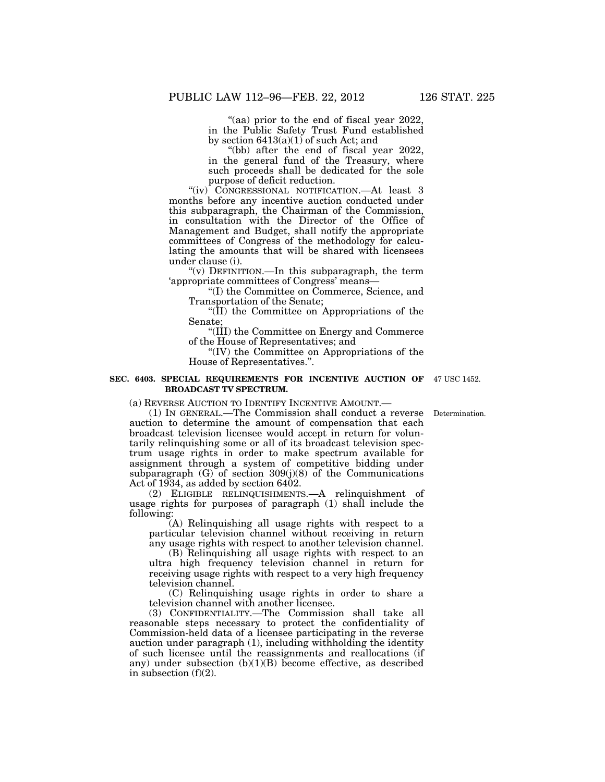"(aa) prior to the end of fiscal year 2022 in the Public Safety Trust Fund established by section  $6413(a)(1)$  of such Act; and

''(bb) after the end of fiscal year 2022, in the general fund of the Treasury, where such proceeds shall be dedicated for the sole purpose of deficit reduction.

"(iv) CONGRESSIONAL NOTIFICATION.—At least 3 months before any incentive auction conducted under this subparagraph, the Chairman of the Commission, in consultation with the Director of the Office of Management and Budget, shall notify the appropriate committees of Congress of the methodology for calculating the amounts that will be shared with licensees under clause (i).

''(v) DEFINITION.—In this subparagraph, the term 'appropriate committees of Congress' means—

''(I) the Committee on Commerce, Science, and Transportation of the Senate;

''(II) the Committee on Appropriations of the Senate;

''(III) the Committee on Energy and Commerce of the House of Representatives; and

''(IV) the Committee on Appropriations of the House of Representatives.''.

#### **SEC. 6403. SPECIAL REQUIREMENTS FOR INCENTIVE AUCTION OF**  47 USC 1452. **BROADCAST TV SPECTRUM.**

(a) REVERSE AUCTION TO IDENTIFY INCENTIVE AMOUNT.—

(1) IN GENERAL.—The Commission shall conduct a reverse auction to determine the amount of compensation that each broadcast television licensee would accept in return for voluntarily relinquishing some or all of its broadcast television spectrum usage rights in order to make spectrum available for assignment through a system of competitive bidding under subparagraph (G) of section 309(j)(8) of the Communications Act of 1934, as added by section 6402.

(2) ELIGIBLE RELINQUISHMENTS.—A relinquishment of usage rights for purposes of paragraph (1) shall include the following:

(A) Relinquishing all usage rights with respect to a particular television channel without receiving in return any usage rights with respect to another television channel.

(B) Relinquishing all usage rights with respect to an ultra high frequency television channel in return for receiving usage rights with respect to a very high frequency television channel.

(C) Relinquishing usage rights in order to share a television channel with another licensee.

(3) CONFIDENTIALITY.—The Commission shall take all reasonable steps necessary to protect the confidentiality of Commission-held data of a licensee participating in the reverse auction under paragraph (1), including withholding the identity of such licensee until the reassignments and reallocations (if any) under subsection (b)(1)(B) become effective, as described in subsection (f)(2).

Determination.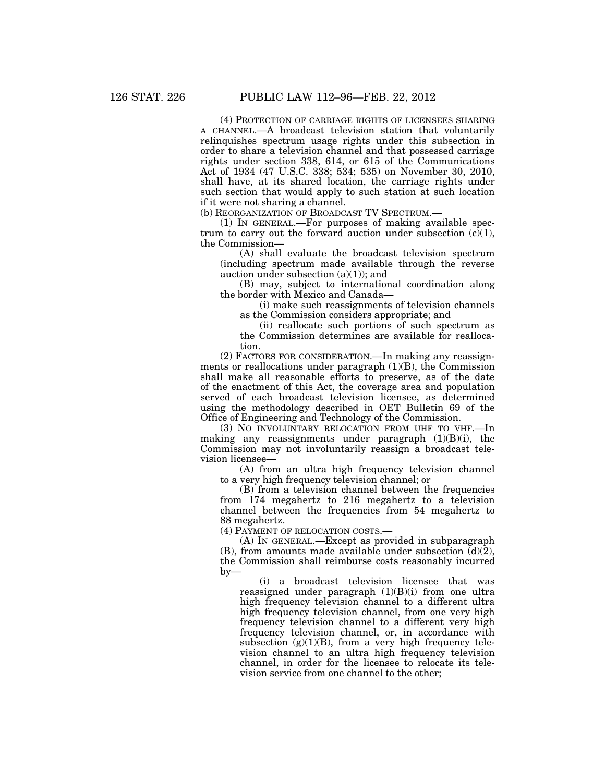(4) PROTECTION OF CARRIAGE RIGHTS OF LICENSEES SHARING A CHANNEL.—A broadcast television station that voluntarily relinquishes spectrum usage rights under this subsection in order to share a television channel and that possessed carriage rights under section 338, 614, or 615 of the Communications Act of 1934 (47 U.S.C. 338; 534; 535) on November 30, 2010, shall have, at its shared location, the carriage rights under such section that would apply to such station at such location if it were not sharing a channel.

(b) REORGANIZATION OF BROADCAST TV SPECTRUM.—

(1) IN GENERAL.—For purposes of making available spectrum to carry out the forward auction under subsection  $(c)(1)$ , the Commission—

(A) shall evaluate the broadcast television spectrum (including spectrum made available through the reverse auction under subsection  $(a)(1)$ ; and

(B) may, subject to international coordination along the border with Mexico and Canada—

(i) make such reassignments of television channels as the Commission considers appropriate; and

(ii) reallocate such portions of such spectrum as the Commission determines are available for reallocation.

(2) FACTORS FOR CONSIDERATION.—In making any reassignments or reallocations under paragraph  $(1)(B)$ , the Commission shall make all reasonable efforts to preserve, as of the date of the enactment of this Act, the coverage area and population served of each broadcast television licensee, as determined using the methodology described in OET Bulletin 69 of the Office of Engineering and Technology of the Commission.

(3) NO INVOLUNTARY RELOCATION FROM UHF TO VHF.—In making any reassignments under paragraph (1)(B)(i), the Commission may not involuntarily reassign a broadcast television licensee—

(A) from an ultra high frequency television channel to a very high frequency television channel; or

(B) from a television channel between the frequencies from 174 megahertz to 216 megahertz to a television channel between the frequencies from 54 megahertz to 88 megahertz.

(4) PAYMENT OF RELOCATION COSTS.—

(A) IN GENERAL.—Except as provided in subparagraph (B), from amounts made available under subsection  $\overline{d}$ ) $\overline{2}$ ), the Commission shall reimburse costs reasonably incurred by—

(i) a broadcast television licensee that was reassigned under paragraph  $(1)(B)(i)$  from one ultra high frequency television channel to a different ultra high frequency television channel, from one very high frequency television channel to a different very high frequency television channel, or, in accordance with subsection  $(g)(1)(B)$ , from a very high frequency television channel to an ultra high frequency television channel, in order for the licensee to relocate its television service from one channel to the other;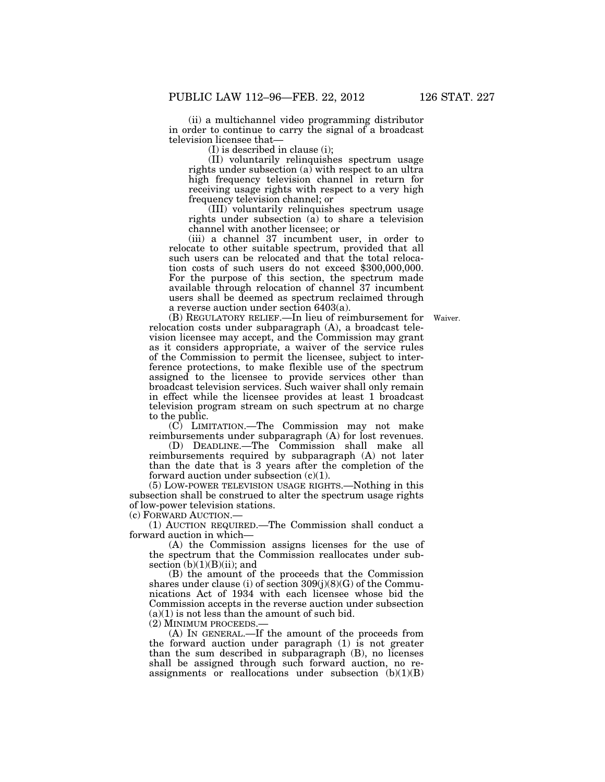(ii) a multichannel video programming distributor in order to continue to carry the signal of a broadcast television licensee that—

(I) is described in clause (i);

(II) voluntarily relinquishes spectrum usage rights under subsection  $(a)$  with respect to an ultra high frequency television channel in return for receiving usage rights with respect to a very high frequency television channel; or

(III) voluntarily relinquishes spectrum usage rights under subsection (a) to share a television channel with another licensee; or

(iii) a channel 37 incumbent user, in order to relocate to other suitable spectrum, provided that all such users can be relocated and that the total relocation costs of such users do not exceed \$300,000,000. For the purpose of this section, the spectrum made available through relocation of channel 37 incumbent users shall be deemed as spectrum reclaimed through a reverse auction under section 6403(a).

(B) REGULATORY RELIEF.—In lieu of reimbursement for Waiver. relocation costs under subparagraph (A), a broadcast television licensee may accept, and the Commission may grant as it considers appropriate, a waiver of the service rules of the Commission to permit the licensee, subject to interference protections, to make flexible use of the spectrum assigned to the licensee to provide services other than broadcast television services. Such waiver shall only remain in effect while the licensee provides at least 1 broadcast television program stream on such spectrum at no charge to the public.

(C) LIMITATION.—The Commission may not make reimbursements under subparagraph (A) for lost revenues.

(D) DEADLINE.—The Commission shall make all reimbursements required by subparagraph (A) not later than the date that is 3 years after the completion of the forward auction under subsection  $(c)(1)$ .

(5) LOW-POWER TELEVISION USAGE RIGHTS.—Nothing in this subsection shall be construed to alter the spectrum usage rights of low-power television stations.

(c) FORWARD AUCTION.—

(1) AUCTION REQUIRED.—The Commission shall conduct a forward auction in which—

(A) the Commission assigns licenses for the use of the spectrum that the Commission reallocates under subsection  $(b)(1)(B)(ii)$ ; and

(B) the amount of the proceeds that the Commission shares under clause (i) of section 309(j)(8)(G) of the Communications Act of 1934 with each licensee whose bid the Commission accepts in the reverse auction under subsection  $(a)(1)$  is not less than the amount of such bid.

(2) MINIMUM PROCEEDS.—

(A) IN GENERAL.—If the amount of the proceeds from the forward auction under paragraph (1) is not greater than the sum described in subparagraph (B), no licenses shall be assigned through such forward auction, no reassignments or reallocations under subsection  $(b)(1)(B)$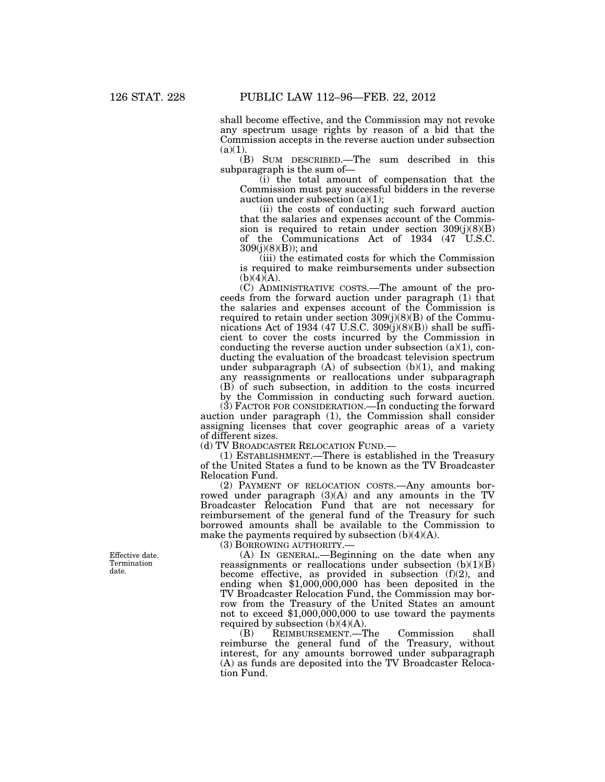shall become effective, and the Commission may not revoke any spectrum usage rights by reason of a bid that the Commission accepts in the reverse auction under subsection  $(a)(1)$ 

(B) SUM DESCRIBED.—The sum described in this subparagraph is the sum of—

(i) the total amount of compensation that the Commission must pay successful bidders in the reverse auction under subsection  $(a)(1)$ ;

(ii) the costs of conducting such forward auction that the salaries and expenses account of the Commission is required to retain under section  $309(j)(8)(B)$ of the Communications Act of 1934 (47 U.S.C. 309(j)(8)(B)); and

(iii) the estimated costs for which the Commission is required to make reimbursements under subsection  $(b)(4)(A).$ 

(C) ADMINISTRATIVE COSTS.—The amount of the proceeds from the forward auction under paragraph (1) that the salaries and expenses account of the Commission is required to retain under section  $309(j)(8)(B)$  of the Communications Act of 1934 (47 U.S.C. 309 $(j)(8)(B)$ ) shall be sufficient to cover the costs incurred by the Commission in conducting the reverse auction under subsection  $(a)(1)$ , conducting the evaluation of the broadcast television spectrum under subparagraph  $(A)$  of subsection  $(b)(1)$ , and making any reassignments or reallocations under subparagraph (B) of such subsection, in addition to the costs incurred by the Commission in conducting such forward auction.

(3) FACTOR FOR CONSIDERATION.—In conducting the forward auction under paragraph (1), the Commission shall consider assigning licenses that cover geographic areas of a variety of different sizes.

(d) TV BROADCASTER RELOCATION FUND.—

(1) ESTABLISHMENT.—There is established in the Treasury of the United States a fund to be known as the TV Broadcaster Relocation Fund.

(2) PAYMENT OF RELOCATION COSTS.—Any amounts borrowed under paragraph (3)(A) and any amounts in the TV Broadcaster Relocation Fund that are not necessary for reimbursement of the general fund of the Treasury for such borrowed amounts shall be available to the Commission to make the payments required by subsection  $(b)(4)(A)$ .

(3) BORROWING AUTHORITY.—

(A) IN GENERAL.—Beginning on the date when any reassignments or reallocations under subsection  $(b)(1)(B)$ become effective, as provided in subsection (f)(2), and ending when \$1,000,000,000 has been deposited in the TV Broadcaster Relocation Fund, the Commission may borrow from the Treasury of the United States an amount not to exceed \$1,000,000,000 to use toward the payments required by subsection  $(b)(4)(A)$ .<br>(B) REIMBURSEMENT.—T

(B) REIMBURSEMENT.—The Commission shall reimburse the general fund of the Treasury, without interest, for any amounts borrowed under subparagraph (A) as funds are deposited into the TV Broadcaster Relocation Fund.

Effective date. Termination date.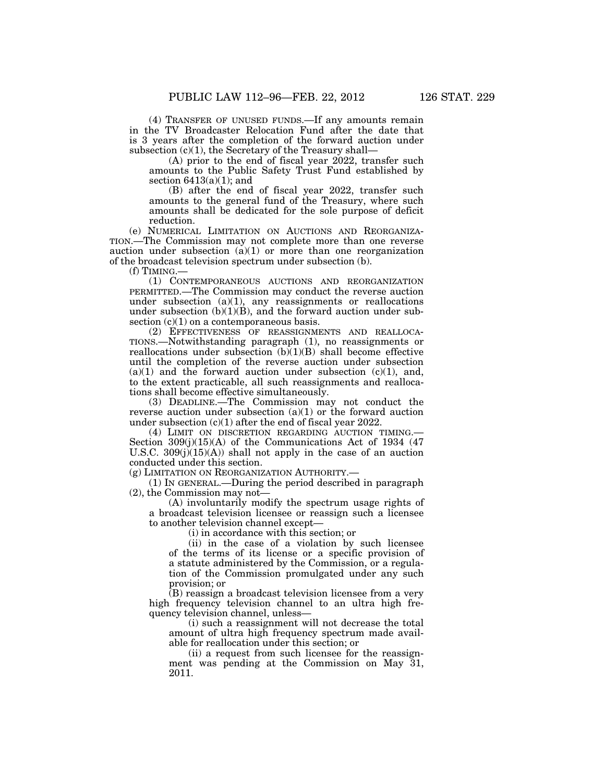(4) TRANSFER OF UNUSED FUNDS.—If any amounts remain in the TV Broadcaster Relocation Fund after the date that is 3 years after the completion of the forward auction under subsection  $(c)(1)$ , the Secretary of the Treasury shall-

(A) prior to the end of fiscal year 2022, transfer such amounts to the Public Safety Trust Fund established by section  $6413(a)(1)$ ; and

(B) after the end of fiscal year 2022, transfer such amounts to the general fund of the Treasury, where such amounts shall be dedicated for the sole purpose of deficit reduction.

(e) NUMERICAL LIMITATION ON AUCTIONS AND REORGANIZA-TION.—The Commission may not complete more than one reverse auction under subsection  $(a)(1)$  or more than one reorganization of the broadcast television spectrum under subsection (b).

 $(f)$  TIMING.

(1) CONTEMPORANEOUS AUCTIONS AND REORGANIZATION PERMITTED.—The Commission may conduct the reverse auction under subsection  $(a)(1)$ , any reassignments or reallocations under subsection  $(b)(1)(B)$ , and the forward auction under subsection  $(c)(1)$  on a contemporaneous basis.

(2) EFFECTIVENESS OF REASSIGNMENTS AND REALLOCA-TIONS.—Notwithstanding paragraph (1), no reassignments or reallocations under subsection  $(b)(1)(B)$  shall become effective until the completion of the reverse auction under subsection  $(a)(1)$  and the forward auction under subsection  $(c)(1)$ , and, to the extent practicable, all such reassignments and reallocations shall become effective simultaneously.

(3) DEADLINE.—The Commission may not conduct the reverse auction under subsection  $(a)(1)$  or the forward auction under subsection (c)(1) after the end of fiscal year 2022.

(4) LIMIT ON DISCRETION REGARDING AUCTION TIMING.— Section  $309(j)(15)(A)$  of the Communications Act of 1934 (47) U.S.C.  $309(j)(15)(A)$  shall not apply in the case of an auction conducted under this section.

(g) LIMITATION ON REORGANIZATION AUTHORITY.—

(1) IN GENERAL.—During the period described in paragraph (2), the Commission may not—

(A) involuntarily modify the spectrum usage rights of a broadcast television licensee or reassign such a licensee to another television channel except—

(i) in accordance with this section; or

(ii) in the case of a violation by such licensee of the terms of its license or a specific provision of a statute administered by the Commission, or a regulation of the Commission promulgated under any such provision; or

(B) reassign a broadcast television licensee from a very high frequency television channel to an ultra high frequency television channel, unless—

(i) such a reassignment will not decrease the total amount of ultra high frequency spectrum made available for reallocation under this section; or

(ii) a request from such licensee for the reassignment was pending at the Commission on May 31, 2011.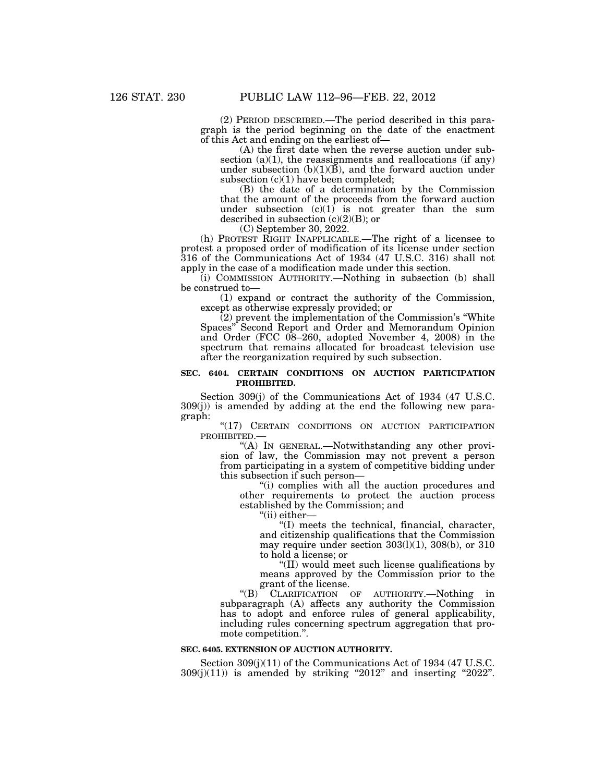(2) PERIOD DESCRIBED.—The period described in this paragraph is the period beginning on the date of the enactment of this Act and ending on the earliest of—

(A) the first date when the reverse auction under subsection  $(a)(1)$ , the reassignments and reallocations (if any) under subsection  $(b)(1)(\bar{B})$ , and the forward auction under subsection  $(c)(1)$  have been completed;

(B) the date of a determination by the Commission that the amount of the proceeds from the forward auction under subsection  $(c)(1)$  is not greater than the sum described in subsection  $(c)(2)(B)$ ; or

(C) September 30, 2022.

(h) PROTEST RIGHT INAPPLICABLE.—The right of a licensee to protest a proposed order of modification of its license under section 316 of the Communications Act of 1934 (47 U.S.C. 316) shall not apply in the case of a modification made under this section.

(i) COMMISSION AUTHORITY.—Nothing in subsection (b) shall be construed to—

(1) expand or contract the authority of the Commission, except as otherwise expressly provided; or

 $(2)$  prevent the implementation of the Commission's "White Spaces'' Second Report and Order and Memorandum Opinion and Order (FCC 08–260, adopted November 4, 2008) in the spectrum that remains allocated for broadcast television use after the reorganization required by such subsection.

#### **SEC. 6404. CERTAIN CONDITIONS ON AUCTION PARTICIPATION PROHIBITED.**

Section 309(j) of the Communications Act of 1934 (47 U.S.C. 309(j)) is amended by adding at the end the following new paragraph:

"(17) CERTAIN CONDITIONS ON AUCTION PARTICIPATION PROHIBITED.—

''(A) IN GENERAL.—Notwithstanding any other provision of law, the Commission may not prevent a person from participating in a system of competitive bidding under this subsection if such person—

"(i) complies with all the auction procedures and other requirements to protect the auction process established by the Commission; and

''(ii) either—

''(I) meets the technical, financial, character, and citizenship qualifications that the Commission may require under section  $303(1)(1)$ ,  $308(b)$ , or  $310$ to hold a license; or

''(II) would meet such license qualifications by means approved by the Commission prior to the grant of the license.

''(B) CLARIFICATION OF AUTHORITY.—Nothing in subparagraph (A) affects any authority the Commission has to adopt and enforce rules of general applicability, including rules concerning spectrum aggregation that promote competition.''.

#### **SEC. 6405. EXTENSION OF AUCTION AUTHORITY.**

Section 309(j)(11) of the Communications Act of 1934 (47 U.S.C.  $309(j)(11)$ ) is amended by striking "2012" and inserting "2022".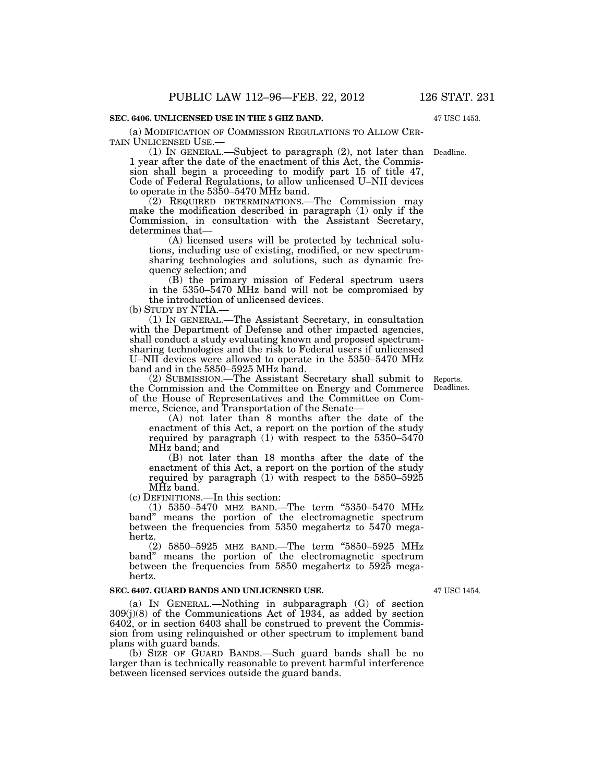# **SEC. 6406. UNLICENSED USE IN THE 5 GHZ BAND.**

(a) MODIFICATION OF COMMISSION REGULATIONS TO ALLOW CER-TAIN UNLICENSED USE.—

(1) IN GENERAL.—Subject to paragraph (2), not later than Deadline. 1 year after the date of the enactment of this Act, the Commission shall begin a proceeding to modify part 15 of title 47, Code of Federal Regulations, to allow unlicensed U–NII devices to operate in the 5350–5470 MHz band.

(2) REQUIRED DETERMINATIONS.—The Commission may make the modification described in paragraph (1) only if the Commission, in consultation with the Assistant Secretary, determines that—

(A) licensed users will be protected by technical solutions, including use of existing, modified, or new spectrumsharing technologies and solutions, such as dynamic frequency selection; and

(B) the primary mission of Federal spectrum users in the 5350–5470 MHz band will not be compromised by the introduction of unlicensed devices.

(b) STUDY BY NTIA.—

(1) IN GENERAL.—The Assistant Secretary, in consultation with the Department of Defense and other impacted agencies, shall conduct a study evaluating known and proposed spectrumsharing technologies and the risk to Federal users if unlicensed U–NII devices were allowed to operate in the 5350–5470 MHz band and in the 5850–5925 MHz band.

(2) SUBMISSION.—The Assistant Secretary shall submit to the Commission and the Committee on Energy and Commerce of the House of Representatives and the Committee on Commerce, Science, and Transportation of the Senate—

(A) not later than 8 months after the date of the enactment of this Act, a report on the portion of the study required by paragraph  $(1)$  with respect to the 5350–5470 MHz band; and

(B) not later than 18 months after the date of the enactment of this Act, a report on the portion of the study required by paragraph (1) with respect to the 5850–5925 MHz band.

(c) DEFINITIONS.—In this section:

(1) 5350–5470 MHZ BAND.—The term ''5350–5470 MHz band'' means the portion of the electromagnetic spectrum between the frequencies from 5350 megahertz to 5470 megahertz.

(2) 5850–5925 MHZ BAND.—The term "5850–5925 MHz band'' means the portion of the electromagnetic spectrum between the frequencies from 5850 megahertz to 5925 megahertz.

#### **SEC. 6407. GUARD BANDS AND UNLICENSED USE.**

(a) IN GENERAL.—Nothing in subparagraph (G) of section 309(j)(8) of the Communications Act of 1934, as added by section 6402, or in section 6403 shall be construed to prevent the Commission from using relinquished or other spectrum to implement band plans with guard bands.

(b) SIZE OF GUARD BANDS.—Such guard bands shall be no larger than is technically reasonable to prevent harmful interference between licensed services outside the guard bands.

47 USC 1454.

Reports. Deadlines.

47 USC 1453.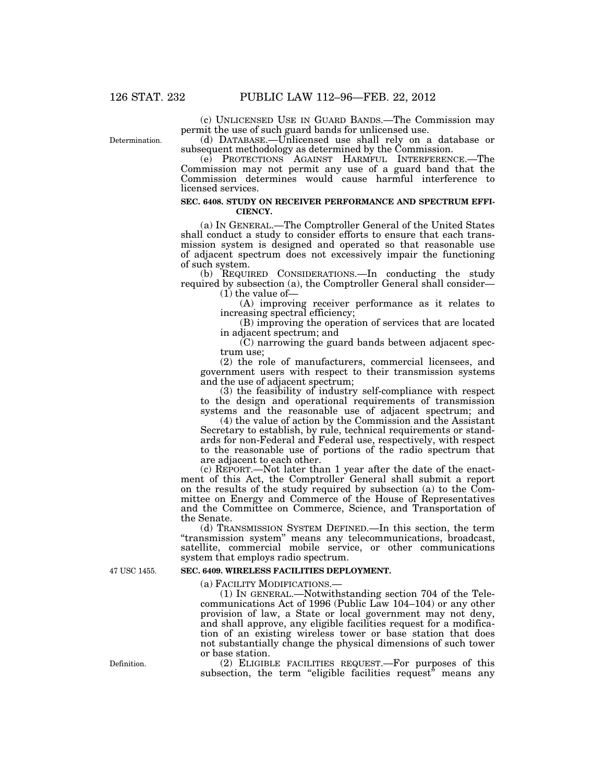(c) UNLICENSED USE IN GUARD BANDS.—The Commission may permit the use of such guard bands for unlicensed use.

Determination.

(d) DATABASE.—Unlicensed use shall rely on a database or subsequent methodology as determined by the Commission.

(e) PROTECTIONS AGAINST HARMFUL INTERFERENCE.—The Commission may not permit any use of a guard band that the Commission determines would cause harmful interference to licensed services.

### **SEC. 6408. STUDY ON RECEIVER PERFORMANCE AND SPECTRUM EFFI-CIENCY.**

(a) IN GENERAL.—The Comptroller General of the United States shall conduct a study to consider efforts to ensure that each transmission system is designed and operated so that reasonable use of adjacent spectrum does not excessively impair the functioning of such system.

(b) REQUIRED CONSIDERATIONS.—In conducting the study required by subsection (a), the Comptroller General shall consider— (1) the value of—

(A) improving receiver performance as it relates to increasing spectral efficiency;

(B) improving the operation of services that are located in adjacent spectrum; and

 $(C)$  narrowing the guard bands between adjacent spectrum use;

(2) the role of manufacturers, commercial licensees, and government users with respect to their transmission systems and the use of adjacent spectrum;

(3) the feasibility of industry self-compliance with respect to the design and operational requirements of transmission systems and the reasonable use of adjacent spectrum; and

(4) the value of action by the Commission and the Assistant Secretary to establish, by rule, technical requirements or standards for non-Federal and Federal use, respectively, with respect to the reasonable use of portions of the radio spectrum that are adjacent to each other.

(c) REPORT.—Not later than 1 year after the date of the enactment of this Act, the Comptroller General shall submit a report on the results of the study required by subsection (a) to the Committee on Energy and Commerce of the House of Representatives and the Committee on Commerce, Science, and Transportation of the Senate.

(d) TRANSMISSION SYSTEM DEFINED.—In this section, the term ''transmission system'' means any telecommunications, broadcast, satellite, commercial mobile service, or other communications system that employs radio spectrum.

#### **SEC. 6409. WIRELESS FACILITIES DEPLOYMENT.**

(a) FACILITY MODIFICATIONS.—

(1) IN GENERAL.—Notwithstanding section 704 of the Telecommunications Act of 1996 (Public Law 104–104) or any other provision of law, a State or local government may not deny, and shall approve, any eligible facilities request for a modification of an existing wireless tower or base station that does not substantially change the physical dimensions of such tower or base station.

(2) ELIGIBLE FACILITIES REQUEST.—For purposes of this subsection, the term "eligible facilities request" means any

47 USC 1455.

Definition.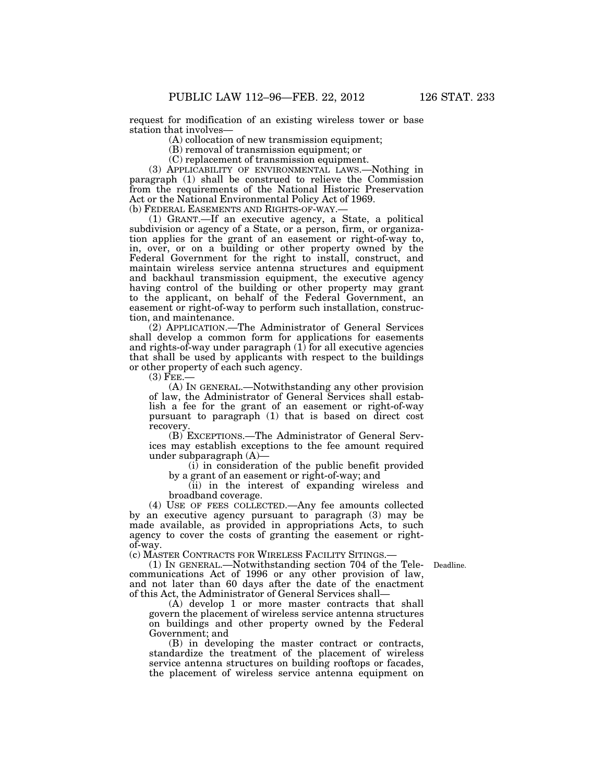request for modification of an existing wireless tower or base station that involves—

(A) collocation of new transmission equipment;

(B) removal of transmission equipment; or

(C) replacement of transmission equipment.

(3) APPLICABILITY OF ENVIRONMENTAL LAWS.—Nothing in paragraph (1) shall be construed to relieve the Commission from the requirements of the National Historic Preservation Act or the National Environmental Policy Act of 1969.<br>(b) FEDERAL EASEMENTS AND RIGHTS-OF-WAY.—

(1) GRANT.-If an executive agency, a State, a political subdivision or agency of a State, or a person, firm, or organization applies for the grant of an easement or right-of-way to, in, over, or on a building or other property owned by the Federal Government for the right to install, construct, and maintain wireless service antenna structures and equipment and backhaul transmission equipment, the executive agency having control of the building or other property may grant to the applicant, on behalf of the Federal Government, an easement or right-of-way to perform such installation, construction, and maintenance.

(2) APPLICATION.—The Administrator of General Services shall develop a common form for applications for easements and rights-of-way under paragraph (1) for all executive agencies that shall be used by applicants with respect to the buildings or other property of each such agency.

 $(3)$  FEE.

(A) IN GENERAL.—Notwithstanding any other provision of law, the Administrator of General Services shall establish a fee for the grant of an easement or right-of-way pursuant to paragraph (1) that is based on direct cost recovery.

(B) EXCEPTIONS.—The Administrator of General Services may establish exceptions to the fee amount required under subparagraph (A)—

(i) in consideration of the public benefit provided by a grant of an easement or right-of-way; and

(ii) in the interest of expanding wireless and broadband coverage.

(4) USE OF FEES COLLECTED.—Any fee amounts collected by an executive agency pursuant to paragraph (3) may be made available, as provided in appropriations Acts, to such agency to cover the costs of granting the easement or rightof-way.

(c) MASTER CONTRACTS FOR WIRELESS FACILITY SITINGS.—

(1) IN GENERAL.—Notwithstanding section 704 of the Tele-Deadline. communications Act of 1996 or any other provision of law, and not later than 60 days after the date of the enactment of this Act, the Administrator of General Services shall—

(A) develop 1 or more master contracts that shall govern the placement of wireless service antenna structures on buildings and other property owned by the Federal Government; and

(B) in developing the master contract or contracts, standardize the treatment of the placement of wireless service antenna structures on building rooftops or facades, the placement of wireless service antenna equipment on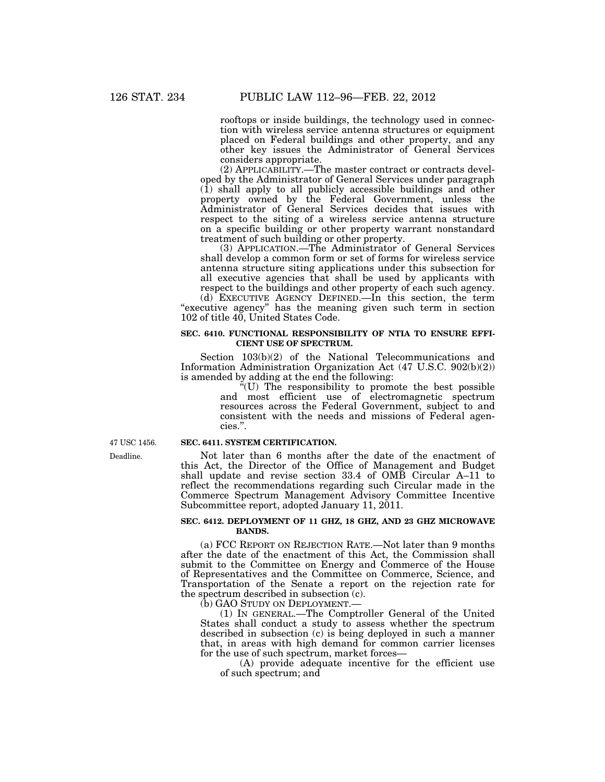rooftops or inside buildings, the technology used in connection with wireless service antenna structures or equipment placed on Federal buildings and other property, and any other key issues the Administrator of General Services considers appropriate.

(2) APPLICABILITY.—The master contract or contracts developed by the Administrator of General Services under paragraph (1) shall apply to all publicly accessible buildings and other property owned by the Federal Government, unless the Administrator of General Services decides that issues with respect to the siting of a wireless service antenna structure on a specific building or other property warrant nonstandard treatment of such building or other property.

(3) APPLICATION.—The Administrator of General Services shall develop a common form or set of forms for wireless service antenna structure siting applications under this subsection for all executive agencies that shall be used by applicants with respect to the buildings and other property of each such agency.

(d) EXECUTIVE AGENCY DEFINED.—In this section, the term "executive agency" has the meaning given such term in section 102 of title 40, United States Code.

### **SEC. 6410. FUNCTIONAL RESPONSIBILITY OF NTIA TO ENSURE EFFI-CIENT USE OF SPECTRUM.**

Section 103(b)(2) of the National Telecommunications and Information Administration Organization Act (47 U.S.C. 902(b)(2)) is amended by adding at the end the following:

''(U) The responsibility to promote the best possible and most efficient use of electromagnetic spectrum resources across the Federal Government, subject to and consistent with the needs and missions of Federal agencies.''.

#### **SEC. 6411. SYSTEM CERTIFICATION.**

Not later than 6 months after the date of the enactment of this Act, the Director of the Office of Management and Budget shall update and revise section 33.4 of OMB Circular A–11 to reflect the recommendations regarding such Circular made in the Commerce Spectrum Management Advisory Committee Incentive Subcommittee report, adopted January 11, 2011.

#### **SEC. 6412. DEPLOYMENT OF 11 GHZ, 18 GHZ, AND 23 GHZ MICROWAVE BANDS.**

(a) FCC REPORT ON REJECTION RATE.—Not later than 9 months after the date of the enactment of this Act, the Commission shall submit to the Committee on Energy and Commerce of the House of Representatives and the Committee on Commerce, Science, and Transportation of the Senate a report on the rejection rate for the spectrum described in subsection  $(c)$ .

(b) GAO STUDY ON DEPLOYMENT.

(1) IN GENERAL.—The Comptroller General of the United States shall conduct a study to assess whether the spectrum described in subsection (c) is being deployed in such a manner that, in areas with high demand for common carrier licenses for the use of such spectrum, market forces—

(A) provide adequate incentive for the efficient use of such spectrum; and

Deadline. 47 USC 1456.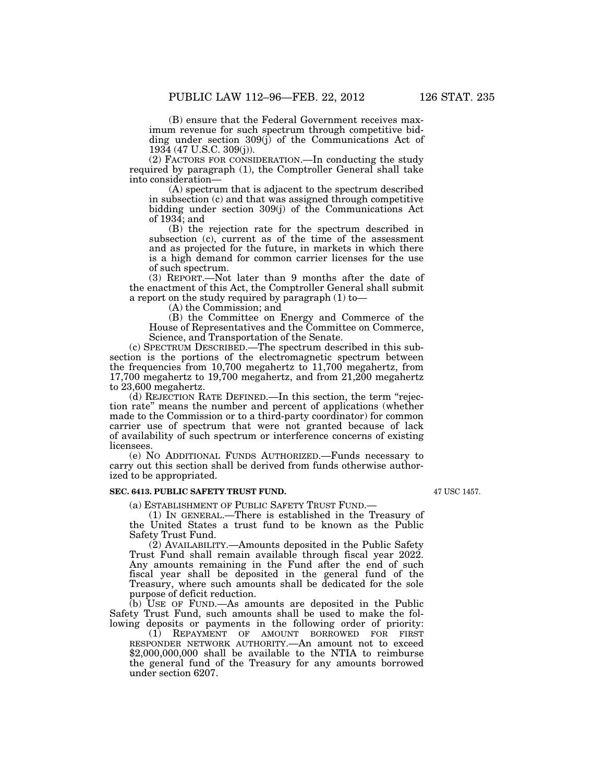(B) ensure that the Federal Government receives maximum revenue for such spectrum through competitive bidding under section 309(j) of the Communications Act of 1934 (47 U.S.C. 309(j)).

(2) FACTORS FOR CONSIDERATION.—In conducting the study required by paragraph (1), the Comptroller General shall take into consideration—

(A) spectrum that is adjacent to the spectrum described in subsection (c) and that was assigned through competitive bidding under section 309(j) of the Communications Act of 1934; and

(B) the rejection rate for the spectrum described in subsection (c), current as of the time of the assessment and as projected for the future, in markets in which there is a high demand for common carrier licenses for the use of such spectrum.

(3) REPORT.—Not later than 9 months after the date of the enactment of this Act, the Comptroller General shall submit a report on the study required by paragraph (1) to—

(A) the Commission; and

(B) the Committee on Energy and Commerce of the House of Representatives and the Committee on Commerce, Science, and Transportation of the Senate.

(c) SPECTRUM DESCRIBED.—The spectrum described in this subsection is the portions of the electromagnetic spectrum between the frequencies from 10,700 megahertz to 11,700 megahertz, from 17,700 megahertz to 19,700 megahertz, and from 21,200 megahertz to 23,600 megahertz.

(d) REJECTION RATE DEFINED.—In this section, the term ''rejection rate'' means the number and percent of applications (whether made to the Commission or to a third-party coordinator) for common carrier use of spectrum that were not granted because of lack of availability of such spectrum or interference concerns of existing licensees.

(e) NO ADDITIONAL FUNDS AUTHORIZED.—Funds necessary to carry out this section shall be derived from funds otherwise authorized to be appropriated.

#### **SEC. 6413. PUBLIC SAFETY TRUST FUND.**

(a) ESTABLISHMENT OF PUBLIC SAFETY TRUST FUND.—

(1) IN GENERAL.—There is established in the Treasury of the United States a trust fund to be known as the Public Safety Trust Fund.

(2) AVAILABILITY.—Amounts deposited in the Public Safety Trust Fund shall remain available through fiscal year 2022. Any amounts remaining in the Fund after the end of such fiscal year shall be deposited in the general fund of the Treasury, where such amounts shall be dedicated for the sole purpose of deficit reduction.

(b) USE OF FUND.—As amounts are deposited in the Public Safety Trust Fund, such amounts shall be used to make the following deposits or payments in the following order of priority:

(1) REPAYMENT OF AMOUNT BORROWED FOR FIRST RESPONDER NETWORK AUTHORITY.—An amount not to exceed \$2,000,000,000 shall be available to the NTIA to reimburse the general fund of the Treasury for any amounts borrowed under section 6207.

47 USC 1457.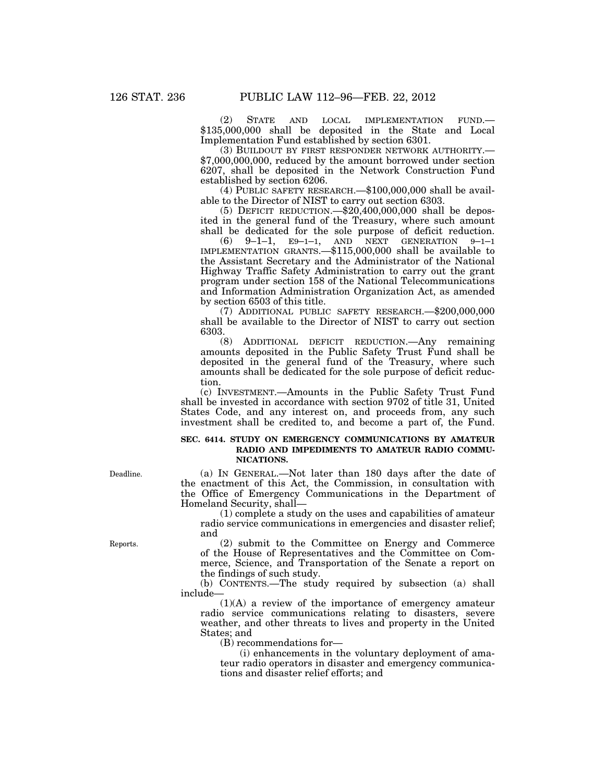(2) STATE AND LOCAL IMPLEMENTATION FUND.— \$135,000,000 shall be deposited in the State and Local Implementation Fund established by section 6301.

(3) BUILDOUT BY FIRST RESPONDER NETWORK AUTHORITY.— \$7,000,000,000, reduced by the amount borrowed under section 6207, shall be deposited in the Network Construction Fund established by section 6206.

(4) PUBLIC SAFETY RESEARCH.—\$100,000,000 shall be available to the Director of NIST to carry out section 6303.

(5) DEFICIT REDUCTION.—\$20,400,000,000 shall be deposited in the general fund of the Treasury, where such amount shall be dedicated for the sole purpose of deficit reduction.

(6) 9–1–1, E9–1–1, AND NEXT GENERATION 9–1–1 IMPLEMENTATION GRANTS.—\$115,000,000 shall be available to the Assistant Secretary and the Administrator of the National Highway Traffic Safety Administration to carry out the grant program under section 158 of the National Telecommunications and Information Administration Organization Act, as amended by section 6503 of this title.

(7) ADDITIONAL PUBLIC SAFETY RESEARCH.—\$200,000,000 shall be available to the Director of NIST to carry out section  $6303.$  (8)

(8) ADDITIONAL DEFICIT REDUCTION.—Any remaining amounts deposited in the Public Safety Trust Fund shall be deposited in the general fund of the Treasury, where such amounts shall be dedicated for the sole purpose of deficit reduction.

(c) INVESTMENT.—Amounts in the Public Safety Trust Fund shall be invested in accordance with section 9702 of title 31, United States Code, and any interest on, and proceeds from, any such investment shall be credited to, and become a part of, the Fund.

## **SEC. 6414. STUDY ON EMERGENCY COMMUNICATIONS BY AMATEUR RADIO AND IMPEDIMENTS TO AMATEUR RADIO COMMU-NICATIONS.**

(a) IN GENERAL.—Not later than 180 days after the date of the enactment of this Act, the Commission, in consultation with the Office of Emergency Communications in the Department of Homeland Security, shall—

(1) complete a study on the uses and capabilities of amateur radio service communications in emergencies and disaster relief; and

(2) submit to the Committee on Energy and Commerce of the House of Representatives and the Committee on Commerce, Science, and Transportation of the Senate a report on the findings of such study.

(b) CONTENTS.—The study required by subsection (a) shall include—

(1)(A) a review of the importance of emergency amateur radio service communications relating to disasters, severe weather, and other threats to lives and property in the United States; and

(B) recommendations for—

(i) enhancements in the voluntary deployment of amateur radio operators in disaster and emergency communications and disaster relief efforts; and

Deadline.

Reports.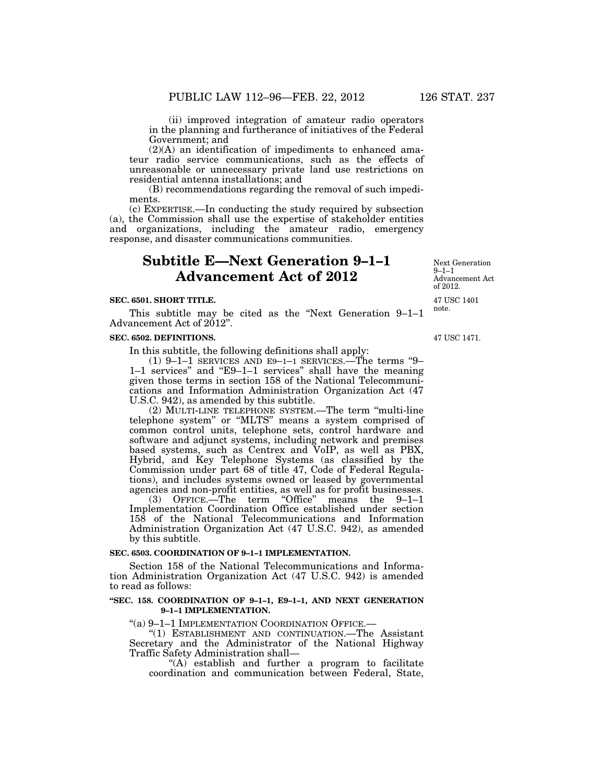(ii) improved integration of amateur radio operators in the planning and furtherance of initiatives of the Federal Government; and

(2)(A) an identification of impediments to enhanced amateur radio service communications, such as the effects of unreasonable or unnecessary private land use restrictions on residential antenna installations; and

(B) recommendations regarding the removal of such impediments.

(c) EXPERTISE.—In conducting the study required by subsection (a), the Commission shall use the expertise of stakeholder entities and organizations, including the amateur radio, emergency response, and disaster communications communities.

# **Subtitle E—Next Generation 9–1–1 Advancement Act of 2012**

## **SEC. 6501. SHORT TITLE.**

This subtitle may be cited as the ''Next Generation 9–1–1 Advancement Act of 2012".

#### **SEC. 6502. DEFINITIONS.**

In this subtitle, the following definitions shall apply:

(1) 9–1–1 SERVICES AND E9–1–1 SERVICES.—The terms ''9– 1–1 services'' and ''E9–1–1 services'' shall have the meaning given those terms in section 158 of the National Telecommunications and Information Administration Organization Act (47 U.S.C. 942), as amended by this subtitle.

(2) MULTI-LINE TELEPHONE SYSTEM.—The term ''multi-line telephone system'' or ''MLTS'' means a system comprised of common control units, telephone sets, control hardware and software and adjunct systems, including network and premises based systems, such as Centrex and VoIP, as well as PBX, Hybrid, and Key Telephone Systems (as classified by the Commission under part 68 of title 47, Code of Federal Regulations), and includes systems owned or leased by governmental

agencies and non-profit entities, as well as for profit businesses.<br>(3) OFFICE.—The term "Office" means the 9-1-1  $(3)$  OFFICE. The term "Office" Implementation Coordination Office established under section 158 of the National Telecommunications and Information Administration Organization Act (47 U.S.C. 942), as amended by this subtitle.

#### **SEC. 6503. COORDINATION OF 9–1–1 IMPLEMENTATION.**

Section 158 of the National Telecommunications and Information Administration Organization Act (47 U.S.C. 942) is amended to read as follows:

#### **''SEC. 158. COORDINATION OF 9–1–1, E9–1–1, AND NEXT GENERATION 9–1–1 IMPLEMENTATION.**

''(a) 9–1–1 IMPLEMENTATION COORDINATION OFFICE.—

''(1) ESTABLISHMENT AND CONTINUATION.—The Assistant Secretary and the Administrator of the National Highway Traffic Safety Administration shall—

"(A) establish and further a program to facilitate coordination and communication between Federal, State,

note.

Next Generation 9–1–1

Advancement Act of 2012.

47 USC 1471.

47 USC 1401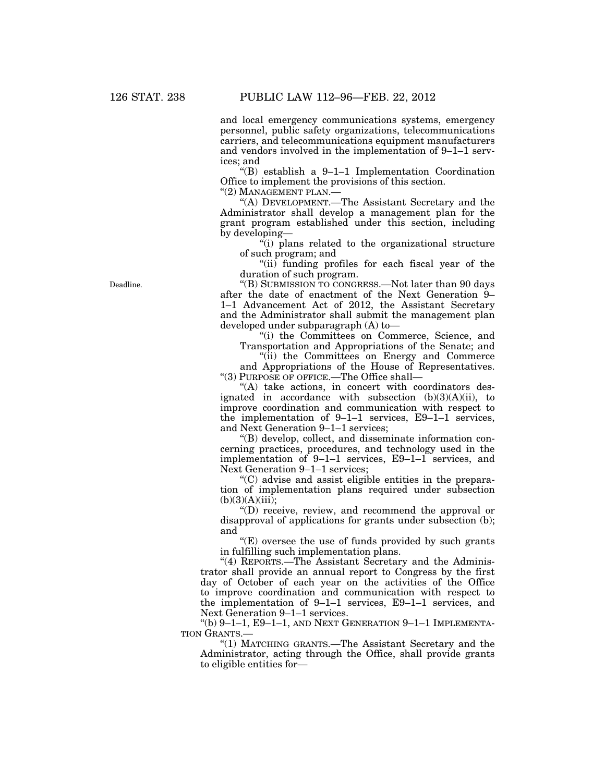and local emergency communications systems, emergency personnel, public safety organizations, telecommunications carriers, and telecommunications equipment manufacturers and vendors involved in the implementation of 9–1–1 services; and

''(B) establish a 9–1–1 Implementation Coordination Office to implement the provisions of this section.

''(2) MANAGEMENT PLAN.—

''(A) DEVELOPMENT.—The Assistant Secretary and the Administrator shall develop a management plan for the grant program established under this section, including by developing—

 $\ddot{r}$ (i) plans related to the organizational structure of such program; and

"(ii) funding profiles for each fiscal year of the duration of such program.

''(B) SUBMISSION TO CONGRESS.—Not later than 90 days after the date of enactment of the Next Generation 9– 1–1 Advancement Act of 2012, the Assistant Secretary and the Administrator shall submit the management plan developed under subparagraph (A) to—

''(i) the Committees on Commerce, Science, and Transportation and Appropriations of the Senate; and

''(ii) the Committees on Energy and Commerce and Appropriations of the House of Representatives. ''(3) PURPOSE OF OFFICE.—The Office shall—

"(A) take actions, in concert with coordinators designated in accordance with subsection  $(b)(3)(A)(ii)$ , to improve coordination and communication with respect to the implementation of 9–1–1 services, E9–1–1 services, and Next Generation 9–1–1 services;

''(B) develop, collect, and disseminate information concerning practices, procedures, and technology used in the implementation of 9–1–1 services, E9–1–1 services, and Next Generation 9–1–1 services;

''(C) advise and assist eligible entities in the preparation of implementation plans required under subsection  $(b)(3)(A)(iii);$ 

''(D) receive, review, and recommend the approval or disapproval of applications for grants under subsection (b); and

"(E) oversee the use of funds provided by such grants in fulfilling such implementation plans.

"(4) REPORTS.—The Assistant Secretary and the Administrator shall provide an annual report to Congress by the first day of October of each year on the activities of the Office to improve coordination and communication with respect to the implementation of 9–1–1 services, E9–1–1 services, and Next Generation 9–1–1 services.

"(b)  $9-1-1$ ,  $E9-1-1$ , and Next Generation  $9-1-1$  Implementa-TION GRANTS.—

''(1) MATCHING GRANTS.—The Assistant Secretary and the Administrator, acting through the Office, shall provide grants to eligible entities for—

Deadline.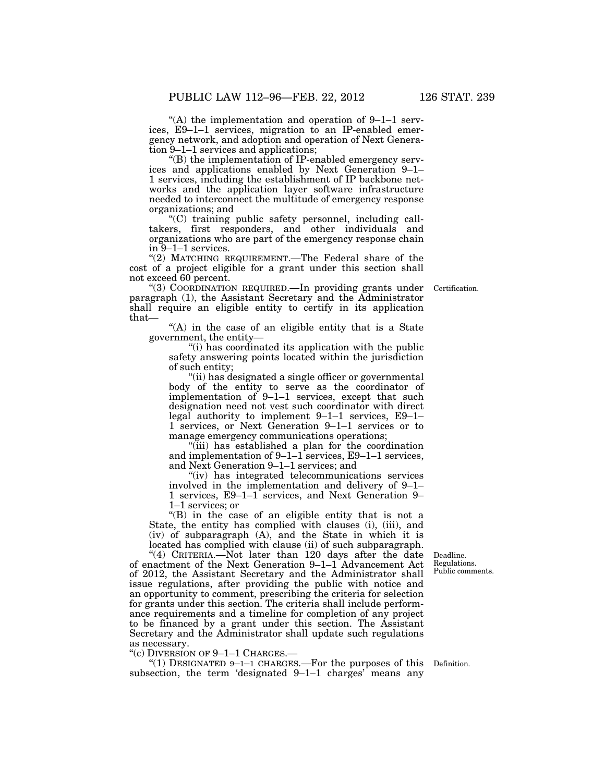"(A) the implementation and operation of  $9-1-1$  services, E9–1–1 services, migration to an IP-enabled emergency network, and adoption and operation of Next Generation 9–1–1 services and applications;

''(B) the implementation of IP-enabled emergency services and applications enabled by Next Generation 9–1– 1 services, including the establishment of IP backbone networks and the application layer software infrastructure needed to interconnect the multitude of emergency response organizations; and

''(C) training public safety personnel, including calltakers, first responders, and other individuals and organizations who are part of the emergency response chain in 9–1–1 services.

"(2) MATCHING REQUIREMENT.—The Federal share of the cost of a project eligible for a grant under this section shall not exceed 60 percent.

Certification.

''(3) COORDINATION REQUIRED.—In providing grants under paragraph (1), the Assistant Secretary and the Administrator shall require an eligible entity to certify in its application that—

"(A) in the case of an eligible entity that is a State government, the entity—

"(i) has coordinated its application with the public safety answering points located within the jurisdiction of such entity;

''(ii) has designated a single officer or governmental body of the entity to serve as the coordinator of implementation of 9–1–1 services, except that such designation need not vest such coordinator with direct legal authority to implement 9–1–1 services, E9–1– 1 services, or Next Generation 9–1–1 services or to manage emergency communications operations;

''(iii) has established a plan for the coordination and implementation of 9–1–1 services, E9–1–1 services, and Next Generation 9–1–1 services; and

''(iv) has integrated telecommunications services involved in the implementation and delivery of 9–1– 1 services, E9–1–1 services, and Next Generation 9– 1–1 services; or

''(B) in the case of an eligible entity that is not a State, the entity has complied with clauses (i), (iii), and (iv) of subparagraph (A), and the State in which it is located has complied with clause (ii) of such subparagraph.

"(4) CRITERIA.—Not later than 120 days after the date of enactment of the Next Generation 9–1–1 Advancement Act of 2012, the Assistant Secretary and the Administrator shall issue regulations, after providing the public with notice and an opportunity to comment, prescribing the criteria for selection for grants under this section. The criteria shall include performance requirements and a timeline for completion of any project to be financed by a grant under this section. The Assistant Secretary and the Administrator shall update such regulations as necessary.

"(c) DIVERSION OF 9-1-1 CHARGES.—<br>"(1) DESIGNATED 9-1-1 CHARGES.—For the purposes of this Definition. subsection, the term 'designated 9–1–1 charges' means any

Deadline. Regulations. Public comments.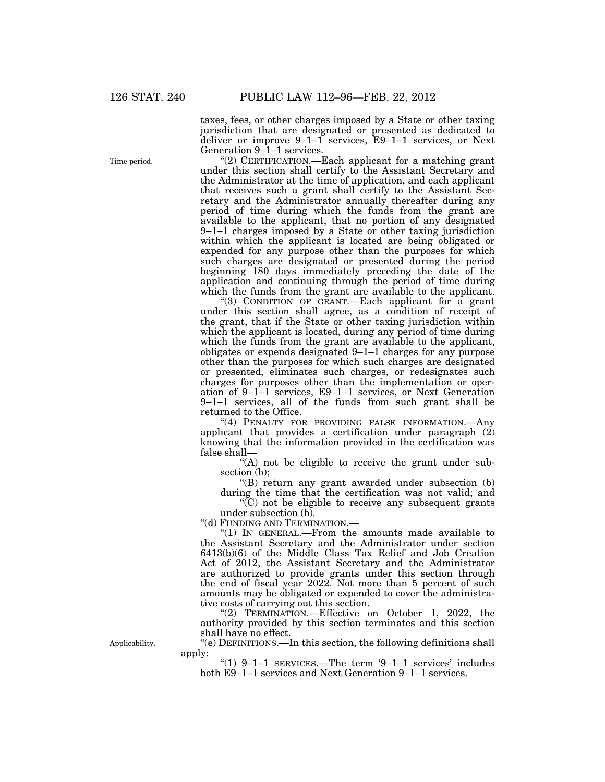taxes, fees, or other charges imposed by a State or other taxing jurisdiction that are designated or presented as dedicated to deliver or improve 9–1–1 services, E9–1–1 services, or Next Generation 9–1–1 services.

''(2) CERTIFICATION.—Each applicant for a matching grant under this section shall certify to the Assistant Secretary and the Administrator at the time of application, and each applicant that receives such a grant shall certify to the Assistant Secretary and the Administrator annually thereafter during any period of time during which the funds from the grant are available to the applicant, that no portion of any designated 9–1–1 charges imposed by a State or other taxing jurisdiction within which the applicant is located are being obligated or expended for any purpose other than the purposes for which such charges are designated or presented during the period beginning 180 days immediately preceding the date of the application and continuing through the period of time during which the funds from the grant are available to the applicant.

"(3) CONDITION OF GRANT.—Each applicant for a grant under this section shall agree, as a condition of receipt of the grant, that if the State or other taxing jurisdiction within which the applicant is located, during any period of time during which the funds from the grant are available to the applicant, obligates or expends designated 9–1–1 charges for any purpose other than the purposes for which such charges are designated or presented, eliminates such charges, or redesignates such charges for purposes other than the implementation or operation of 9–1–1 services, E9–1–1 services, or Next Generation 9–1–1 services, all of the funds from such grant shall be returned to the Office.

"(4) PENALTY FOR PROVIDING FALSE INFORMATION. Any applicant that provides a certification under paragraph (2) knowing that the information provided in the certification was false shall—

''(A) not be eligible to receive the grant under subsection (b);

''(B) return any grant awarded under subsection (b) during the time that the certification was not valid; and

''(C) not be eligible to receive any subsequent grants under subsection (b).

''(d) FUNDING AND TERMINATION.—

''(1) IN GENERAL.—From the amounts made available to the Assistant Secretary and the Administrator under section 6413(b)(6) of the Middle Class Tax Relief and Job Creation Act of 2012, the Assistant Secretary and the Administrator are authorized to provide grants under this section through the end of fiscal year 2022. Not more than 5 percent of such amounts may be obligated or expended to cover the administrative costs of carrying out this section.

"(2) TERMINATION.—Effective on October 1, 2022, the authority provided by this section terminates and this section shall have no effect.

''(e) DEFINITIONS.—In this section, the following definitions shall apply:

''(1) 9–1–1 SERVICES.—The term '9–1–1 services' includes both E9–1–1 services and Next Generation 9–1–1 services.

Time period.

Applicability.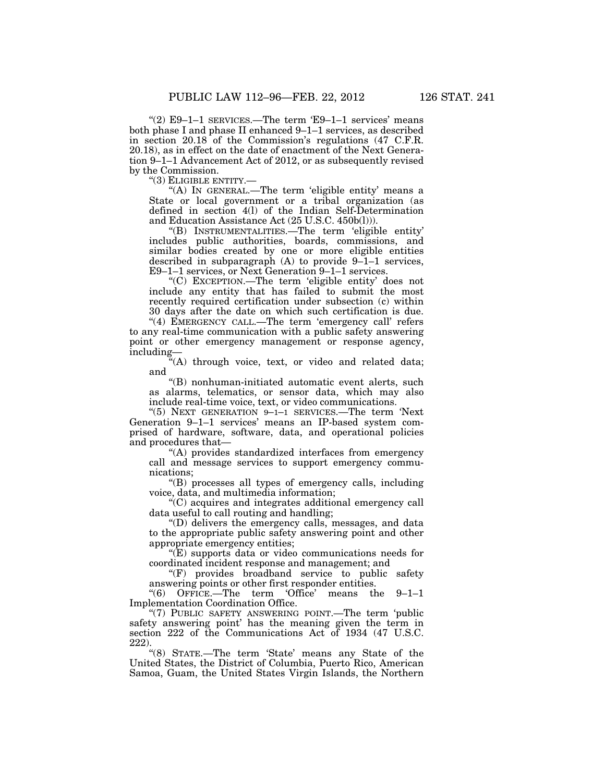"(2)  $E9-1-1$  SERVICES.—The term 'E9-1-1 services' means both phase I and phase II enhanced 9–1–1 services, as described in section 20.18 of the Commission's regulations (47 C.F.R. 20.18), as in effect on the date of enactment of the Next Generation 9–1–1 Advancement Act of 2012, or as subsequently revised by the Commission.

''(3) ELIGIBLE ENTITY.—

"(A) IN GENERAL.—The term 'eligible entity' means a State or local government or a tribal organization (as defined in section 4(l) of the Indian Self-Determination and Education Assistance Act (25 U.S.C. 450b(l))).

''(B) INSTRUMENTALITIES.—The term 'eligible entity' includes public authorities, boards, commissions, and similar bodies created by one or more eligible entities described in subparagraph  $(A)$  to provide  $9-1-1$  services, E9–1–1 services, or Next Generation 9–1–1 services.

''(C) EXCEPTION.—The term 'eligible entity' does not include any entity that has failed to submit the most recently required certification under subsection (c) within 30 days after the date on which such certification is due.

"(4) EMERGENCY CALL.—The term 'emergency call' refers to any real-time communication with a public safety answering point or other emergency management or response agency, including—

 $\sqrt[2a]{(A)}$  through voice, text, or video and related data; and

''(B) nonhuman-initiated automatic event alerts, such as alarms, telematics, or sensor data, which may also include real-time voice, text, or video communications.

''(5) NEXT GENERATION 9–1–1 SERVICES.—The term 'Next Generation 9–1–1 services' means an IP-based system comprised of hardware, software, data, and operational policies and procedures that—

''(A) provides standardized interfaces from emergency call and message services to support emergency communications;

''(B) processes all types of emergency calls, including voice, data, and multimedia information;

''(C) acquires and integrates additional emergency call data useful to call routing and handling;

''(D) delivers the emergency calls, messages, and data to the appropriate public safety answering point and other appropriate emergency entities;

''(E) supports data or video communications needs for coordinated incident response and management; and

''(F) provides broadband service to public safety answering points or other first responder entities.

 $"(6)$  OFFICE.—The term 'Office' means the 9-1-1 Implementation Coordination Office.

"(7) PUBLIC SAFETY ANSWERING POINT.—The term 'public safety answering point' has the meaning given the term in section 222 of the Communications Act of 1934 (47 U.S.C. 222).

''(8) STATE.—The term 'State' means any State of the United States, the District of Columbia, Puerto Rico, American Samoa, Guam, the United States Virgin Islands, the Northern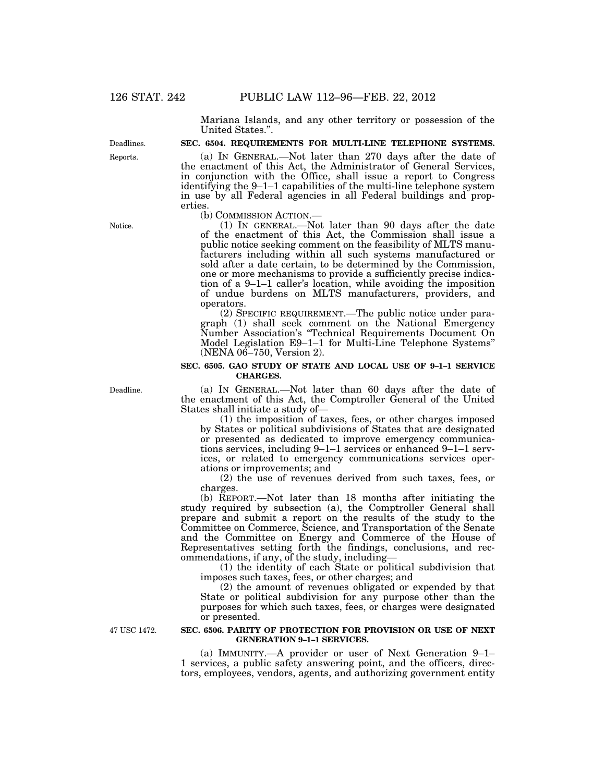Mariana Islands, and any other territory or possession of the United States.''.

#### **SEC. 6504. REQUIREMENTS FOR MULTI-LINE TELEPHONE SYSTEMS.**

(a) IN GENERAL.—Not later than 270 days after the date of the enactment of this Act, the Administrator of General Services, in conjunction with the Office, shall issue a report to Congress identifying the 9–1–1 capabilities of the multi-line telephone system in use by all Federal agencies in all Federal buildings and properties.<br>(b) COMMISSION ACTION.

(1) IN GENERAL.—Not later than 90 days after the date of the enactment of this Act, the Commission shall issue a public notice seeking comment on the feasibility of MLTS manufacturers including within all such systems manufactured or sold after a date certain, to be determined by the Commission, one or more mechanisms to provide a sufficiently precise indication of a 9–1–1 caller's location, while avoiding the imposition of undue burdens on MLTS manufacturers, providers, and operators.

(2) SPECIFIC REQUIREMENT.—The public notice under paragraph (1) shall seek comment on the National Emergency Number Association's ''Technical Requirements Document On Model Legislation E9–1–1 for Multi-Line Telephone Systems'' (NENA 06–750, Version 2).

#### **SEC. 6505. GAO STUDY OF STATE AND LOCAL USE OF 9–1–1 SERVICE CHARGES.**

(a) IN GENERAL.—Not later than 60 days after the date of the enactment of this Act, the Comptroller General of the United States shall initiate a study of—

(1) the imposition of taxes, fees, or other charges imposed by States or political subdivisions of States that are designated or presented as dedicated to improve emergency communications services, including 9–1–1 services or enhanced 9–1–1 services, or related to emergency communications services operations or improvements; and

(2) the use of revenues derived from such taxes, fees, or charges.

(b) REPORT.—Not later than 18 months after initiating the study required by subsection (a), the Comptroller General shall prepare and submit a report on the results of the study to the Committee on Commerce, Science, and Transportation of the Senate and the Committee on Energy and Commerce of the House of Representatives setting forth the findings, conclusions, and recommendations, if any, of the study, including—

(1) the identity of each State or political subdivision that imposes such taxes, fees, or other charges; and

(2) the amount of revenues obligated or expended by that State or political subdivision for any purpose other than the purposes for which such taxes, fees, or charges were designated or presented.

47 USC 1472.

#### **SEC. 6506. PARITY OF PROTECTION FOR PROVISION OR USE OF NEXT GENERATION 9–1–1 SERVICES.**

(a) IMMUNITY.—A provider or user of Next Generation 9–1– 1 services, a public safety answering point, and the officers, directors, employees, vendors, agents, and authorizing government entity

Notice.

Deadline.

Reports. Deadlines.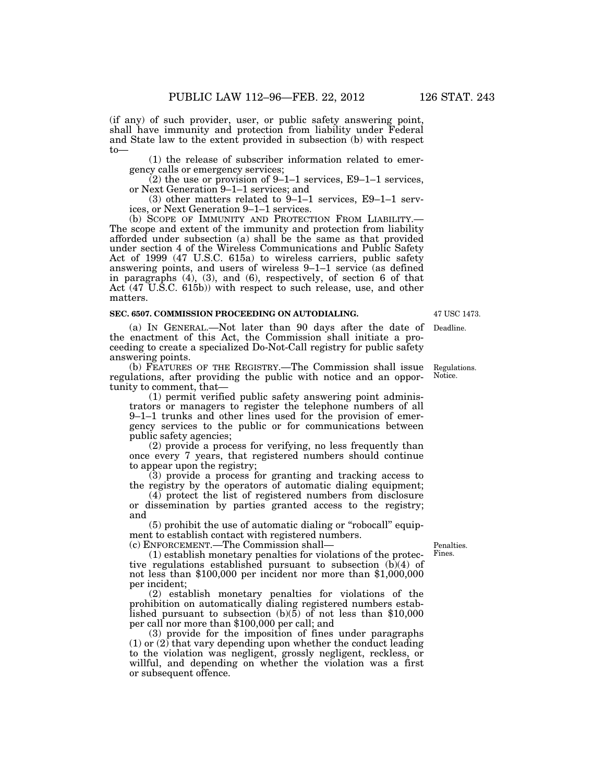(if any) of such provider, user, or public safety answering point, shall have immunity and protection from liability under Federal and State law to the extent provided in subsection (b) with respect to—

(1) the release of subscriber information related to emergency calls or emergency services;

 $(2)$  the use or provision of 9–1–1 services, E9–1–1 services, or Next Generation 9–1–1 services; and

(3) other matters related to 9–1–1 services, E9–1–1 serv-

ices, or Next Generation 9–1–1 services.<br>(b) SCOPE OF IMMUNITY AND PROTECTION FROM LIABILITY. The scope and extent of the immunity and protection from liability. afforded under subsection (a) shall be the same as that provided under section 4 of the Wireless Communications and Public Safety Act of 1999 (47 U.S.C. 615a) to wireless carriers, public safety answering points, and users of wireless 9–1–1 service (as defined in paragraphs (4), (3), and (6), respectively, of section 6 of that Act (47 U.S.C. 615b)) with respect to such release, use, and other matters.

#### **SEC. 6507. COMMISSION PROCEEDING ON AUTODIALING.**

(a) IN GENERAL.—Not later than 90 days after the date of Deadline. the enactment of this Act, the Commission shall initiate a proceeding to create a specialized Do-Not-Call registry for public safety answering points.

(b) FEATURES OF THE REGISTRY.—The Commission shall issue regulations, after providing the public with notice and an opportunity to comment, that— Regulations. Notice.

(1) permit verified public safety answering point administrators or managers to register the telephone numbers of all 9–1–1 trunks and other lines used for the provision of emergency services to the public or for communications between public safety agencies;

(2) provide a process for verifying, no less frequently than once every 7 years, that registered numbers should continue to appear upon the registry;

(3) provide a process for granting and tracking access to the registry by the operators of automatic dialing equipment;

(4) protect the list of registered numbers from disclosure or dissemination by parties granted access to the registry; and

(5) prohibit the use of automatic dialing or ''robocall'' equipment to establish contact with registered numbers.

(c) ENFORCEMENT.—The Commission shall—

(1) establish monetary penalties for violations of the protective regulations established pursuant to subsection (b)(4) of not less than \$100,000 per incident nor more than \$1,000,000 per incident;

(2) establish monetary penalties for violations of the prohibition on automatically dialing registered numbers established pursuant to subsection (b)(5) of not less than \$10,000 per call nor more than \$100,000 per call; and

(3) provide for the imposition of fines under paragraphs (1) or (2) that vary depending upon whether the conduct leading to the violation was negligent, grossly negligent, reckless, or willful, and depending on whether the violation was a first or subsequent offence.

Penalties. Fines.

47 USC 1473.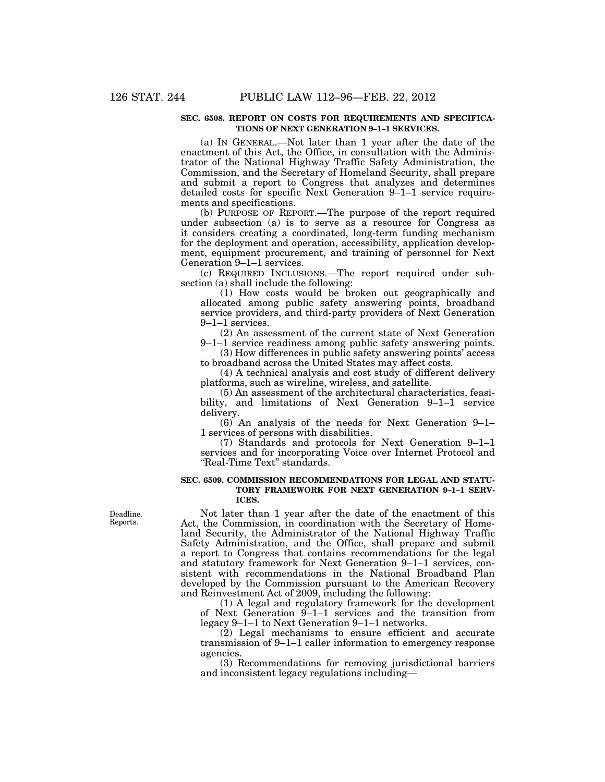#### **SEC. 6508. REPORT ON COSTS FOR REQUIREMENTS AND SPECIFICA-TIONS OF NEXT GENERATION 9–1–1 SERVICES.**

(a) IN GENERAL.—Not later than 1 year after the date of the enactment of this Act, the Office, in consultation with the Administrator of the National Highway Traffic Safety Administration, the Commission, and the Secretary of Homeland Security, shall prepare and submit a report to Congress that analyzes and determines detailed costs for specific Next Generation 9–1–1 service requirements and specifications.

(b) PURPOSE OF REPORT.—The purpose of the report required under subsection (a) is to serve as a resource for Congress as it considers creating a coordinated, long-term funding mechanism for the deployment and operation, accessibility, application development, equipment procurement, and training of personnel for Next Generation 9–1–1 services.

(c) REQUIRED INCLUSIONS.—The report required under subsection (a) shall include the following:

(1) How costs would be broken out geographically and allocated among public safety answering points, broadband service providers, and third-party providers of Next Generation 9–1–1 services.

(2) An assessment of the current state of Next Generation

9–1–1 service readiness among public safety answering points. (3) How differences in public safety answering points' access to broadband across the United States may affect costs.

(4) A technical analysis and cost study of different delivery platforms, such as wireline, wireless, and satellite.

(5) An assessment of the architectural characteristics, feasibility, and limitations of Next Generation 9–1–1 service delivery.

(6) An analysis of the needs for Next Generation 9–1– 1 services of persons with disabilities.

(7) Standards and protocols for Next Generation 9–1–1 services and for incorporating Voice over Internet Protocol and "Real-Time Text" standards.

#### **SEC. 6509. COMMISSION RECOMMENDATIONS FOR LEGAL AND STATU-TORY FRAMEWORK FOR NEXT GENERATION 9–1–1 SERV-ICES.**

Not later than 1 year after the date of the enactment of this Act, the Commission, in coordination with the Secretary of Homeland Security, the Administrator of the National Highway Traffic Safety Administration, and the Office, shall prepare and submit a report to Congress that contains recommendations for the legal and statutory framework for Next Generation 9–1–1 services, consistent with recommendations in the National Broadband Plan developed by the Commission pursuant to the American Recovery and Reinvestment Act of 2009, including the following:

(1) A legal and regulatory framework for the development of Next Generation 9–1–1 services and the transition from legacy 9–1–1 to Next Generation 9–1–1 networks.

(2) Legal mechanisms to ensure efficient and accurate transmission of 9–1–1 caller information to emergency response agencies.

(3) Recommendations for removing jurisdictional barriers and inconsistent legacy regulations including—

Deadline. Reports.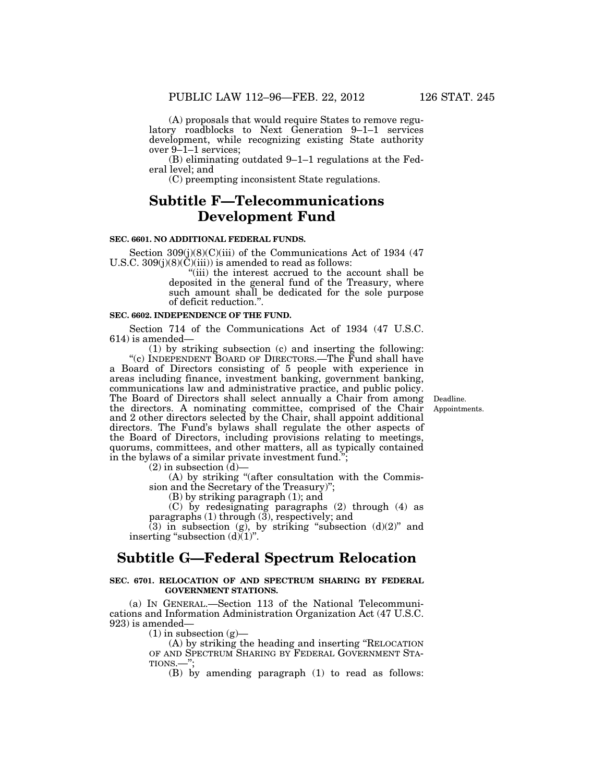(A) proposals that would require States to remove regulatory roadblocks to Next Generation 9–1–1 services development, while recognizing existing State authority over 9–1–1 services;

(B) eliminating outdated 9–1–1 regulations at the Federal level; and

(C) preempting inconsistent State regulations.

# **Subtitle F—Telecommunications Development Fund**

# **SEC. 6601. NO ADDITIONAL FEDERAL FUNDS.**

Section  $309(i)(8)(C)(iii)$  of the Communications Act of 1934 (47) U.S.C. 309(j)(8)(C)(iii)) is amended to read as follows:

> ''(iii) the interest accrued to the account shall be deposited in the general fund of the Treasury, where such amount shall be dedicated for the sole purpose of deficit reduction.''.

### **SEC. 6602. INDEPENDENCE OF THE FUND.**

Section 714 of the Communications Act of 1934 (47 U.S.C. 614) is amended—

(1) by striking subsection (c) and inserting the following: "(c) INDEPENDENT BOARD OF DIRECTORS.—The Fund shall have a Board of Directors consisting of 5 people with experience in areas including finance, investment banking, government banking, communications law and administrative practice, and public policy. The Board of Directors shall select annually a Chair from among the directors. A nominating committee, comprised of the Chair and 2 other directors selected by the Chair, shall appoint additional directors. The Fund's bylaws shall regulate the other aspects of the Board of Directors, including provisions relating to meetings, quorums, committees, and other matters, all as typically contained in the bylaws of a similar private investment fund.'

 $(2)$  in subsection  $(d)$ —

(A) by striking ''(after consultation with the Commission and the Secretary of the Treasury)'';

(B) by striking paragraph (1); and

(C) by redesignating paragraphs (2) through (4) as paragraphs (1) through (3), respectively; and

(3) in subsection (g), by striking "subsection  $(d)(2)$ " and inserting "subsection  $(d)(1)$ ".

# **Subtitle G—Federal Spectrum Relocation**

# **SEC. 6701. RELOCATION OF AND SPECTRUM SHARING BY FEDERAL GOVERNMENT STATIONS.**

(a) IN GENERAL.—Section 113 of the National Telecommunications and Information Administration Organization Act (47 U.S.C. 923) is amended—

 $(1)$  in subsection  $(g)$ —

(A) by striking the heading and inserting ''RELOCATION OF AND SPECTRUM SHARING BY FEDERAL GOVERNMENT STA- TIONS.—'';

(B) by amending paragraph (1) to read as follows:

Appointments. Deadline.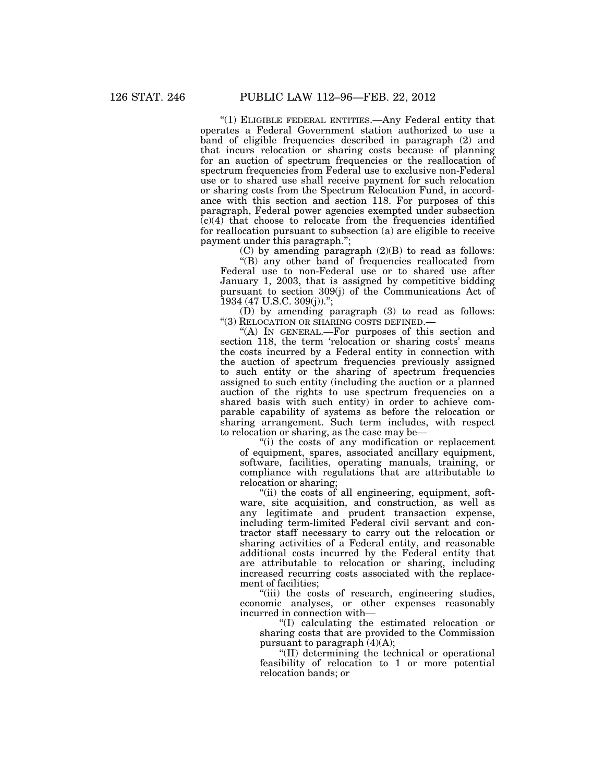"(1) ELIGIBLE FEDERAL ENTITIES. Any Federal entity that operates a Federal Government station authorized to use a band of eligible frequencies described in paragraph (2) and that incurs relocation or sharing costs because of planning for an auction of spectrum frequencies or the reallocation of spectrum frequencies from Federal use to exclusive non-Federal use or to shared use shall receive payment for such relocation or sharing costs from the Spectrum Relocation Fund, in accordance with this section and section 118. For purposes of this paragraph, Federal power agencies exempted under subsection  $(c)(4)$  that choose to relocate from the frequencies identified for reallocation pursuant to subsection (a) are eligible to receive payment under this paragraph.";

(C) by amending paragraph (2)(B) to read as follows:

''(B) any other band of frequencies reallocated from Federal use to non-Federal use or to shared use after January 1, 2003, that is assigned by competitive bidding pursuant to section 309(j) of the Communications Act of 1934 (47 U.S.C. 309(j)).'';

(D) by amending paragraph (3) to read as follows: ''(3) RELOCATION OR SHARING COSTS DEFINED.—

"(A) IN GENERAL.—For purposes of this section and section 118, the term 'relocation or sharing costs' means the costs incurred by a Federal entity in connection with the auction of spectrum frequencies previously assigned to such entity or the sharing of spectrum frequencies assigned to such entity (including the auction or a planned auction of the rights to use spectrum frequencies on a shared basis with such entity) in order to achieve comparable capability of systems as before the relocation or sharing arrangement. Such term includes, with respect to relocation or sharing, as the case may be—

''(i) the costs of any modification or replacement of equipment, spares, associated ancillary equipment, software, facilities, operating manuals, training, or compliance with regulations that are attributable to relocation or sharing;

"(ii) the costs of all engineering, equipment, software, site acquisition, and construction, as well as any legitimate and prudent transaction expense, including term-limited Federal civil servant and contractor staff necessary to carry out the relocation or sharing activities of a Federal entity, and reasonable additional costs incurred by the Federal entity that are attributable to relocation or sharing, including increased recurring costs associated with the replacement of facilities;

''(iii) the costs of research, engineering studies, economic analyses, or other expenses reasonably incurred in connection with—

''(I) calculating the estimated relocation or sharing costs that are provided to the Commission pursuant to paragraph  $(4)(A)$ ;

''(II) determining the technical or operational feasibility of relocation to 1 or more potential relocation bands; or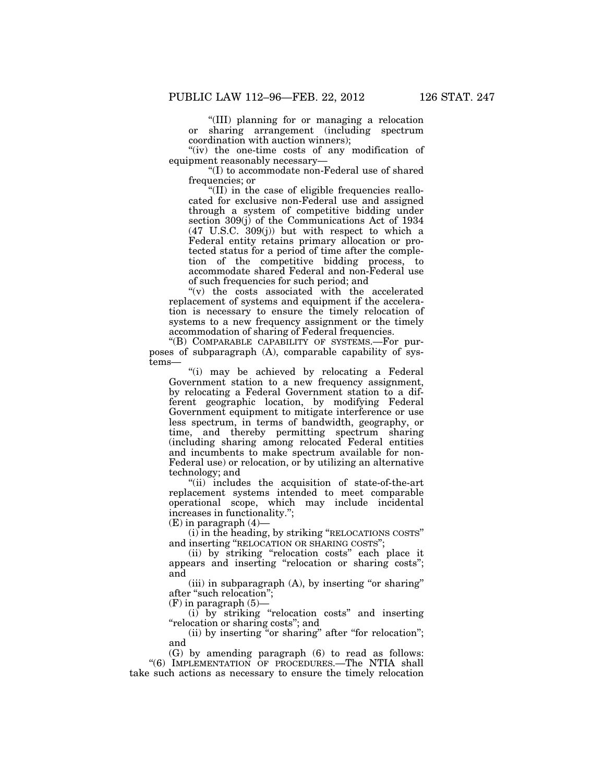''(III) planning for or managing a relocation or sharing arrangement (including spectrum coordination with auction winners);

"(iv) the one-time costs of any modification of equipment reasonably necessary—

''(I) to accommodate non-Federal use of shared frequencies; or

"(II) in the case of eligible frequencies reallocated for exclusive non-Federal use and assigned through a system of competitive bidding under section 309(j) of the Communications Act of 1934 (47 U.S.C. 309(j)) but with respect to which a Federal entity retains primary allocation or protected status for a period of time after the completion of the competitive bidding process, to accommodate shared Federal and non-Federal use of such frequencies for such period; and

''(v) the costs associated with the accelerated replacement of systems and equipment if the acceleration is necessary to ensure the timely relocation of systems to a new frequency assignment or the timely accommodation of sharing of Federal frequencies.

''(B) COMPARABLE CAPABILITY OF SYSTEMS.—For purposes of subparagraph (A), comparable capability of systems—

"(i) may be achieved by relocating a Federal Government station to a new frequency assignment, by relocating a Federal Government station to a different geographic location, by modifying Federal Government equipment to mitigate interference or use less spectrum, in terms of bandwidth, geography, or time, and thereby permitting spectrum sharing (including sharing among relocated Federal entities and incumbents to make spectrum available for non-Federal use) or relocation, or by utilizing an alternative technology; and

"(ii) includes the acquisition of state-of-the-art replacement systems intended to meet comparable operational scope, which may include incidental increases in functionality.'';

(E) in paragraph (4)—

(i) in the heading, by striking ''RELOCATIONS COSTS'' and inserting ''RELOCATION OR SHARING COSTS'';

(ii) by striking ''relocation costs'' each place it appears and inserting "relocation or sharing costs"; and

(iii) in subparagraph  $(A)$ , by inserting "or sharing" after ''such relocation'';

 $(F)$  in paragraph  $(5)$ —

(i) by striking ''relocation costs'' and inserting "relocation or sharing costs"; and

(ii) by inserting "or sharing" after "for relocation"; and

(G) by amending paragraph (6) to read as follows: "(6) IMPLEMENTATION OF PROCEDURES.—The NTIA shall take such actions as necessary to ensure the timely relocation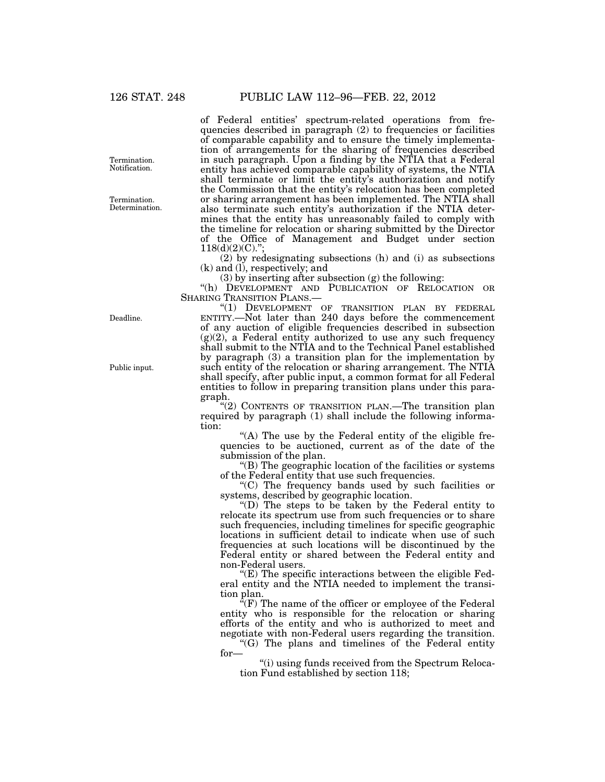of Federal entities' spectrum-related operations from frequencies described in paragraph (2) to frequencies or facilities of comparable capability and to ensure the timely implementation of arrangements for the sharing of frequencies described in such paragraph. Upon a finding by the NTIA that a Federal entity has achieved comparable capability of systems, the NTIA shall terminate or limit the entity's authorization and notify the Commission that the entity's relocation has been completed or sharing arrangement has been implemented. The NTIA shall also terminate such entity's authorization if the NTIA determines that the entity has unreasonably failed to comply with the timeline for relocation or sharing submitted by the Director of the Office of Management and Budget under section  $118(d)(2)(C)$ .";

(2) by redesignating subsections (h) and (i) as subsections (k) and (l), respectively; and

(3) by inserting after subsection (g) the following:

"(h) DEVELOPMENT AND PUBLICATION OF RELOCATION OR SHARING TRANSITION PLANS.—

"(1) DEVELOPMENT OF TRANSITION PLAN BY FEDERAL ENTITY.—Not later than 240 days before the commencement of any auction of eligible frequencies described in subsection  $(g)(2)$ , a Federal entity authorized to use any such frequency shall submit to the NTIA and to the Technical Panel established by paragraph (3) a transition plan for the implementation by such entity of the relocation or sharing arrangement. The NTIA shall specify, after public input, a common format for all Federal entities to follow in preparing transition plans under this paragraph.

"(2) CONTENTS OF TRANSITION PLAN.—The transition plan required by paragraph (1) shall include the following information:

" $(A)$  The use by the Federal entity of the eligible frequencies to be auctioned, current as of the date of the submission of the plan.

''(B) The geographic location of the facilities or systems of the Federal entity that use such frequencies.

''(C) The frequency bands used by such facilities or systems, described by geographic location.

''(D) The steps to be taken by the Federal entity to relocate its spectrum use from such frequencies or to share such frequencies, including timelines for specific geographic locations in sufficient detail to indicate when use of such frequencies at such locations will be discontinued by the Federal entity or shared between the Federal entity and non-Federal users.

" $(E)$  The specific interactions between the eligible Federal entity and the NTIA needed to implement the transition plan.

 $\sqrt[4]{(F)}$  The name of the officer or employee of the Federal entity who is responsible for the relocation or sharing efforts of the entity and who is authorized to meet and negotiate with non-Federal users regarding the transition.

''(G) The plans and timelines of the Federal entity for—

''(i) using funds received from the Spectrum Relocation Fund established by section 118;

Termination. Notification.

Termination. Determination.

Deadline.

Public input.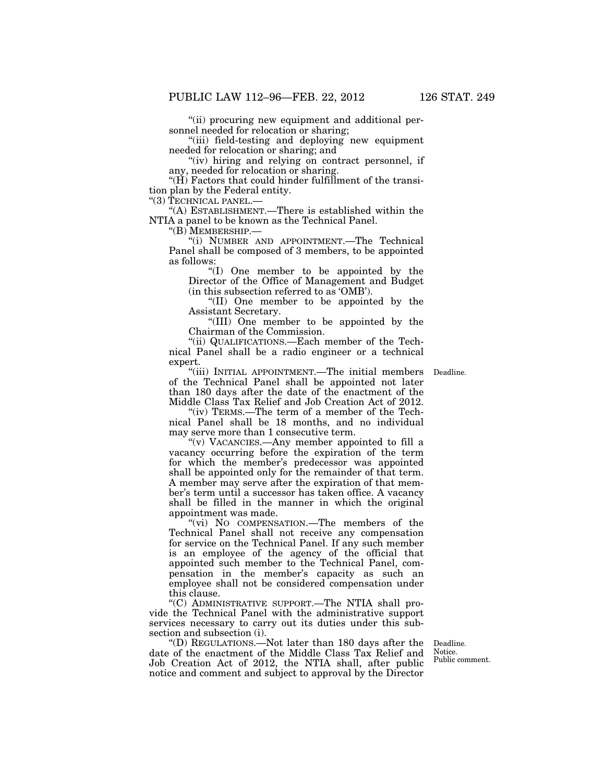''(ii) procuring new equipment and additional personnel needed for relocation or sharing;

''(iii) field-testing and deploying new equipment needed for relocation or sharing; and

"(iv) hiring and relying on contract personnel, if any, needed for relocation or sharing.

" $(H)$  Factors that could hinder fulfillment of the transition plan by the Federal entity.

''(3) TECHNICAL PANEL.—

''(A) ESTABLISHMENT.—There is established within the NTIA a panel to be known as the Technical Panel.

''(B) MEMBERSHIP.—

''(i) NUMBER AND APPOINTMENT.—The Technical Panel shall be composed of 3 members, to be appointed as follows:

''(I) One member to be appointed by the Director of the Office of Management and Budget (in this subsection referred to as 'OMB').

''(II) One member to be appointed by the Assistant Secretary.

''(III) One member to be appointed by the Chairman of the Commission.

''(ii) QUALIFICATIONS.—Each member of the Technical Panel shall be a radio engineer or a technical expert.

"(iii) INITIAL APPOINTMENT.—The initial members Deadline. of the Technical Panel shall be appointed not later than 180 days after the date of the enactment of the Middle Class Tax Relief and Job Creation Act of 2012.

"(iv) TERMS.—The term of a member of the Technical Panel shall be 18 months, and no individual may serve more than 1 consecutive term.

''(v) VACANCIES.—Any member appointed to fill a vacancy occurring before the expiration of the term for which the member's predecessor was appointed shall be appointed only for the remainder of that term. A member may serve after the expiration of that member's term until a successor has taken office. A vacancy shall be filled in the manner in which the original appointment was made.

"(vi) No COMPENSATION.—The members of the Technical Panel shall not receive any compensation for service on the Technical Panel. If any such member is an employee of the agency of the official that appointed such member to the Technical Panel, compensation in the member's capacity as such an employee shall not be considered compensation under this clause.

''(C) ADMINISTRATIVE SUPPORT.—The NTIA shall provide the Technical Panel with the administrative support services necessary to carry out its duties under this subsection and subsection (i).

''(D) REGULATIONS.—Not later than 180 days after the date of the enactment of the Middle Class Tax Relief and Job Creation Act of 2012, the NTIA shall, after public notice and comment and subject to approval by the Director

Deadline. Notice. Public comment.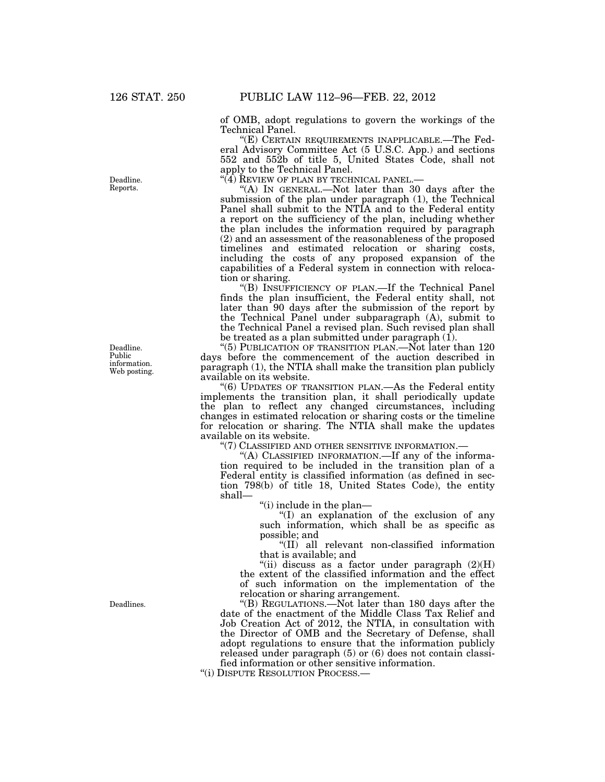of OMB, adopt regulations to govern the workings of the Technical Panel.

"(E) CERTAIN REQUIREMENTS INAPPLICABLE.—The Federal Advisory Committee Act (5 U.S.C. App.) and sections 552 and 552b of title 5, United States Code, shall not apply to the Technical Panel.<br>"(4) REVIEW OF PLAN BY TECHNICAL PANEL.—

"(A) IN GENERAL.—Not later than 30 days after the submission of the plan under paragraph (1), the Technical Panel shall submit to the NTIA and to the Federal entity a report on the sufficiency of the plan, including whether the plan includes the information required by paragraph (2) and an assessment of the reasonableness of the proposed timelines and estimated relocation or sharing costs, including the costs of any proposed expansion of the capabilities of a Federal system in connection with relocation or sharing.

''(B) INSUFFICIENCY OF PLAN.—If the Technical Panel finds the plan insufficient, the Federal entity shall, not later than 90 days after the submission of the report by the Technical Panel under subparagraph (A), submit to the Technical Panel a revised plan. Such revised plan shall be treated as a plan submitted under paragraph  $(I)$ .

"(5) PUBLICATION OF TRANSITION PLAN.—Not later than 120 days before the commencement of the auction described in paragraph (1), the NTIA shall make the transition plan publicly available on its website.

''(6) UPDATES OF TRANSITION PLAN.—As the Federal entity implements the transition plan, it shall periodically update the plan to reflect any changed circumstances, including changes in estimated relocation or sharing costs or the timeline for relocation or sharing. The NTIA shall make the updates available on its website.

''(7) CLASSIFIED AND OTHER SENSITIVE INFORMATION.—

"(A) CLASSIFIED INFORMATION.—If any of the information required to be included in the transition plan of a Federal entity is classified information (as defined in section 798(b) of title 18, United States Code), the entity shall—

''(i) include in the plan—

''(I) an explanation of the exclusion of any such information, which shall be as specific as possible; and

''(II) all relevant non-classified information that is available; and

"(ii) discuss as a factor under paragraph  $(2)(H)$ the extent of the classified information and the effect of such information on the implementation of the relocation or sharing arrangement.

''(B) REGULATIONS.—Not later than 180 days after the date of the enactment of the Middle Class Tax Relief and Job Creation Act of 2012, the NTIA, in consultation with the Director of OMB and the Secretary of Defense, shall adopt regulations to ensure that the information publicly released under paragraph (5) or (6) does not contain classified information or other sensitive information.

''(i) DISPUTE RESOLUTION PROCESS.—

Deadline. Reports.

Deadline. Public information. Web posting.

Deadlines.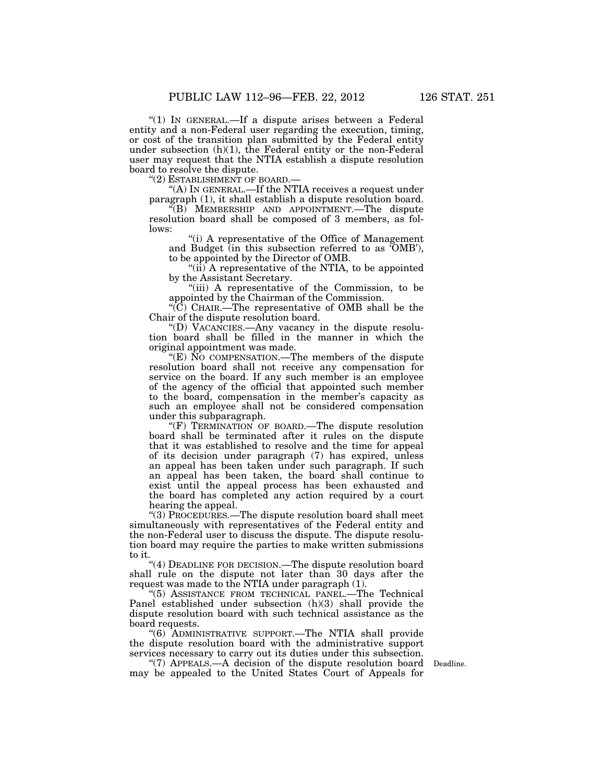"(1) In GENERAL.—If a dispute arises between a Federal entity and a non-Federal user regarding the execution, timing, or cost of the transition plan submitted by the Federal entity under subsection  $(h)(1)$ , the Federal entity or the non-Federal user may request that the NTIA establish a dispute resolution board to resolve the dispute.<br>"(2) ESTABLISHMENT OF BOARD.-

"(A) IN GENERAL.—If the NTIA receives a request under paragraph (1), it shall establish a dispute resolution board.

''(B) MEMBERSHIP AND APPOINTMENT.—The dispute resolution board shall be composed of 3 members, as follows:

'(i) A representative of the Office of Management and Budget (in this subsection referred to as 'OMB'), to be appointed by the Director of OMB.

"(ii) A representative of the NTIA, to be appointed by the Assistant Secretary.

''(iii) A representative of the Commission, to be appointed by the Chairman of the Commission.

 $\mathcal{C}(\overline{C})$  CHAIR.—The representative of OMB shall be the Chair of the dispute resolution board.

''(D) VACANCIES.—Any vacancy in the dispute resolution board shall be filled in the manner in which the original appointment was made.

''(E) NO COMPENSATION.—The members of the dispute resolution board shall not receive any compensation for service on the board. If any such member is an employee of the agency of the official that appointed such member to the board, compensation in the member's capacity as such an employee shall not be considered compensation under this subparagraph.

"(F) TERMINATION OF BOARD.—The dispute resolution board shall be terminated after it rules on the dispute that it was established to resolve and the time for appeal of its decision under paragraph (7) has expired, unless an appeal has been taken under such paragraph. If such an appeal has been taken, the board shall continue to exist until the appeal process has been exhausted and the board has completed any action required by a court hearing the appeal.

''(3) PROCEDURES.—The dispute resolution board shall meet simultaneously with representatives of the Federal entity and the non-Federal user to discuss the dispute. The dispute resolution board may require the parties to make written submissions to it.

"(4) DEADLINE FOR DECISION.—The dispute resolution board shall rule on the dispute not later than 30 days after the request was made to the NTIA under paragraph (1).

''(5) ASSISTANCE FROM TECHNICAL PANEL.—The Technical Panel established under subsection (h)(3) shall provide the dispute resolution board with such technical assistance as the board requests.

''(6) ADMINISTRATIVE SUPPORT.—The NTIA shall provide the dispute resolution board with the administrative support services necessary to carry out its duties under this subsection.

"(7) APPEALS.—A decision of the dispute resolution board Deadline. may be appealed to the United States Court of Appeals for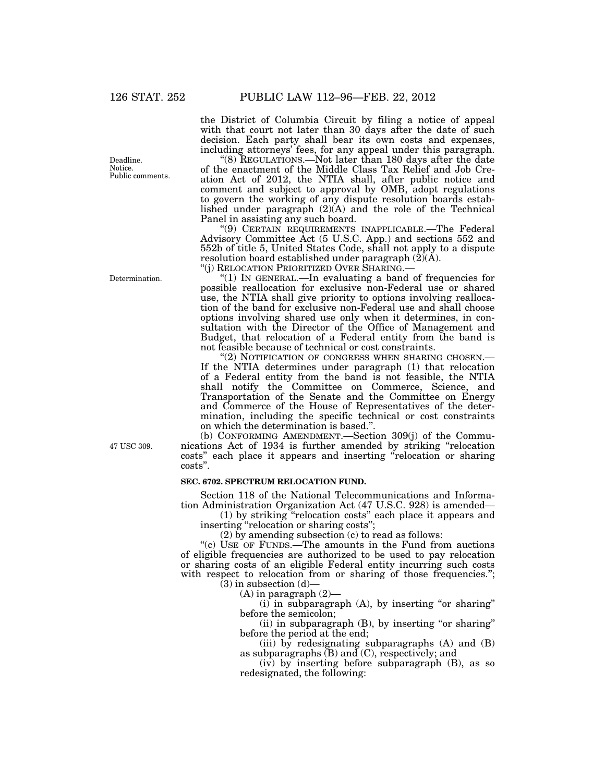Deadline. Notice. Public comments.

Determination.

47 USC 309.

the District of Columbia Circuit by filing a notice of appeal with that court not later than 30 days after the date of such decision. Each party shall bear its own costs and expenses, including attorneys' fees, for any appeal under this paragraph.

''(8) REGULATIONS.—Not later than 180 days after the date of the enactment of the Middle Class Tax Relief and Job Creation Act of 2012, the NTIA shall, after public notice and comment and subject to approval by OMB, adopt regulations to govern the working of any dispute resolution boards established under paragraph (2)(A) and the role of the Technical Panel in assisting any such board.

''(9) CERTAIN REQUIREMENTS INAPPLICABLE.—The Federal Advisory Committee Act (5 U.S.C. App.) and sections 552 and 552b of title 5, United States Code, shall not apply to a dispute resolution board established under paragraph  $(\tilde{2})(\tilde{A})$ .<br>"(j) RELOCATION PRIORITIZED OVER SHARING.—

"(1) IN GENERAL.—In evaluating a band of frequencies for possible reallocation for exclusive non-Federal use or shared use, the NTIA shall give priority to options involving reallocation of the band for exclusive non-Federal use and shall choose options involving shared use only when it determines, in consultation with the Director of the Office of Management and Budget, that relocation of a Federal entity from the band is not feasible because of technical or cost constraints.

''(2) NOTIFICATION OF CONGRESS WHEN SHARING CHOSEN.— If the NTIA determines under paragraph (1) that relocation of a Federal entity from the band is not feasible, the NTIA shall notify the Committee on Commerce, Science, and Transportation of the Senate and the Committee on Energy and Commerce of the House of Representatives of the determination, including the specific technical or cost constraints on which the determination is based.''.

(b) CONFORMING AMENDMENT.—Section 309(j) of the Communications Act of 1934 is further amended by striking ''relocation costs'' each place it appears and inserting ''relocation or sharing costs''.

## **SEC. 6702. SPECTRUM RELOCATION FUND.**

Section 118 of the National Telecommunications and Information Administration Organization Act (47 U.S.C. 928) is amended—

(1) by striking ''relocation costs'' each place it appears and inserting "relocation or sharing costs";

(2) by amending subsection (c) to read as follows:

''(c) USE OF FUNDS.—The amounts in the Fund from auctions of eligible frequencies are authorized to be used to pay relocation or sharing costs of an eligible Federal entity incurring such costs with respect to relocation from or sharing of those frequencies.";  $(3)$  in subsection  $(d)$ 

(A) in paragraph (2)—

 $(i)$  in subparagraph  $(A)$ , by inserting "or sharing" before the semicolon;

(ii) in subparagraph (B), by inserting "or sharing" before the period at the end;

(iii) by redesignating subparagraphs  $(A)$  and  $(B)$ as subparagraphs (B) and (C), respectively; and

(iv) by inserting before subparagraph (B), as so redesignated, the following: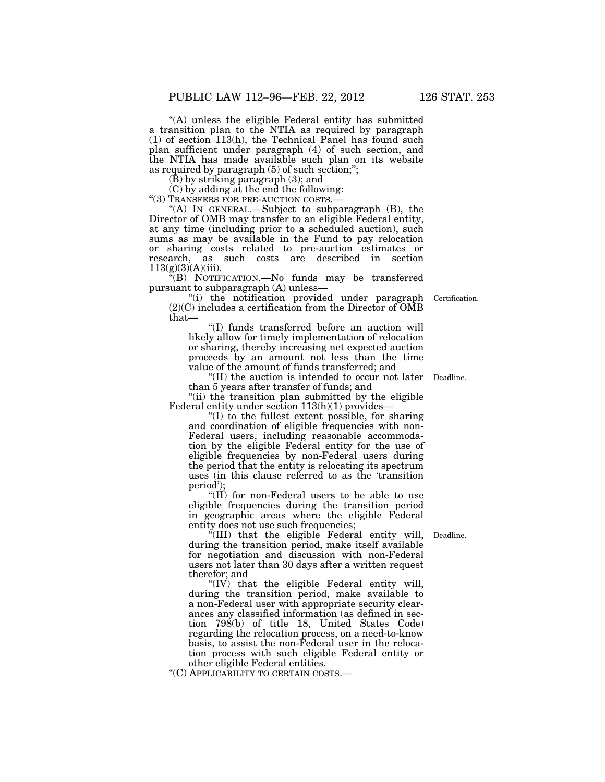''(A) unless the eligible Federal entity has submitted a transition plan to the NTIA as required by paragraph (1) of section 113(h), the Technical Panel has found such plan sufficient under paragraph (4) of such section, and the NTIA has made available such plan on its website as required by paragraph (5) of such section;'';

(B) by striking paragraph (3); and

(C) by adding at the end the following:<br>"(3) TRANSFERS FOR PRE-AUCTION COSTS.—

"(A) IN GENERAL.—Subject to subparagraph  $(B)$ , the Director of OMB may transfer to an eligible Federal entity, at any time (including prior to a scheduled auction), such sums as may be available in the Fund to pay relocation or sharing costs related to pre-auction estimates or research, as such costs are described in section  $113(g)(3)(A)(iii)$ .

''(B) NOTIFICATION.—No funds may be transferred pursuant to subparagraph (A) unless—

''(i) the notification provided under paragraph (2)(C) includes a certification from the Director of OMB that—

''(I) funds transferred before an auction will likely allow for timely implementation of relocation or sharing, thereby increasing net expected auction proceeds by an amount not less than the time value of the amount of funds transferred; and

"(II) the auction is intended to occur not later Deadline. than 5 years after transfer of funds; and

"(ii) the transition plan submitted by the eligible Federal entity under section  $113(h)(1)$  provides-

''(I) to the fullest extent possible, for sharing and coordination of eligible frequencies with non-Federal users, including reasonable accommodation by the eligible Federal entity for the use of eligible frequencies by non-Federal users during the period that the entity is relocating its spectrum uses (in this clause referred to as the 'transition period');

" $(II)$  for non-Federal users to be able to use eligible frequencies during the transition period in geographic areas where the eligible Federal entity does not use such frequencies;

''(III) that the eligible Federal entity will, during the transition period, make itself available for negotiation and discussion with non-Federal users not later than 30 days after a written request therefor; and

" $(IV)$  that the eligible Federal entity will, during the transition period, make available to a non-Federal user with appropriate security clearances any classified information (as defined in section 798(b) of title 18, United States Code) regarding the relocation process, on a need-to-know basis, to assist the non-Federal user in the relocation process with such eligible Federal entity or other eligible Federal entities.

''(C) APPLICABILITY TO CERTAIN COSTS.—

Deadline.

Certification.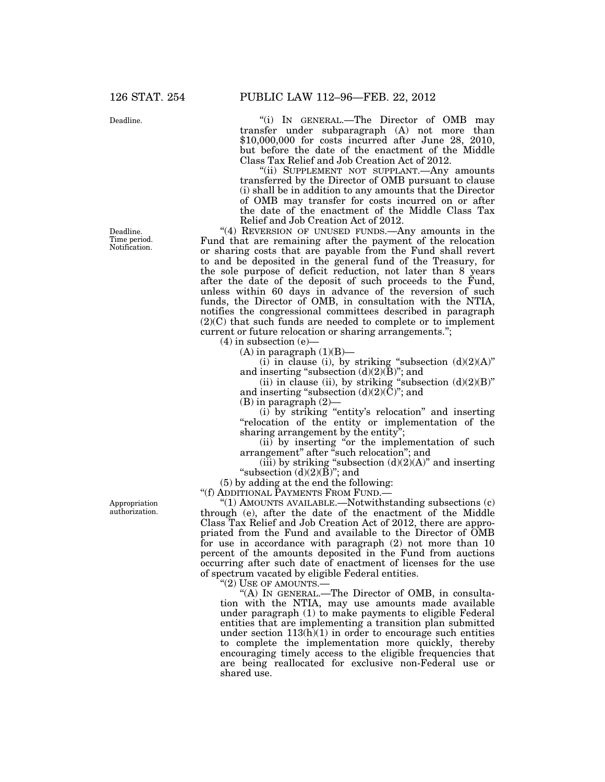Deadline.

Deadline. Time period. Notification.

Appropriation authorization.

''(i) IN GENERAL.—The Director of OMB may transfer under subparagraph (A) not more than \$10,000,000 for costs incurred after June 28, 2010, but before the date of the enactment of the Middle Class Tax Relief and Job Creation Act of 2012.

''(ii) SUPPLEMENT NOT SUPPLANT.—Any amounts transferred by the Director of OMB pursuant to clause (i) shall be in addition to any amounts that the Director of OMB may transfer for costs incurred on or after the date of the enactment of the Middle Class Tax Relief and Job Creation Act of 2012.

"(4) REVERSION OF UNUSED FUNDS.—Any amounts in the Fund that are remaining after the payment of the relocation or sharing costs that are payable from the Fund shall revert to and be deposited in the general fund of the Treasury, for the sole purpose of deficit reduction, not later than 8 years after the date of the deposit of such proceeds to the Fund, unless within 60 days in advance of the reversion of such funds, the Director of OMB, in consultation with the NTIA, notifies the congressional committees described in paragraph (2)(C) that such funds are needed to complete or to implement current or future relocation or sharing arrangements.'';

 $(4)$  in subsection  $(e)$ 

 $(A)$  in paragraph  $(1)(B)$ —

 $(i)$  in clause (i), by striking "subsection  $(d)(2)(A)$ " and inserting "subsection  $(d)(2)(\bar{B})$ "; and

(ii) in clause (ii), by striking "subsection  $(d)(2)(B)$ " and inserting "subsection  $(d)(2)(\check{C})$ "; and

(B) in paragraph (2)—

(i) by striking ''entity's relocation'' and inserting ''relocation of the entity or implementation of the sharing arrangement by the entity

(ii) by inserting ''or the implementation of such arrangement'' after ''such relocation''; and

(iii) by striking "subsection  $(d)(2)(A)$ " and inserting "subsection  $(d)(2)(B)$ "; and

(5) by adding at the end the following:

''(f) ADDITIONAL PAYMENTS FROM FUND.—

''(1) AMOUNTS AVAILABLE.—Notwithstanding subsections (c) through (e), after the date of the enactment of the Middle Class Tax Relief and Job Creation Act of 2012, there are appropriated from the Fund and available to the Director of OMB for use in accordance with paragraph (2) not more than 10 percent of the amounts deposited in the Fund from auctions occurring after such date of enactment of licenses for the use of spectrum vacated by eligible Federal entities.

''(2) USE OF AMOUNTS.—

''(A) IN GENERAL.—The Director of OMB, in consultation with the NTIA, may use amounts made available under paragraph (1) to make payments to eligible Federal entities that are implementing a transition plan submitted under section  $113(h)(1)$  in order to encourage such entities to complete the implementation more quickly, thereby encouraging timely access to the eligible frequencies that are being reallocated for exclusive non-Federal use or shared use.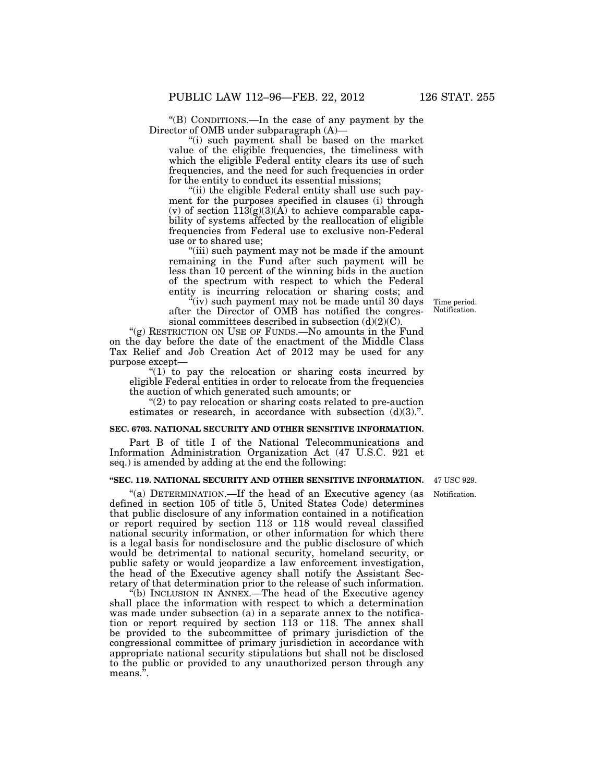''(B) CONDITIONS.—In the case of any payment by the Director of OMB under subparagraph (A)—

''(i) such payment shall be based on the market value of the eligible frequencies, the timeliness with which the eligible Federal entity clears its use of such frequencies, and the need for such frequencies in order for the entity to conduct its essential missions;

"(ii) the eligible Federal entity shall use such payment for the purposes specified in clauses (i) through (v) of section  $\overline{113(g)(3)(A)}$  to achieve comparable capability of systems affected by the reallocation of eligible frequencies from Federal use to exclusive non-Federal use or to shared use;

''(iii) such payment may not be made if the amount remaining in the Fund after such payment will be less than 10 percent of the winning bids in the auction of the spectrum with respect to which the Federal entity is incurring relocation or sharing costs; and

''(iv) such payment may not be made until 30 days after the Director of OMB has notified the congressional committees described in subsection  $(d)(2)(C)$ .

"(g) RESTRICTION ON USE OF FUNDS.—No amounts in the Fund on the day before the date of the enactment of the Middle Class Tax Relief and Job Creation Act of 2012 may be used for any purpose except—

 $(1)$  to pay the relocation or sharing costs incurred by eligible Federal entities in order to relocate from the frequencies the auction of which generated such amounts; or

''(2) to pay relocation or sharing costs related to pre-auction estimates or research, in accordance with subsection  $(d)(3)$ .".

#### **SEC. 6703. NATIONAL SECURITY AND OTHER SENSITIVE INFORMATION.**

Part B of title I of the National Telecommunications and Information Administration Organization Act (47 U.S.C. 921 et seq.) is amended by adding at the end the following:

#### **''SEC. 119. NATIONAL SECURITY AND OTHER SENSITIVE INFORMATION.**

"(a) DETERMINATION.—If the head of an Executive agency (as defined in section 105 of title 5, United States Code) determines that public disclosure of any information contained in a notification or report required by section 113 or 118 would reveal classified national security information, or other information for which there is a legal basis for nondisclosure and the public disclosure of which would be detrimental to national security, homeland security, or public safety or would jeopardize a law enforcement investigation, the head of the Executive agency shall notify the Assistant Secretary of that determination prior to the release of such information.

''(b) INCLUSION IN ANNEX.—The head of the Executive agency shall place the information with respect to which a determination was made under subsection (a) in a separate annex to the notification or report required by section 113 or 118. The annex shall be provided to the subcommittee of primary jurisdiction of the congressional committee of primary jurisdiction in accordance with appropriate national security stipulations but shall not be disclosed to the public or provided to any unauthorized person through any means.".

47 USC 929.

Notification.

Time period. Notification.